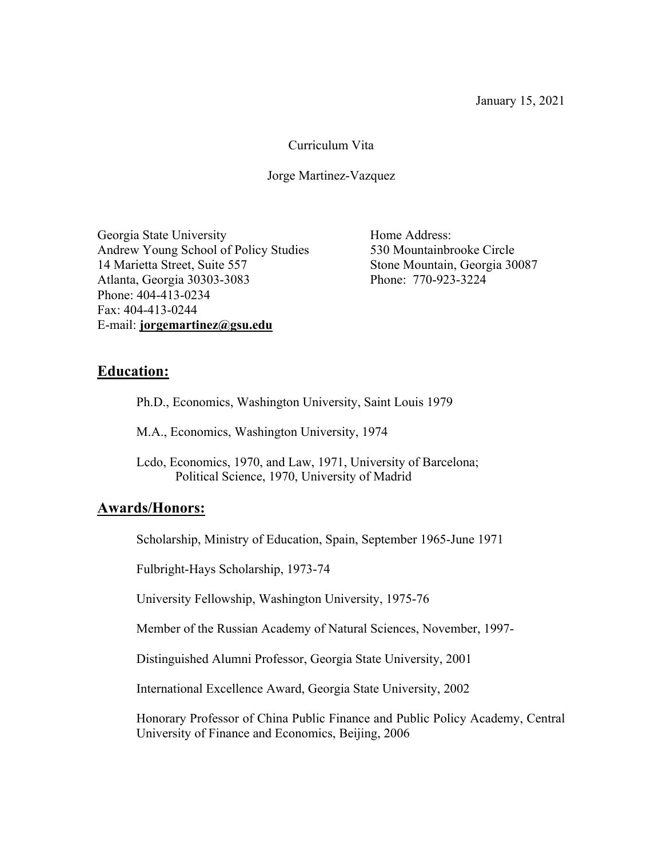#### Curriculum Vita

#### Jorge Martinez-Vazquez

Georgia State University **Home Address:** Andrew Young School of Policy Studies 530 Mountainbrooke Circle 14 Marietta Street, Suite 557 Stone Mountain, Georgia 30087 Atlanta, Georgia 30303-3083 Phone: 770-923-3224 Phone: 404-413-0234 Fax: 404-413-0244 E-mail: **jorgemartinez@gsu.edu**

### **Education:**

Ph.D., Economics, Washington University, Saint Louis 1979

M.A., Economics, Washington University, 1974

Lcdo, Economics, 1970, and Law, 1971, University of Barcelona; Political Science, 1970, University of Madrid

#### **Awards/Honors:**

Scholarship, Ministry of Education, Spain, September 1965-June 1971

Fulbright-Hays Scholarship, 1973-74

University Fellowship, Washington University, 1975-76

Member of the Russian Academy of Natural Sciences, November, 1997-

Distinguished Alumni Professor, Georgia State University, 2001

International Excellence Award, Georgia State University, 2002

Honorary Professor of China Public Finance and Public Policy Academy, Central University of Finance and Economics, Beijing, 2006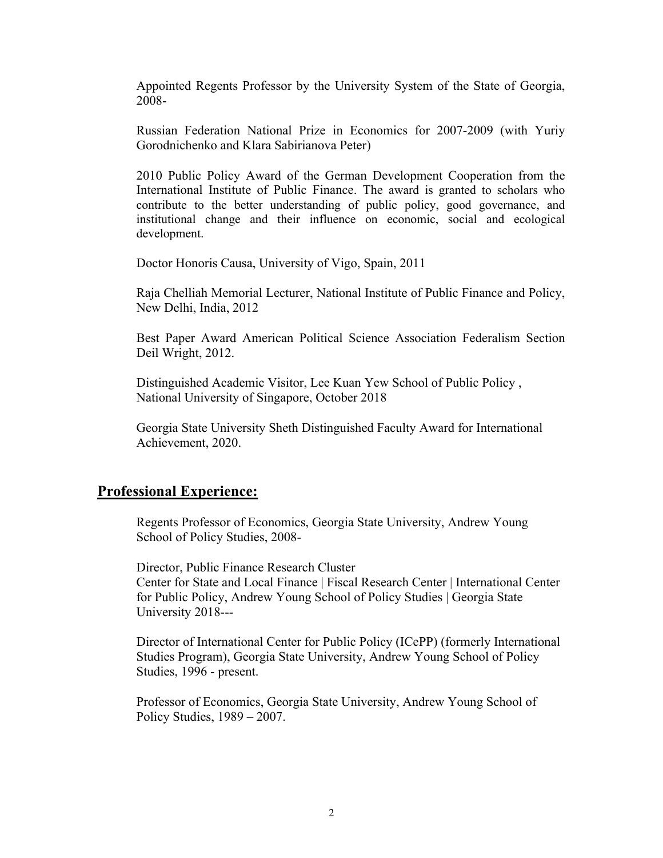Appointed Regents Professor by the University System of the State of Georgia, 2008-

Russian Federation National Prize in Economics for 2007-2009 (with Yuriy Gorodnichenko and Klara Sabirianova Peter)

2010 Public Policy Award of the German Development Cooperation from the International Institute of Public Finance. The award is granted to scholars who contribute to the better understanding of public policy, good governance, and institutional change and their influence on economic, social and ecological development.

Doctor Honoris Causa, University of Vigo, Spain, 2011

Raja Chelliah Memorial Lecturer, National Institute of Public Finance and Policy, New Delhi, India, 2012

Best Paper Award American Political Science Association Federalism Section Deil Wright, 2012.

Distinguished Academic Visitor, Lee Kuan Yew School of Public Policy , National University of Singapore, October 2018

Georgia State University Sheth Distinguished Faculty Award for International Achievement, 2020.

#### **Professional Experience:**

Regents Professor of Economics, Georgia State University, Andrew Young School of Policy Studies, 2008-

Director, Public Finance Research Cluster Center for State and Local Finance | Fiscal Research Center | International Center for Public Policy, Andrew Young School of Policy Studies | Georgia State University 2018---

Director of International Center for Public Policy (ICePP) (formerly International Studies Program), Georgia State University, Andrew Young School of Policy Studies, 1996 - present.

Professor of Economics, Georgia State University, Andrew Young School of Policy Studies, 1989 – 2007.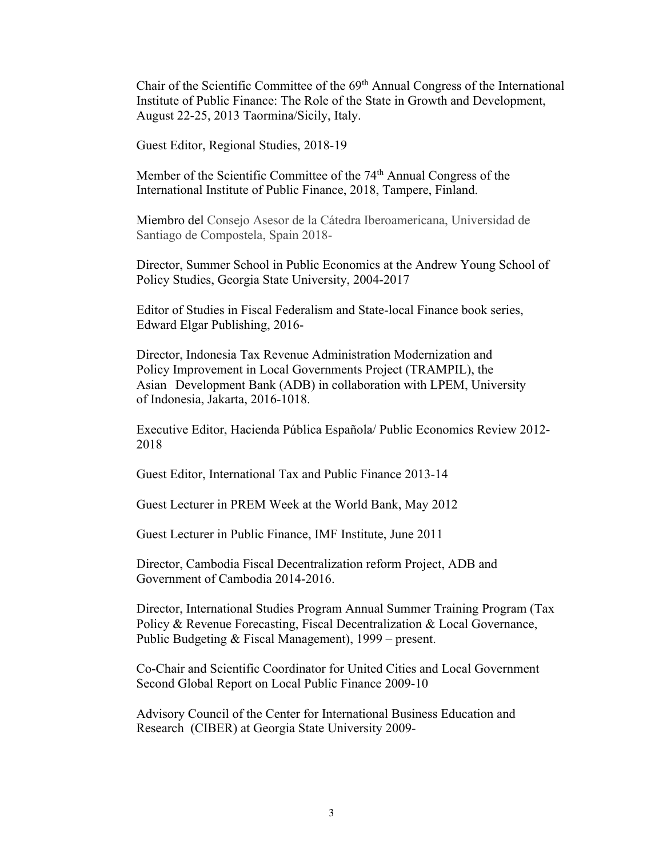Chair of the Scientific Committee of the 69th Annual Congress of the International Institute of Public Finance: The Role of the State in Growth and Development, August 22-25, 2013 Taormina/Sicily, Italy.

Guest Editor, Regional Studies, 2018-19

Member of the Scientific Committee of the 74<sup>th</sup> Annual Congress of the International Institute of Public Finance, 2018, Tampere, Finland.

Miembro del Consejo Asesor de la Cátedra Iberoamericana, Universidad de Santiago de Compostela, Spain 2018-

Director, Summer School in Public Economics at the Andrew Young School of Policy Studies, Georgia State University, 2004-2017

Editor of Studies in Fiscal Federalism and State-local Finance book series, Edward Elgar Publishing, 2016-

Director, Indonesia Tax Revenue Administration Modernization and Policy Improvement in Local Governments Project (TRAMPIL), the Asian Development Bank (ADB) in collaboration with LPEM, University of Indonesia, Jakarta, 2016-1018.

Executive Editor, Hacienda Pública Española/ Public Economics Review 2012- 2018

Guest Editor, International Tax and Public Finance 2013-14

Guest Lecturer in PREM Week at the World Bank, May 2012

Guest Lecturer in Public Finance, IMF Institute, June 2011

Director, Cambodia Fiscal Decentralization reform Project, ADB and Government of Cambodia 2014-2016.

Director, International Studies Program Annual Summer Training Program (Tax Policy & Revenue Forecasting, Fiscal Decentralization & Local Governance, Public Budgeting & Fiscal Management), 1999 – present.

Co-Chair and Scientific Coordinator for United Cities and Local Government Second Global Report on Local Public Finance 2009-10

Advisory Council of the Center for International Business Education and Research (CIBER) at Georgia State University 2009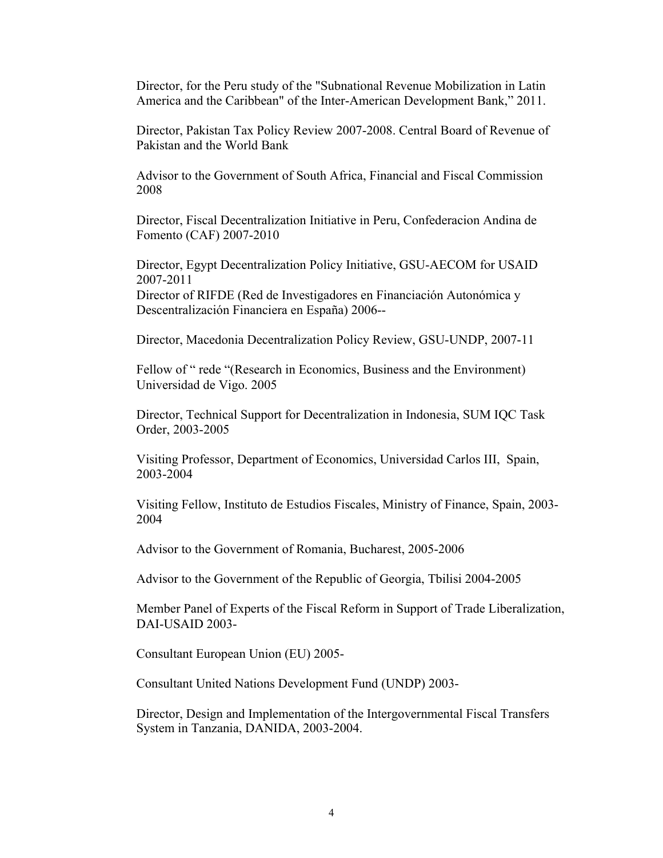Director, for the Peru study of the "Subnational Revenue Mobilization in Latin America and the Caribbean" of the Inter-American Development Bank," 2011.

Director, Pakistan Tax Policy Review 2007-2008. Central Board of Revenue of Pakistan and the World Bank

Advisor to the Government of South Africa, Financial and Fiscal Commission 2008

Director, Fiscal Decentralization Initiative in Peru, Confederacion Andina de Fomento (CAF) 2007-2010

Director, Egypt Decentralization Policy Initiative, GSU-AECOM for USAID 2007-2011

Director of RIFDE (Red de Investigadores en Financiación Autonómica y Descentralización Financiera en España) 2006--

Director, Macedonia Decentralization Policy Review, GSU-UNDP, 2007-11

Fellow of "rede "(Research in Economics, Business and the Environment) Universidad de Vigo. 2005

Director, Technical Support for Decentralization in Indonesia, SUM IQC Task Order, 2003-2005

Visiting Professor, Department of Economics, Universidad Carlos III, Spain, 2003-2004

Visiting Fellow, Instituto de Estudios Fiscales, Ministry of Finance, Spain, 2003- 2004

Advisor to the Government of Romania, Bucharest, 2005-2006

Advisor to the Government of the Republic of Georgia, Tbilisi 2004-2005

Member Panel of Experts of the Fiscal Reform in Support of Trade Liberalization, DAI-USAID 2003-

Consultant European Union (EU) 2005-

Consultant United Nations Development Fund (UNDP) 2003-

Director, Design and Implementation of the Intergovernmental Fiscal Transfers System in Tanzania, DANIDA, 2003-2004.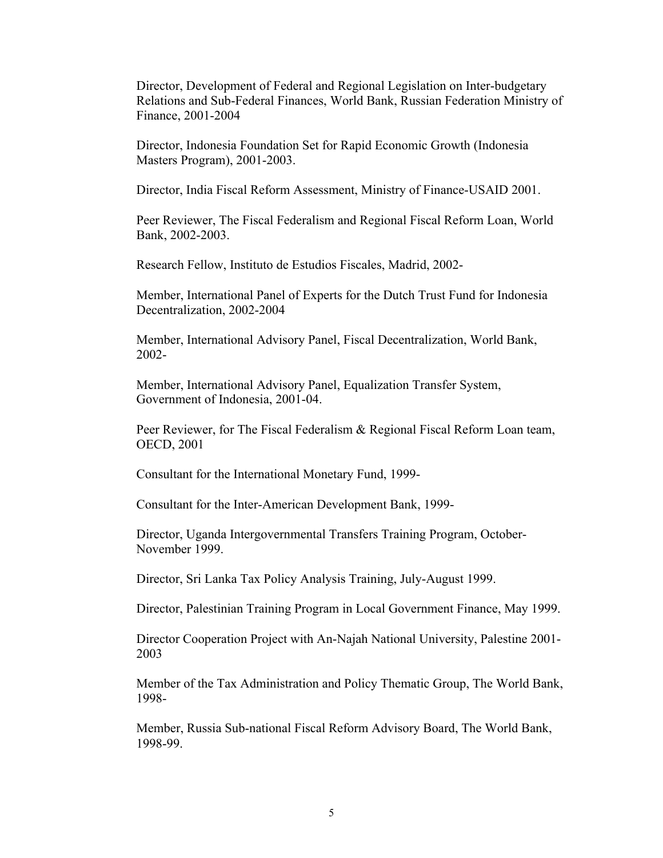Director, Development of Federal and Regional Legislation on Inter-budgetary Relations and Sub-Federal Finances, World Bank, Russian Federation Ministry of Finance, 2001-2004

Director, Indonesia Foundation Set for Rapid Economic Growth (Indonesia Masters Program), 2001-2003.

Director, India Fiscal Reform Assessment, Ministry of Finance-USAID 2001.

Peer Reviewer, The Fiscal Federalism and Regional Fiscal Reform Loan, World Bank, 2002-2003.

Research Fellow, Instituto de Estudios Fiscales, Madrid, 2002-

Member, International Panel of Experts for the Dutch Trust Fund for Indonesia Decentralization, 2002-2004

Member, International Advisory Panel, Fiscal Decentralization, World Bank, 2002-

Member, International Advisory Panel, Equalization Transfer System, Government of Indonesia, 2001-04.

Peer Reviewer, for The Fiscal Federalism & Regional Fiscal Reform Loan team, OECD, 2001

Consultant for the International Monetary Fund, 1999-

Consultant for the Inter-American Development Bank, 1999-

Director, Uganda Intergovernmental Transfers Training Program, October-November 1999.

Director, Sri Lanka Tax Policy Analysis Training, July-August 1999.

Director, Palestinian Training Program in Local Government Finance, May 1999.

Director Cooperation Project with An-Najah National University, Palestine 2001- 2003

Member of the Tax Administration and Policy Thematic Group, The World Bank, 1998-

Member, Russia Sub-national Fiscal Reform Advisory Board, The World Bank, 1998-99.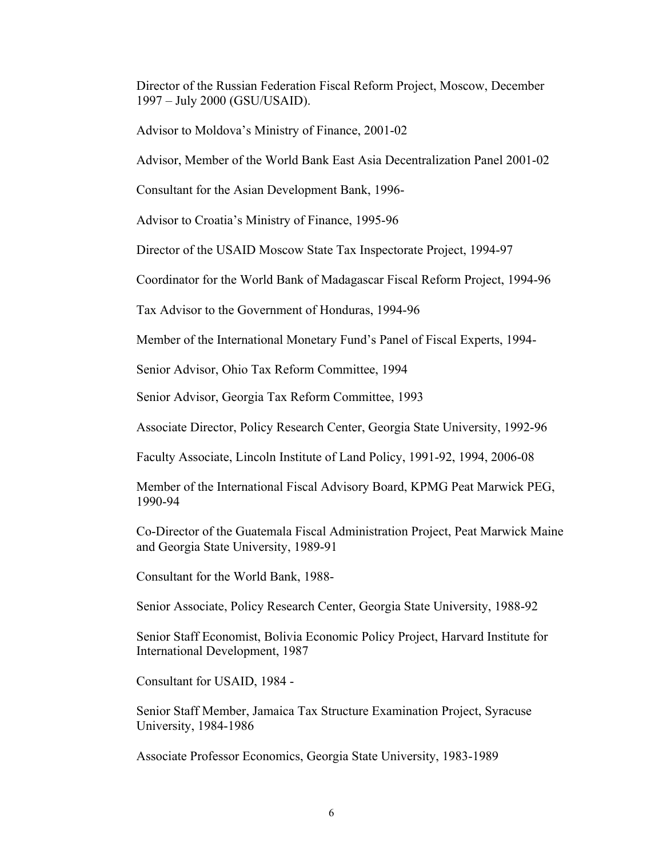Director of the Russian Federation Fiscal Reform Project, Moscow, December 1997 – July 2000 (GSU/USAID).

Advisor to Moldova's Ministry of Finance, 2001-02

Advisor, Member of the World Bank East Asia Decentralization Panel 2001-02

Consultant for the Asian Development Bank, 1996-

Advisor to Croatia's Ministry of Finance, 1995-96

Director of the USAID Moscow State Tax Inspectorate Project, 1994-97

Coordinator for the World Bank of Madagascar Fiscal Reform Project, 1994-96

Tax Advisor to the Government of Honduras, 1994-96

Member of the International Monetary Fund's Panel of Fiscal Experts, 1994-

Senior Advisor, Ohio Tax Reform Committee, 1994

Senior Advisor, Georgia Tax Reform Committee, 1993

Associate Director, Policy Research Center, Georgia State University, 1992-96

Faculty Associate, Lincoln Institute of Land Policy, 1991-92, 1994, 2006-08

Member of the International Fiscal Advisory Board, KPMG Peat Marwick PEG, 1990-94

Co-Director of the Guatemala Fiscal Administration Project, Peat Marwick Maine and Georgia State University, 1989-91

Consultant for the World Bank, 1988-

Senior Associate, Policy Research Center, Georgia State University, 1988-92

Senior Staff Economist, Bolivia Economic Policy Project, Harvard Institute for International Development, 1987

Consultant for USAID, 1984 -

Senior Staff Member, Jamaica Tax Structure Examination Project, Syracuse University, 1984-1986

Associate Professor Economics, Georgia State University, 1983-1989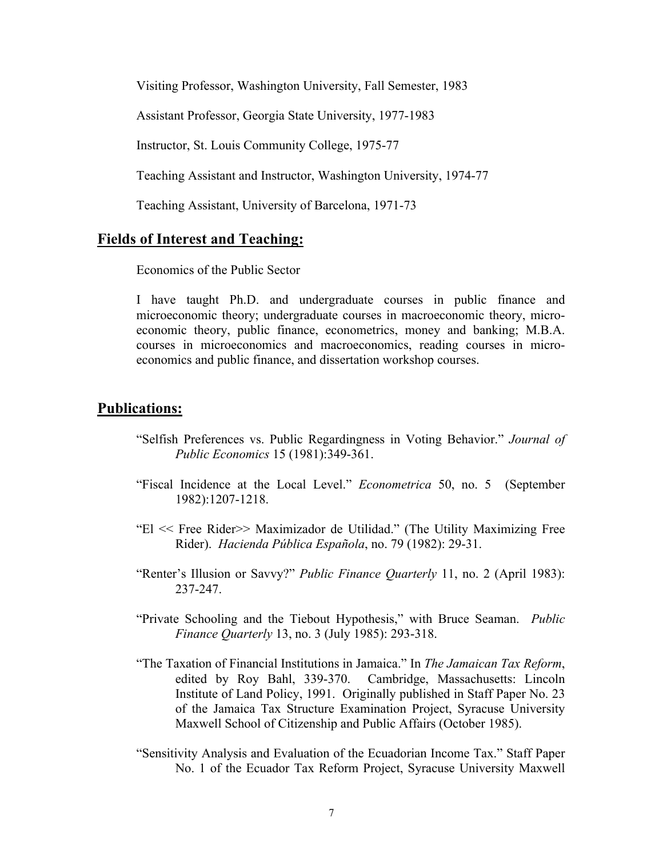Visiting Professor, Washington University, Fall Semester, 1983

Assistant Professor, Georgia State University, 1977-1983

Instructor, St. Louis Community College, 1975-77

Teaching Assistant and Instructor, Washington University, 1974-77

Teaching Assistant, University of Barcelona, 1971-73

#### **Fields of Interest and Teaching:**

Economics of the Public Sector

I have taught Ph.D. and undergraduate courses in public finance and microeconomic theory; undergraduate courses in macroeconomic theory, microeconomic theory, public finance, econometrics, money and banking; M.B.A. courses in microeconomics and macroeconomics, reading courses in microeconomics and public finance, and dissertation workshop courses.

#### **Publications:**

- "Selfish Preferences vs. Public Regardingness in Voting Behavior." *Journal of Public Economics* 15 (1981):349-361.
- "Fiscal Incidence at the Local Level." *Econometrica* 50, no. 5 (September 1982):1207-1218.
- "El << Free Rider>> Maximizador de Utilidad." (The Utility Maximizing Free Rider). *Hacienda Pública Española*, no. 79 (1982): 29-31.
- "Renter's Illusion or Savvy?" *Public Finance Quarterly* 11, no. 2 (April 1983): 237-247.
- "Private Schooling and the Tiebout Hypothesis," with Bruce Seaman. *Public Finance Quarterly* 13, no. 3 (July 1985): 293-318.
- "The Taxation of Financial Institutions in Jamaica." In *The Jamaican Tax Reform*, edited by Roy Bahl, 339-370. Cambridge, Massachusetts: Lincoln Institute of Land Policy, 1991. Originally published in Staff Paper No. 23 of the Jamaica Tax Structure Examination Project, Syracuse University Maxwell School of Citizenship and Public Affairs (October 1985).
- "Sensitivity Analysis and Evaluation of the Ecuadorian Income Tax." Staff Paper No. 1 of the Ecuador Tax Reform Project, Syracuse University Maxwell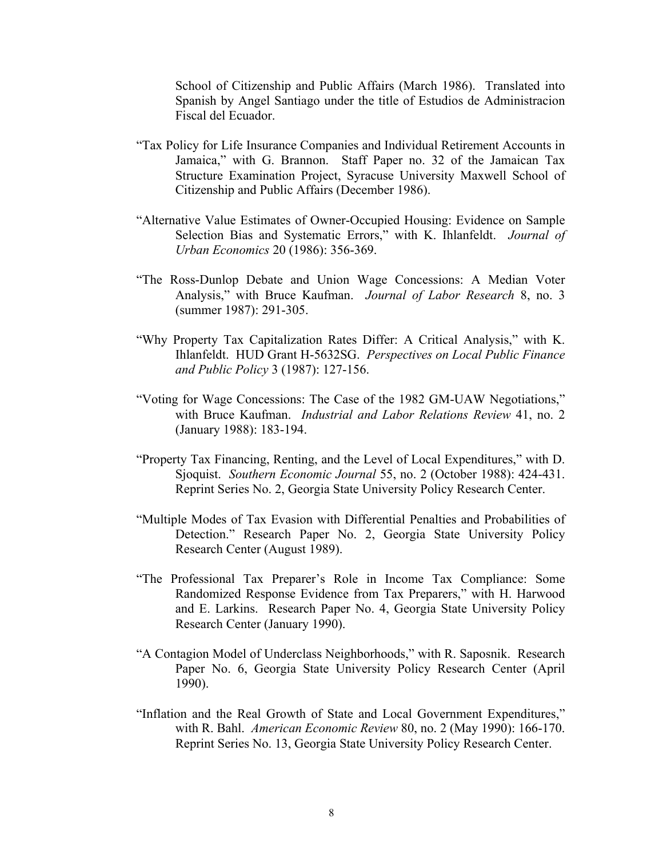School of Citizenship and Public Affairs (March 1986). Translated into Spanish by Angel Santiago under the title of Estudios de Administracion Fiscal del Ecuador.

- "Tax Policy for Life Insurance Companies and Individual Retirement Accounts in Jamaica," with G. Brannon. Staff Paper no. 32 of the Jamaican Tax Structure Examination Project, Syracuse University Maxwell School of Citizenship and Public Affairs (December 1986).
- "Alternative Value Estimates of Owner-Occupied Housing: Evidence on Sample Selection Bias and Systematic Errors," with K. Ihlanfeldt. *Journal of Urban Economics* 20 (1986): 356-369.
- "The Ross-Dunlop Debate and Union Wage Concessions: A Median Voter Analysis," with Bruce Kaufman. *Journal of Labor Research* 8, no. 3 (summer 1987): 291-305.
- "Why Property Tax Capitalization Rates Differ: A Critical Analysis," with K. Ihlanfeldt. HUD Grant H-5632SG. *Perspectives on Local Public Finance and Public Policy* 3 (1987): 127-156.
- "Voting for Wage Concessions: The Case of the 1982 GM-UAW Negotiations," with Bruce Kaufman. *Industrial and Labor Relations Review* 41, no. 2 (January 1988): 183-194.
- "Property Tax Financing, Renting, and the Level of Local Expenditures," with D. Sjoquist. *Southern Economic Journal* 55, no. 2 (October 1988): 424-431. Reprint Series No. 2, Georgia State University Policy Research Center.
- "Multiple Modes of Tax Evasion with Differential Penalties and Probabilities of Detection." Research Paper No. 2, Georgia State University Policy Research Center (August 1989).
- "The Professional Tax Preparer's Role in Income Tax Compliance: Some Randomized Response Evidence from Tax Preparers," with H. Harwood and E. Larkins. Research Paper No. 4, Georgia State University Policy Research Center (January 1990).
- "A Contagion Model of Underclass Neighborhoods," with R. Saposnik. Research Paper No. 6, Georgia State University Policy Research Center (April 1990).
- "Inflation and the Real Growth of State and Local Government Expenditures," with R. Bahl. *American Economic Review* 80, no. 2 (May 1990): 166-170. Reprint Series No. 13, Georgia State University Policy Research Center.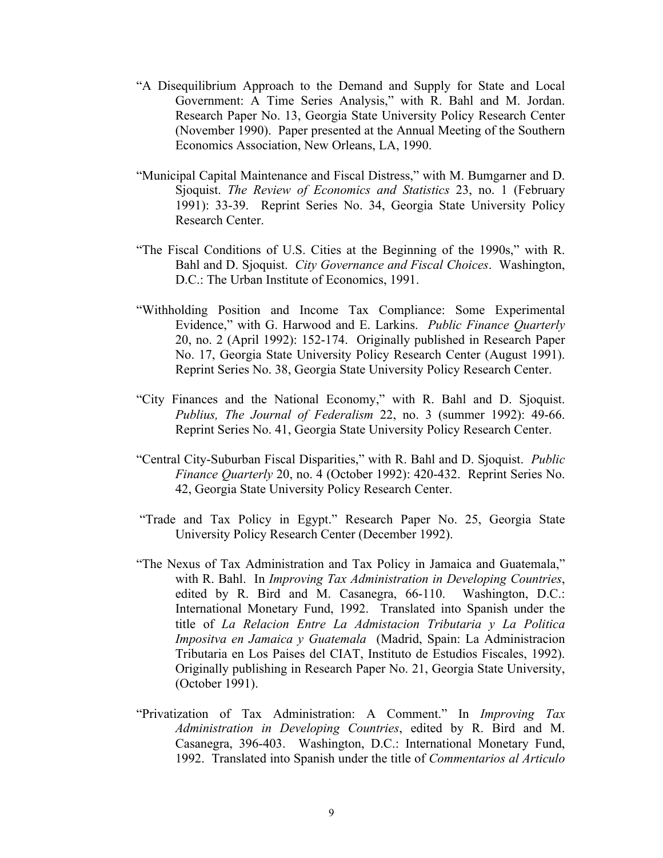- "A Disequilibrium Approach to the Demand and Supply for State and Local Government: A Time Series Analysis," with R. Bahl and M. Jordan. Research Paper No. 13, Georgia State University Policy Research Center (November 1990). Paper presented at the Annual Meeting of the Southern Economics Association, New Orleans, LA, 1990.
- "Municipal Capital Maintenance and Fiscal Distress," with M. Bumgarner and D. Sjoquist. *The Review of Economics and Statistics* 23, no. 1 (February 1991): 33-39. Reprint Series No. 34, Georgia State University Policy Research Center.
- "The Fiscal Conditions of U.S. Cities at the Beginning of the 1990s," with R. Bahl and D. Sjoquist. *City Governance and Fiscal Choices*. Washington, D.C.: The Urban Institute of Economics, 1991.
- "Withholding Position and Income Tax Compliance: Some Experimental Evidence," with G. Harwood and E. Larkins. *Public Finance Quarterly* 20, no. 2 (April 1992): 152-174. Originally published in Research Paper No. 17, Georgia State University Policy Research Center (August 1991). Reprint Series No. 38, Georgia State University Policy Research Center.
- "City Finances and the National Economy," with R. Bahl and D. Sjoquist. *Publius, The Journal of Federalism* 22, no. 3 (summer 1992): 49-66. Reprint Series No. 41, Georgia State University Policy Research Center.
- "Central City-Suburban Fiscal Disparities," with R. Bahl and D. Sjoquist. *Public Finance Quarterly* 20, no. 4 (October 1992): 420-432. Reprint Series No. 42, Georgia State University Policy Research Center.
- "Trade and Tax Policy in Egypt." Research Paper No. 25, Georgia State University Policy Research Center (December 1992).
- "The Nexus of Tax Administration and Tax Policy in Jamaica and Guatemala," with R. Bahl. In *Improving Tax Administration in Developing Countries*, edited by R. Bird and M. Casanegra, 66-110. Washington, D.C.: International Monetary Fund, 1992. Translated into Spanish under the title of *La Relacion Entre La Admistacion Tributaria y La Politica Impositva en Jamaica y Guatemala* (Madrid, Spain: La Administracion Tributaria en Los Paises del CIAT, Instituto de Estudios Fiscales, 1992). Originally publishing in Research Paper No. 21, Georgia State University, (October 1991).
- "Privatization of Tax Administration: A Comment." In *Improving Tax Administration in Developing Countries*, edited by R. Bird and M. Casanegra, 396-403. Washington, D.C.: International Monetary Fund, 1992. Translated into Spanish under the title of *Commentarios al Articulo*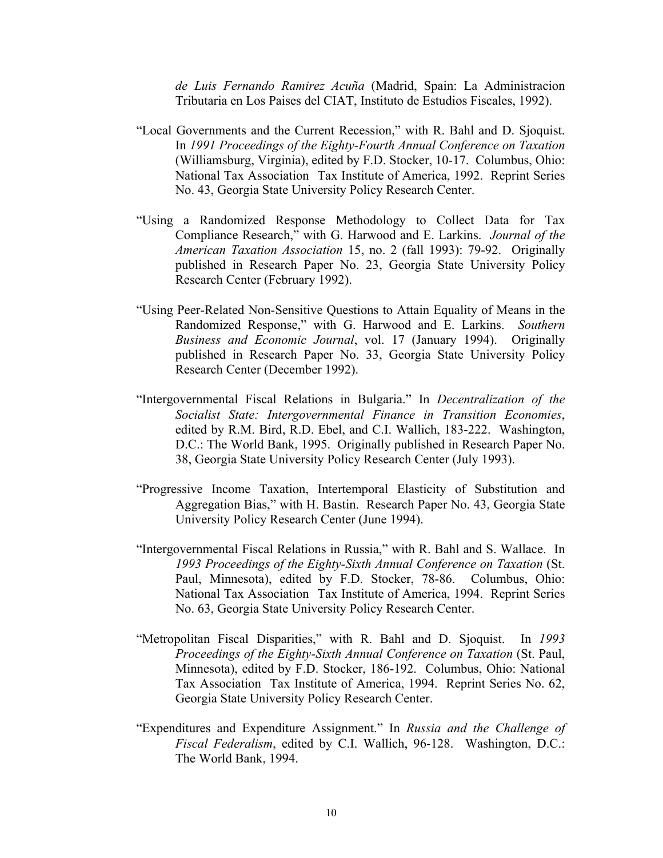*de Luis Fernando Ramirez Acuña* (Madrid, Spain: La Administracion Tributaria en Los Paises del CIAT, Instituto de Estudios Fiscales, 1992).

- "Local Governments and the Current Recession," with R. Bahl and D. Sjoquist. In *1991 Proceedings of the Eighty-Fourth Annual Conference on Taxation*  (Williamsburg, Virginia), edited by F.D. Stocker, 10-17. Columbus, Ohio: National Tax Association Tax Institute of America, 1992. Reprint Series No. 43, Georgia State University Policy Research Center.
- "Using a Randomized Response Methodology to Collect Data for Tax Compliance Research," with G. Harwood and E. Larkins. *Journal of the American Taxation Association* 15, no. 2 (fall 1993): 79-92. Originally published in Research Paper No. 23, Georgia State University Policy Research Center (February 1992).
- "Using Peer-Related Non-Sensitive Questions to Attain Equality of Means in the Randomized Response," with G. Harwood and E. Larkins. *Southern Business and Economic Journal*, vol. 17 (January 1994). Originally published in Research Paper No. 33, Georgia State University Policy Research Center (December 1992).
- "Intergovernmental Fiscal Relations in Bulgaria." In *Decentralization of the Socialist State: Intergovernmental Finance in Transition Economies*, edited by R.M. Bird, R.D. Ebel, and C.I. Wallich, 183-222. Washington, D.C.: The World Bank, 1995. Originally published in Research Paper No. 38, Georgia State University Policy Research Center (July 1993).
- "Progressive Income Taxation, Intertemporal Elasticity of Substitution and Aggregation Bias," with H. Bastin. Research Paper No. 43, Georgia State University Policy Research Center (June 1994).
- "Intergovernmental Fiscal Relations in Russia," with R. Bahl and S. Wallace. In *1993 Proceedings of the Eighty-Sixth Annual Conference on Taxation* (St. Paul, Minnesota), edited by F.D. Stocker, 78-86. Columbus, Ohio: National Tax Association Tax Institute of America, 1994. Reprint Series No. 63, Georgia State University Policy Research Center.
- "Metropolitan Fiscal Disparities," with R. Bahl and D. Sjoquist. In *1993 Proceedings of the Eighty-Sixth Annual Conference on Taxation* (St. Paul, Minnesota), edited by F.D. Stocker, 186-192. Columbus, Ohio: National Tax Association Tax Institute of America, 1994. Reprint Series No. 62, Georgia State University Policy Research Center.
- "Expenditures and Expenditure Assignment." In *Russia and the Challenge of Fiscal Federalism*, edited by C.I. Wallich, 96-128. Washington, D.C.: The World Bank, 1994.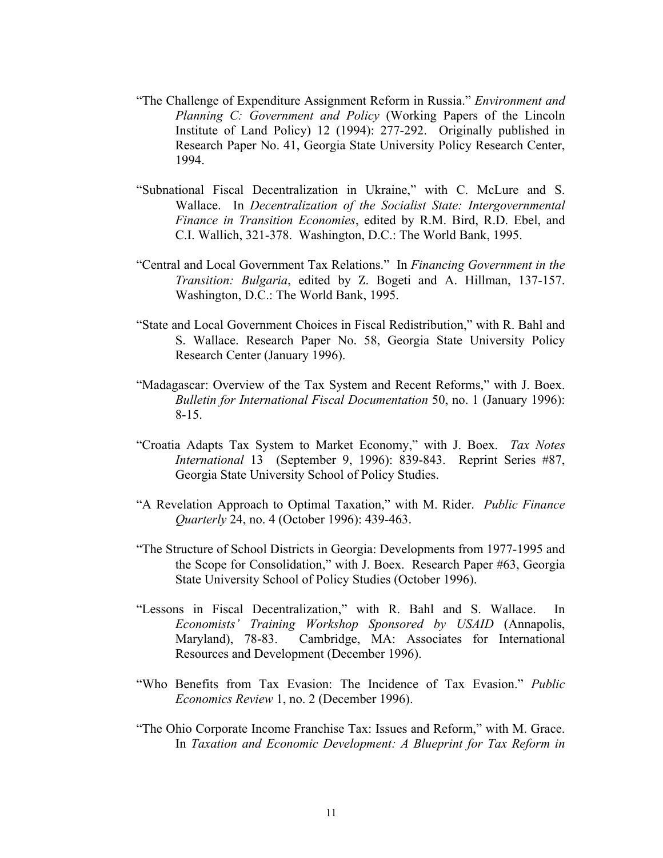- "The Challenge of Expenditure Assignment Reform in Russia." *Environment and Planning C: Government and Policy* (Working Papers of the Lincoln Institute of Land Policy) 12 (1994): 277-292. Originally published in Research Paper No. 41, Georgia State University Policy Research Center, 1994.
- "Subnational Fiscal Decentralization in Ukraine," with C. McLure and S. Wallace. In *Decentralization of the Socialist State: Intergovernmental Finance in Transition Economies*, edited by R.M. Bird, R.D. Ebel, and C.I. Wallich, 321-378. Washington, D.C.: The World Bank, 1995.
- "Central and Local Government Tax Relations." In *Financing Government in the Transition: Bulgaria*, edited by Z. Bogeti and A. Hillman, 137-157. Washington, D.C.: The World Bank, 1995.
- "State and Local Government Choices in Fiscal Redistribution," with R. Bahl and S. Wallace. Research Paper No. 58, Georgia State University Policy Research Center (January 1996).
- "Madagascar: Overview of the Tax System and Recent Reforms," with J. Boex. *Bulletin for International Fiscal Documentation* 50, no. 1 (January 1996): 8-15.
- "Croatia Adapts Tax System to Market Economy," with J. Boex. *Tax Notes International* 13 (September 9, 1996): 839-843. Reprint Series #87, Georgia State University School of Policy Studies.
- "A Revelation Approach to Optimal Taxation," with M. Rider. *Public Finance Quarterly* 24, no. 4 (October 1996): 439-463.
- "The Structure of School Districts in Georgia: Developments from 1977-1995 and the Scope for Consolidation," with J. Boex. Research Paper #63, Georgia State University School of Policy Studies (October 1996).
- "Lessons in Fiscal Decentralization," with R. Bahl and S. Wallace. In *Economists' Training Workshop Sponsored by USAID* (Annapolis, Maryland), 78-83. Cambridge, MA: Associates for International Resources and Development (December 1996).
- "Who Benefits from Tax Evasion: The Incidence of Tax Evasion." *Public Economics Review* 1, no. 2 (December 1996).
- "The Ohio Corporate Income Franchise Tax: Issues and Reform," with M. Grace. In *Taxation and Economic Development: A Blueprint for Tax Reform in*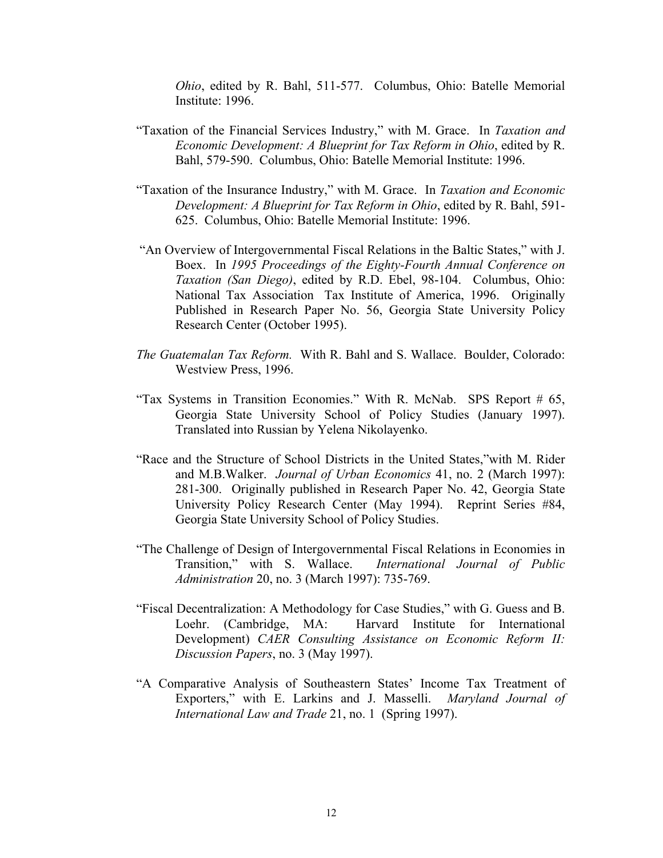*Ohio*, edited by R. Bahl, 511-577. Columbus, Ohio: Batelle Memorial Institute: 1996.

- "Taxation of the Financial Services Industry," with M. Grace. In *Taxation and Economic Development: A Blueprint for Tax Reform in Ohio*, edited by R. Bahl, 579-590. Columbus, Ohio: Batelle Memorial Institute: 1996.
- "Taxation of the Insurance Industry," with M. Grace. In *Taxation and Economic Development: A Blueprint for Tax Reform in Ohio*, edited by R. Bahl, 591- 625. Columbus, Ohio: Batelle Memorial Institute: 1996.
- "An Overview of Intergovernmental Fiscal Relations in the Baltic States," with J. Boex. In *1995 Proceedings of the Eighty-Fourth Annual Conference on Taxation (San Diego)*, edited by R.D. Ebel, 98-104. Columbus, Ohio: National Tax Association Tax Institute of America, 1996. Originally Published in Research Paper No. 56, Georgia State University Policy Research Center (October 1995).
- *The Guatemalan Tax Reform.* With R. Bahl and S. Wallace. Boulder, Colorado: Westview Press, 1996.
- "Tax Systems in Transition Economies." With R. McNab. SPS Report # 65, Georgia State University School of Policy Studies (January 1997). Translated into Russian by Yelena Nikolayenko.
- "Race and the Structure of School Districts in the United States,"with M. Rider and M.B.Walker. *Journal of Urban Economics* 41, no. 2 (March 1997): 281-300. Originally published in Research Paper No. 42, Georgia State University Policy Research Center (May 1994). Reprint Series #84, Georgia State University School of Policy Studies.
- "The Challenge of Design of Intergovernmental Fiscal Relations in Economies in Transition," with S. Wallace. *International Journal of Public Administration* 20, no. 3 (March 1997): 735-769.
- "Fiscal Decentralization: A Methodology for Case Studies," with G. Guess and B. Loehr. (Cambridge, MA: Harvard Institute for International Development) *CAER Consulting Assistance on Economic Reform II: Discussion Papers*, no. 3 (May 1997).
- "A Comparative Analysis of Southeastern States' Income Tax Treatment of Exporters," with E. Larkins and J. Masselli. *Maryland Journal of International Law and Trade* 21, no. 1 (Spring 1997).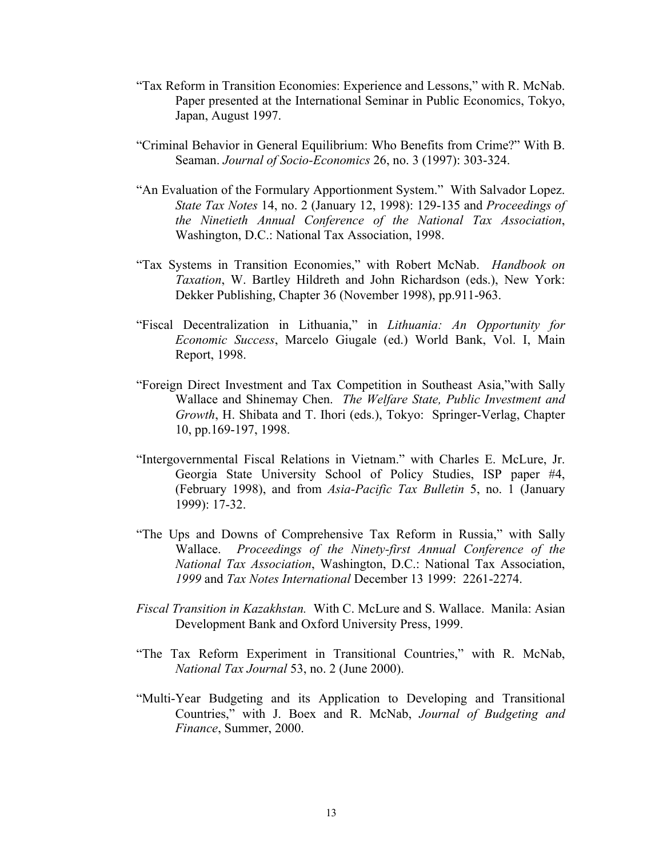- "Tax Reform in Transition Economies: Experience and Lessons," with R. McNab. Paper presented at the International Seminar in Public Economics, Tokyo, Japan, August 1997.
- "Criminal Behavior in General Equilibrium: Who Benefits from Crime?" With B. Seaman. *Journal of Socio-Economics* 26, no. 3 (1997): 303-324.
- "An Evaluation of the Formulary Apportionment System." With Salvador Lopez. *State Tax Notes* 14, no. 2 (January 12, 1998): 129-135 and *Proceedings of the Ninetieth Annual Conference of the National Tax Association*, Washington, D.C.: National Tax Association, 1998.
- "Tax Systems in Transition Economies," with Robert McNab.*Handbook on Taxation*, W. Bartley Hildreth and John Richardson (eds.), New York: Dekker Publishing, Chapter 36 (November 1998), pp.911-963.
- "Fiscal Decentralization in Lithuania," in *Lithuania: An Opportunity for Economic Success*, Marcelo Giugale (ed.) World Bank, Vol. I, Main Report, 1998.
- "Foreign Direct Investment and Tax Competition in Southeast Asia,"with Sally Wallace and Shinemay Chen. *The Welfare State, Public Investment and Growth*, H. Shibata and T. Ihori (eds.), Tokyo: Springer-Verlag, Chapter 10, pp.169-197, 1998.
- "Intergovernmental Fiscal Relations in Vietnam." with Charles E. McLure, Jr. Georgia State University School of Policy Studies, ISP paper #4, (February 1998), and from *Asia-Pacific Tax Bulletin* 5, no. 1 (January 1999): 17-32.
- "The Ups and Downs of Comprehensive Tax Reform in Russia," with Sally Wallace. *Proceedings of the Ninety-first Annual Conference of the National Tax Association*, Washington, D.C.: National Tax Association, *1999* and *Tax Notes International* December 13 1999: 2261-2274.
- *Fiscal Transition in Kazakhstan.* With C. McLure and S. Wallace. Manila: Asian Development Bank and Oxford University Press, 1999.
- "The Tax Reform Experiment in Transitional Countries," with R. McNab, *National Tax Journal* 53, no. 2 (June 2000).
- "Multi-Year Budgeting and its Application to Developing and Transitional Countries," with J. Boex and R. McNab, *Journal of Budgeting and Finance*, Summer, 2000.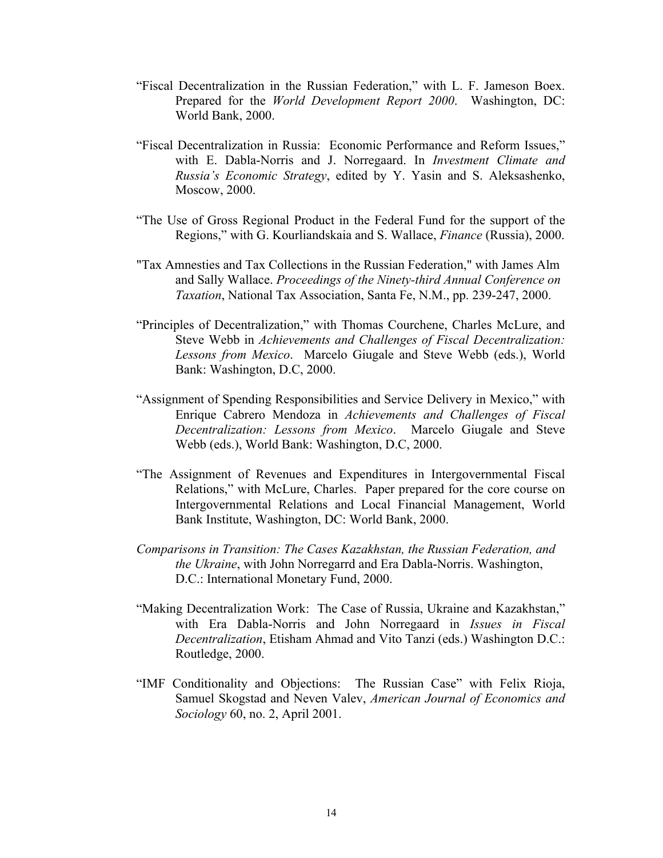- "Fiscal Decentralization in the Russian Federation," with L. F. Jameson Boex. Prepared for the *World Development Report 2000*. Washington, DC: World Bank, 2000.
- "Fiscal Decentralization in Russia: Economic Performance and Reform Issues," with E. Dabla-Norris and J. Norregaard. In *Investment Climate and Russia's Economic Strategy*, edited by Y. Yasin and S. Aleksashenko, Moscow, 2000.
- "The Use of Gross Regional Product in the Federal Fund for the support of the Regions," with G. Kourliandskaia and S. Wallace, *Finance* (Russia), 2000.
- "Tax Amnesties and Tax Collections in the Russian Federation," with James Alm and Sally Wallace. *Proceedings of the Ninety-third Annual Conference on Taxation*, National Tax Association, Santa Fe, N.M., pp. 239-247, 2000.
- "Principles of Decentralization," with Thomas Courchene, Charles McLure, and Steve Webb in *Achievements and Challenges of Fiscal Decentralization: Lessons from Mexico*. Marcelo Giugale and Steve Webb (eds.), World Bank: Washington, D.C, 2000.
- "Assignment of Spending Responsibilities and Service Delivery in Mexico," with Enrique Cabrero Mendoza in *Achievements and Challenges of Fiscal Decentralization: Lessons from Mexico*. Marcelo Giugale and Steve Webb (eds.), World Bank: Washington, D.C, 2000.
- "The Assignment of Revenues and Expenditures in Intergovernmental Fiscal Relations," with McLure, Charles. Paper prepared for the core course on Intergovernmental Relations and Local Financial Management, World Bank Institute, Washington, DC: World Bank, 2000.
- *Comparisons in Transition: The Cases Kazakhstan, the Russian Federation, and the Ukraine*, with John Norregarrd and Era Dabla-Norris. Washington, D.C.: International Monetary Fund, 2000.
- "Making Decentralization Work: The Case of Russia, Ukraine and Kazakhstan," with Era Dabla-Norris and John Norregaard in *Issues in Fiscal Decentralization*, Etisham Ahmad and Vito Tanzi (eds.) Washington D.C.: Routledge, 2000.
- "IMF Conditionality and Objections: The Russian Case" with Felix Rioja, Samuel Skogstad and Neven Valev, *American Journal of Economics and Sociology* 60, no. 2, April 2001.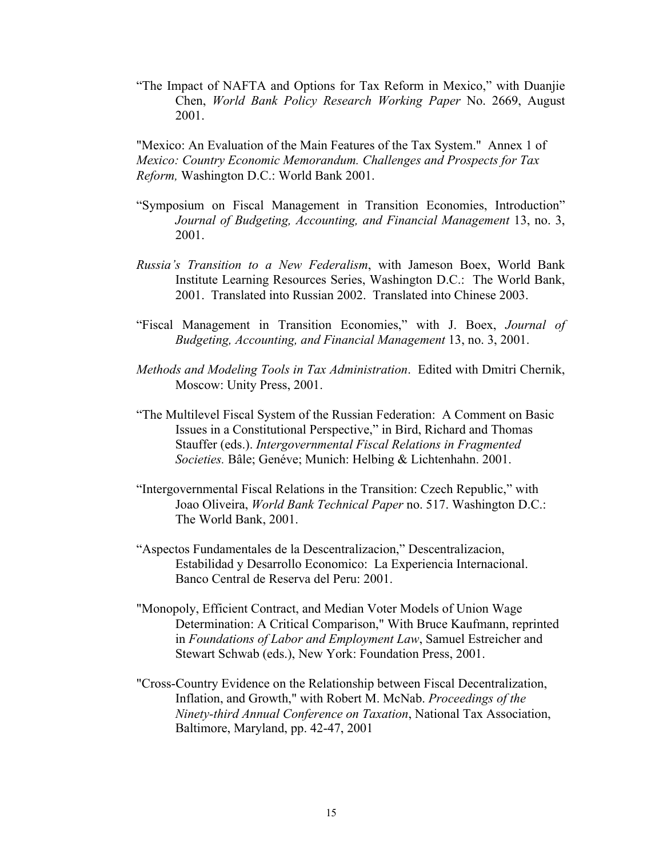"The Impact of NAFTA and Options for Tax Reform in Mexico," with Duanjie Chen, *World Bank Policy Research Working Paper* No. 2669, August 2001.

"Mexico: An Evaluation of the Main Features of the Tax System." Annex 1 of *Mexico: Country Economic Memorandum. Challenges and Prospects for Tax Reform,* Washington D.C.: World Bank 2001.

- "Symposium on Fiscal Management in Transition Economies, Introduction" *Journal of Budgeting, Accounting, and Financial Management* 13, no. 3, 2001.
- *Russia's Transition to a New Federalism*, with Jameson Boex, World Bank Institute Learning Resources Series, Washington D.C.: The World Bank, 2001. Translated into Russian 2002. Translated into Chinese 2003.
- "Fiscal Management in Transition Economies," with J. Boex, *Journal of Budgeting, Accounting, and Financial Management* 13, no. 3, 2001.
- *Methods and Modeling Tools in Tax Administration*. Edited with Dmitri Chernik, Moscow: Unity Press, 2001.
- "The Multilevel Fiscal System of the Russian Federation: A Comment on Basic Issues in a Constitutional Perspective," in Bird, Richard and Thomas Stauffer (eds.). *Intergovernmental Fiscal Relations in Fragmented Societies.* Bâle; Genéve; Munich: Helbing & Lichtenhahn. 2001.
- "Intergovernmental Fiscal Relations in the Transition: Czech Republic," with Joao Oliveira, *World Bank Technical Paper* no. 517. Washington D.C.: The World Bank, 2001.
- "Aspectos Fundamentales de la Descentralizacion," Descentralizacion, Estabilidad y Desarrollo Economico: La Experiencia Internacional. Banco Central de Reserva del Peru: 2001.
- "Monopoly, Efficient Contract, and Median Voter Models of Union Wage Determination: A Critical Comparison," With Bruce Kaufmann, reprinted in *Foundations of Labor and Employment Law*, Samuel Estreicher and Stewart Schwab (eds.), New York: Foundation Press, 2001.
- "Cross-Country Evidence on the Relationship between Fiscal Decentralization, Inflation, and Growth," with Robert M. McNab. *Proceedings of the Ninety-third Annual Conference on Taxation*, National Tax Association, Baltimore, Maryland, pp. 42-47, 2001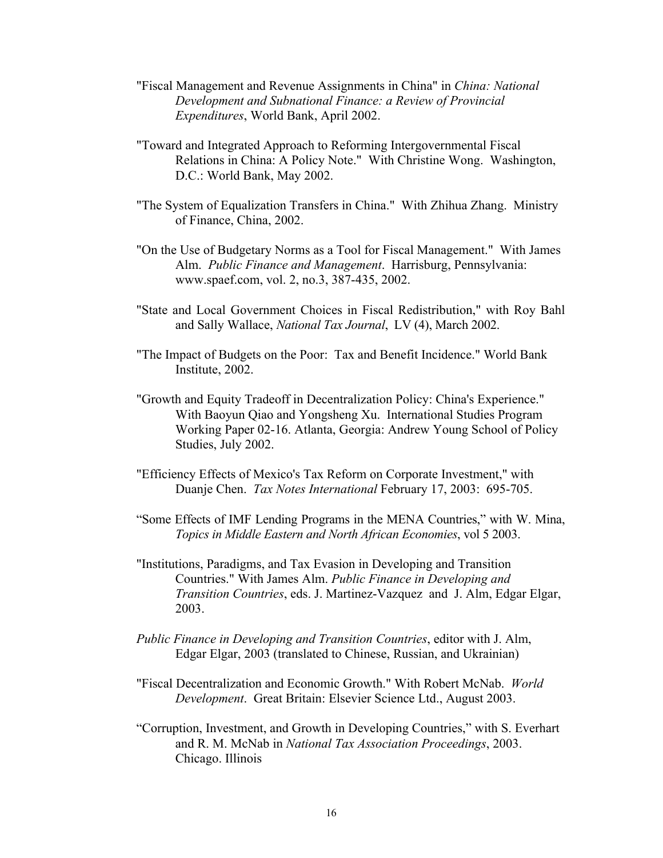- "Fiscal Management and Revenue Assignments in China" in *China: National Development and Subnational Finance: a Review of Provincial Expenditures*, World Bank, April 2002.
- "Toward and Integrated Approach to Reforming Intergovernmental Fiscal Relations in China: A Policy Note." With Christine Wong. Washington, D.C.: World Bank, May 2002.
- "The System of Equalization Transfers in China." With Zhihua Zhang. Ministry of Finance, China, 2002.
- "On the Use of Budgetary Norms as a Tool for Fiscal Management." With James Alm. *Public Finance and Management*. Harrisburg, Pennsylvania: www.spaef.com, vol. 2, no.3, 387-435, 2002.
- "State and Local Government Choices in Fiscal Redistribution," with Roy Bahl and Sally Wallace, *National Tax Journal*, LV (4), March 2002.
- "The Impact of Budgets on the Poor: Tax and Benefit Incidence." World Bank Institute, 2002.
- "Growth and Equity Tradeoff in Decentralization Policy: China's Experience." With Baoyun Qiao and Yongsheng Xu. International Studies Program Working Paper 02-16. Atlanta, Georgia: Andrew Young School of Policy Studies, July 2002.
- "Efficiency Effects of Mexico's Tax Reform on Corporate Investment," with Duanje Chen. *Tax Notes International* February 17, 2003: 695-705.
- "Some Effects of IMF Lending Programs in the MENA Countries," with W. Mina, *Topics in Middle Eastern and North African Economies*, vol 5 2003.
- "Institutions, Paradigms, and Tax Evasion in Developing and Transition Countries." With James Alm. *Public Finance in Developing and Transition Countries*, eds. J. Martinez-Vazquez and J. Alm, Edgar Elgar, 2003.
- *Public Finance in Developing and Transition Countries*, editor with J. Alm, Edgar Elgar, 2003 (translated to Chinese, Russian, and Ukrainian)
- "Fiscal Decentralization and Economic Growth." With Robert McNab. *World Development*. Great Britain: Elsevier Science Ltd., August 2003.
- "Corruption, Investment, and Growth in Developing Countries," with S. Everhart and R. M. McNab in *National Tax Association Proceedings*, 2003. Chicago. Illinois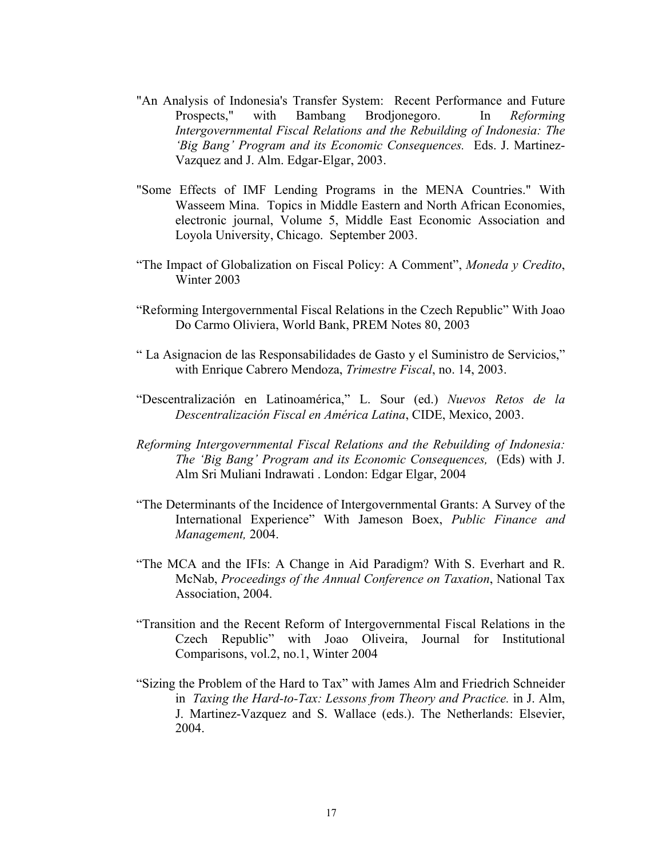- "An Analysis of Indonesia's Transfer System: Recent Performance and Future Prospects," with Bambang Brodjonegoro. In *Reforming Intergovernmental Fiscal Relations and the Rebuilding of Indonesia: The 'Big Bang' Program and its Economic Consequences.* Eds. J. Martinez-Vazquez and J. Alm. Edgar-Elgar, 2003.
- "Some Effects of IMF Lending Programs in the MENA Countries." With Wasseem Mina. Topics in Middle Eastern and North African Economies, electronic journal, Volume 5, Middle East Economic Association and Loyola University, Chicago. September 2003.
- "The Impact of Globalization on Fiscal Policy: A Comment", *Moneda y Credito*, Winter 2003
- "Reforming Intergovernmental Fiscal Relations in the Czech Republic" With Joao Do Carmo Oliviera, World Bank, PREM Notes 80, 2003
- " La Asignacion de las Responsabilidades de Gasto y el Suministro de Servicios," with Enrique Cabrero Mendoza, *Trimestre Fiscal*, no. 14, 2003.
- "Descentralización en Latinoamérica," L. Sour (ed.) *Nuevos Retos de la Descentralización Fiscal en América Latina*, CIDE, Mexico, 2003.
- *Reforming Intergovernmental Fiscal Relations and the Rebuilding of Indonesia: The 'Big Bang' Program and its Economic Consequences,* (Eds) with J. Alm Sri Muliani Indrawati . London: Edgar Elgar, 2004
- "The Determinants of the Incidence of Intergovernmental Grants: A Survey of the International Experience" With Jameson Boex, *Public Finance and Management,* 2004.
- "The MCA and the IFIs: A Change in Aid Paradigm? With S. Everhart and R. McNab, *Proceedings of the Annual Conference on Taxation*, National Tax Association, 2004.
- "Transition and the Recent Reform of Intergovernmental Fiscal Relations in the Czech Republic" with Joao Oliveira, Journal for Institutional Comparisons, vol.2, no.1, Winter 2004
- "Sizing the Problem of the Hard to Tax" with James Alm and Friedrich Schneider in *Taxing the Hard-to-Tax: Lessons from Theory and Practice.* in J. Alm, J. Martinez-Vazquez and S. Wallace (eds.). The Netherlands: Elsevier, 2004.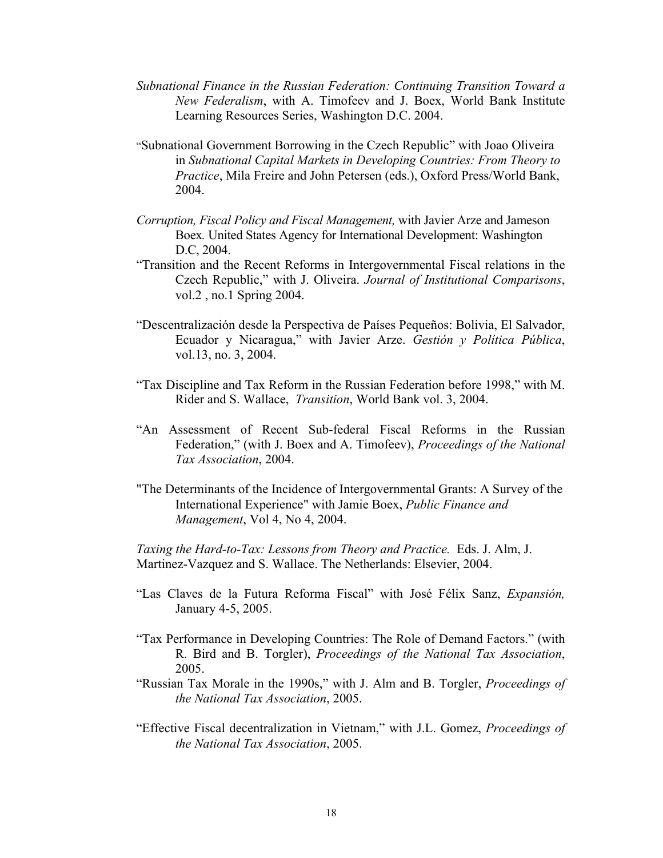- *Subnational Finance in the Russian Federation: Continuing Transition Toward a New Federalism*, with A. Timofeev and J. Boex, World Bank Institute Learning Resources Series, Washington D.C. 2004.
- "Subnational Government Borrowing in the Czech Republic" with Joao Oliveira in *Subnational Capital Markets in Developing Countries: From Theory to Practice*, Mila Freire and John Petersen (eds.), Oxford Press/World Bank, 2004.
- *Corruption, Fiscal Policy and Fiscal Management,* with Javier Arze and Jameson Boex*.* United States Agency for International Development: Washington D.C, 2004.
- "Transition and the Recent Reforms in Intergovernmental Fiscal relations in the Czech Republic," with J. Oliveira. *Journal of Institutional Comparisons*, vol.2 , no.1 Spring 2004.
- "Descentralización desde la Perspectiva de Países Pequeños: Bolivia, El Salvador, Ecuador y Nicaragua," with Javier Arze. *Gestión y Política Pública*, vol.13, no. 3, 2004.
- "Tax Discipline and Tax Reform in the Russian Federation before 1998," with M. Rider and S. Wallace, *Transition*, World Bank vol. 3, 2004.
- "An Assessment of Recent Sub-federal Fiscal Reforms in the Russian Federation," (with J. Boex and A. Timofeev), *Proceedings of the National Tax Association*, 2004.
- "The Determinants of the Incidence of Intergovernmental Grants: A Survey of the International Experience" with Jamie Boex, *Public Finance and Management*, Vol 4, No 4, 2004.

*Taxing the Hard-to-Tax: Lessons from Theory and Practice.* Eds. J. Alm, J. Martinez-Vazquez and S. Wallace. The Netherlands: Elsevier, 2004.

- "Las Claves de la Futura Reforma Fiscal" with José Félix Sanz, *Expansión,* January 4-5, 2005.
- "Tax Performance in Developing Countries: The Role of Demand Factors." (with R. Bird and B. Torgler), *Proceedings of the National Tax Association*, 2005.
- "Russian Tax Morale in the 1990s," with J. Alm and B. Torgler, *Proceedings of the National Tax Association*, 2005.
- "Effective Fiscal decentralization in Vietnam," with J.L. Gomez, *Proceedings of the National Tax Association*, 2005.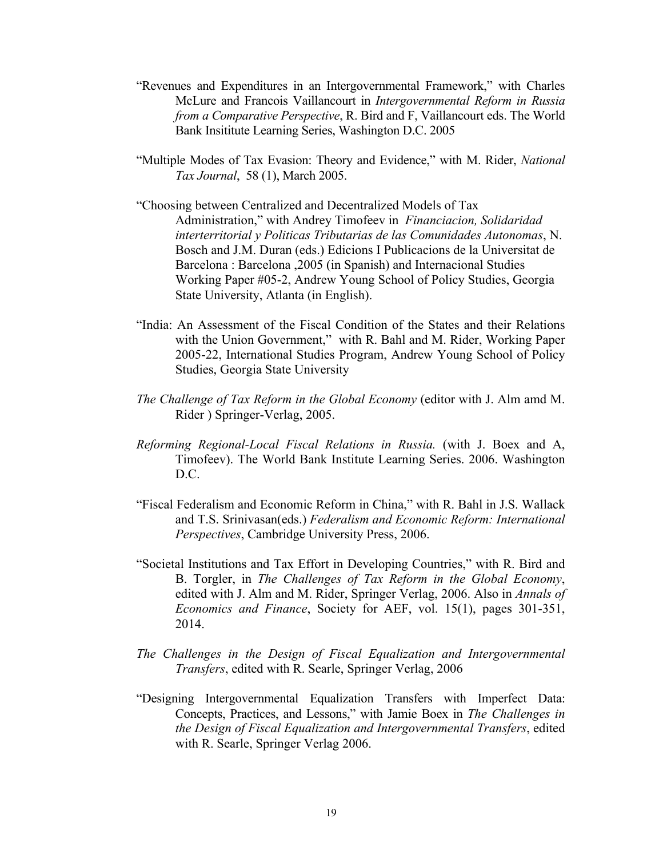- "Revenues and Expenditures in an Intergovernmental Framework," with Charles McLure and Francois Vaillancourt in *Intergovernmental Reform in Russia from a Comparative Perspective*, R. Bird and F, Vaillancourt eds. The World Bank Insititute Learning Series, Washington D.C. 2005
- "Multiple Modes of Tax Evasion: Theory and Evidence," with M. Rider, *National Tax Journal*, 58 (1), March 2005.
- "Choosing between Centralized and Decentralized Models of Tax Administration," with Andrey Timofeev in *Financiacion, Solidaridad interterritorial y Politicas Tributarias de las Comunidades Autonomas*, N. Bosch and J.M. Duran (eds.) Edicions I Publicacions de la Universitat de Barcelona : Barcelona ,2005 (in Spanish) and Internacional Studies Working Paper #05-2, Andrew Young School of Policy Studies, Georgia State University, Atlanta (in English).
- "India: An Assessment of the Fiscal Condition of the States and their Relations with the Union Government," with R. Bahl and M. Rider, Working Paper 2005-22, International Studies Program, Andrew Young School of Policy Studies, Georgia State University
- *The Challenge of Tax Reform in the Global Economy* (editor with J. Alm amd M. Rider ) Springer-Verlag, 2005.
- *Reforming Regional-Local Fiscal Relations in Russia.* (with J. Boex and A, Timofeev). The World Bank Institute Learning Series. 2006. Washington D.C.
- "Fiscal Federalism and Economic Reform in China," with R. Bahl in J.S. Wallack and T.S. Srinivasan(eds.) *Federalism and Economic Reform: International Perspectives*, Cambridge University Press, 2006.
- "Societal Institutions and Tax Effort in Developing Countries," with R. Bird and B. Torgler, in *The Challenges of Tax Reform in the Global Economy*, edited with J. Alm and M. Rider, Springer Verlag, 2006. Also in *Annals of Economics and Finance*, Society for AEF, vol. 15(1), pages 301-351, 2014.
- *The Challenges in the Design of Fiscal Equalization and Intergovernmental Transfers*, edited with R. Searle, Springer Verlag, 2006
- "Designing Intergovernmental Equalization Transfers with Imperfect Data: Concepts, Practices, and Lessons," with Jamie Boex in *The Challenges in the Design of Fiscal Equalization and Intergovernmental Transfers*, edited with R. Searle, Springer Verlag 2006.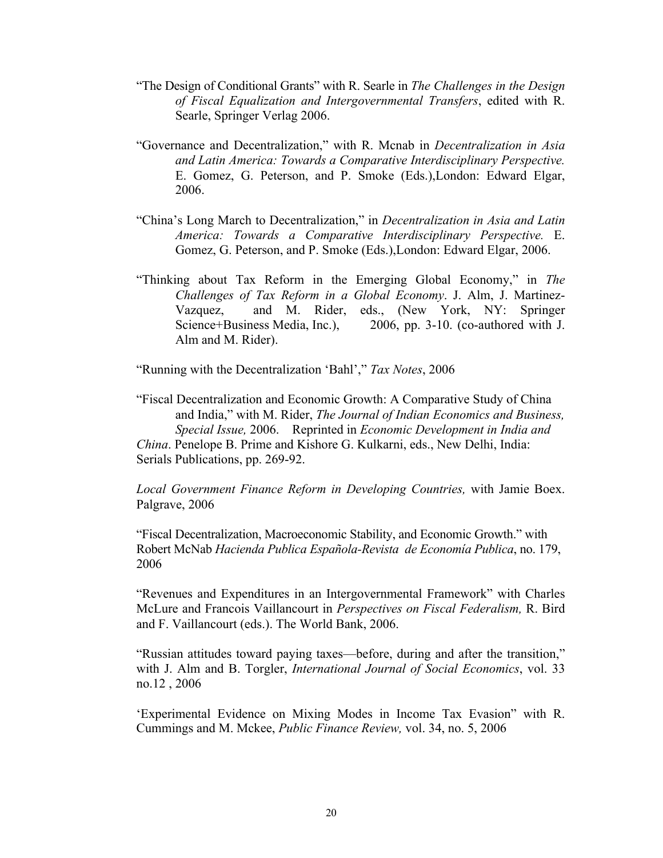- "The Design of Conditional Grants" with R. Searle in *The Challenges in the Design of Fiscal Equalization and Intergovernmental Transfers*, edited with R. Searle, Springer Verlag 2006.
- "Governance and Decentralization," with R. Mcnab in *Decentralization in Asia and Latin America: Towards a Comparative Interdisciplinary Perspective.*  E. Gomez, G. Peterson, and P. Smoke (Eds.),London: Edward Elgar, 2006.
- "China's Long March to Decentralization," in *Decentralization in Asia and Latin America: Towards a Comparative Interdisciplinary Perspective.* E. Gomez, G. Peterson, and P. Smoke (Eds.),London: Edward Elgar, 2006.
- "Thinking about Tax Reform in the Emerging Global Economy," in *The Challenges of Tax Reform in a Global Economy*. J. Alm, J. Martinez-Vazquez, and M. Rider, eds., (New York, NY: Springer Science+Business Media, Inc.), 2006, pp. 3-10. (co-authored with J. Alm and M. Rider).

"Running with the Decentralization 'Bahl'," *Tax Notes*, 2006

"Fiscal Decentralization and Economic Growth: A Comparative Study of China and India," with M. Rider, *The Journal of Indian Economics and Business, Special Issue,* 2006. Reprinted in *Economic Development in India and China*. Penelope B. Prime and Kishore G. Kulkarni, eds., New Delhi, India: Serials Publications, pp. 269-92.

*Local Government Finance Reform in Developing Countries,* with Jamie Boex. Palgrave, 2006

"Fiscal Decentralization, Macroeconomic Stability, and Economic Growth." with Robert McNab *Hacienda Publica Española-Revista de Economía Publica*, no. 179, 2006

"Revenues and Expenditures in an Intergovernmental Framework" with Charles McLure and Francois Vaillancourt in *Perspectives on Fiscal Federalism,* R. Bird and F. Vaillancourt (eds.). The World Bank, 2006.

"Russian attitudes toward paying taxes—before, during and after the transition," with J. Alm and B. Torgler, *International Journal of Social Economics*, vol. 33 no.12 , 2006

'Experimental Evidence on Mixing Modes in Income Tax Evasion" with R. Cummings and M. Mckee, *Public Finance Review,* vol. 34, no. 5, 2006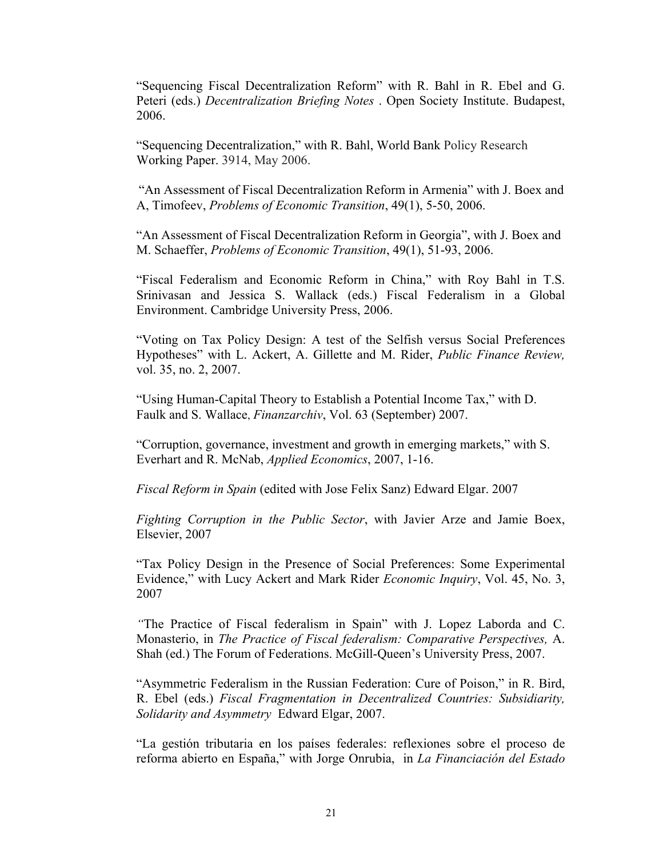"Sequencing Fiscal Decentralization Reform" with R. Bahl in R. Ebel and G. Peteri (eds.) *Decentralization Briefing Notes* . Open Society Institute. Budapest, 2006.

"Sequencing Decentralization," with R. Bahl, World Bank Policy Research Working Paper. 3914, May 2006.

"An Assessment of Fiscal Decentralization Reform in Armenia" with J. Boex and A, Timofeev, *Problems of Economic Transition*, 49(1), 5-50, 2006.

"An Assessment of Fiscal Decentralization Reform in Georgia", with J. Boex and M. Schaeffer, *Problems of Economic Transition*, 49(1), 51-93, 2006.

"Fiscal Federalism and Economic Reform in China," with Roy Bahl in T.S. Srinivasan and Jessica S. Wallack (eds.) Fiscal Federalism in a Global Environment. Cambridge University Press, 2006.

"Voting on Tax Policy Design: A test of the Selfish versus Social Preferences Hypotheses" with L. Ackert, A. Gillette and M. Rider, *Public Finance Review,*  vol. 35, no. 2, 2007.

"Using Human-Capital Theory to Establish a Potential Income Tax," with D. Faulk and S. Wallace, *Finanzarchiv*, Vol. 63 (September) 2007.

"Corruption, governance, investment and growth in emerging markets," with S. Everhart and R. McNab, *Applied Economics*, 2007, 1-16.

*Fiscal Reform in Spain* (edited with Jose Felix Sanz) Edward Elgar. 2007

*Fighting Corruption in the Public Sector*, with Javier Arze and Jamie Boex, Elsevier, 2007

"Tax Policy Design in the Presence of Social Preferences: Some Experimental Evidence," with Lucy Ackert and Mark Rider *Economic Inquiry*, Vol. 45, No. 3, 2007

*"*The Practice of Fiscal federalism in Spain" with J. Lopez Laborda and C. Monasterio, in *The Practice of Fiscal federalism: Comparative Perspectives,* A. Shah (ed.) The Forum of Federations. McGill-Queen's University Press, 2007.

"Asymmetric Federalism in the Russian Federation: Cure of Poison," in R. Bird, R. Ebel (eds.) *Fiscal Fragmentation in Decentralized Countries: Subsidiarity, Solidarity and Asymmetry* Edward Elgar, 2007.

"La gestión tributaria en los países federales: reflexiones sobre el proceso de reforma abierto en España," with Jorge Onrubia, in *La Financiación del Estado*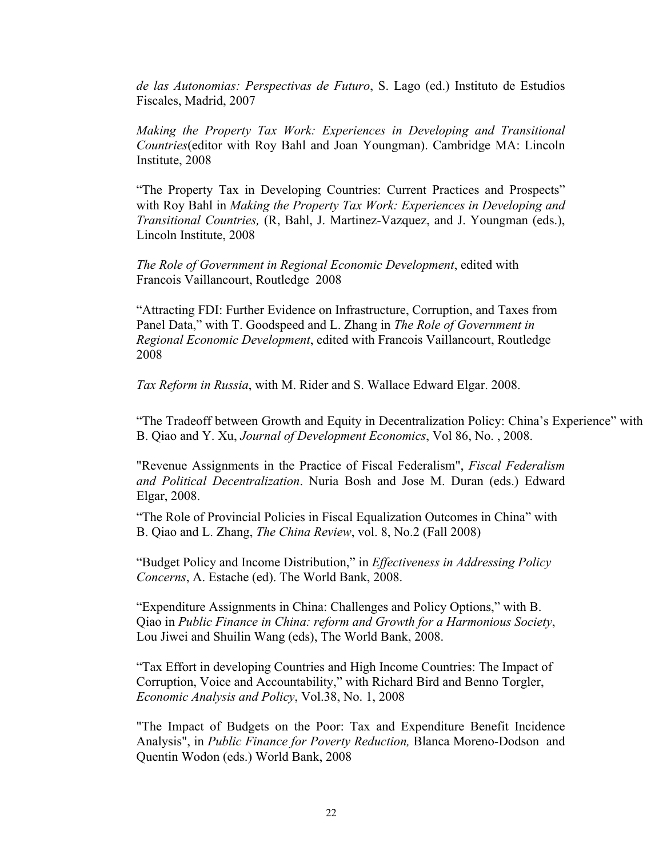*de las Autonomias: Perspectivas de Futuro*, S. Lago (ed.) Instituto de Estudios Fiscales, Madrid, 2007

*Making the Property Tax Work: Experiences in Developing and Transitional Countries*(editor with Roy Bahl and Joan Youngman). Cambridge MA: Lincoln Institute, 2008

"The Property Tax in Developing Countries: Current Practices and Prospects" with Roy Bahl in *Making the Property Tax Work: Experiences in Developing and Transitional Countries,* (R, Bahl, J. Martinez-Vazquez, and J. Youngman (eds.), Lincoln Institute, 2008

*The Role of Government in Regional Economic Development*, edited with Francois Vaillancourt, Routledge 2008

"Attracting FDI: Further Evidence on Infrastructure, Corruption, and Taxes from Panel Data," with T. Goodspeed and L. Zhang in *The Role of Government in Regional Economic Development*, edited with Francois Vaillancourt, Routledge 2008

*Tax Reform in Russia*, with M. Rider and S. Wallace Edward Elgar. 2008.

"The Tradeoff between Growth and Equity in Decentralization Policy: China's Experience" with B. Qiao and Y. Xu, *Journal of Development Economics*, Vol 86, No. , 2008.

"Revenue Assignments in the Practice of Fiscal Federalism", *Fiscal Federalism and Political Decentralization*. Nuria Bosh and Jose M. Duran (eds.) Edward Elgar, 2008.

"The Role of Provincial Policies in Fiscal Equalization Outcomes in China" with B. Qiao and L. Zhang, *The China Review*, vol. 8, No.2 (Fall 2008)

"Budget Policy and Income Distribution," in *Effectiveness in Addressing Policy Concerns*, A. Estache (ed). The World Bank, 2008.

"Expenditure Assignments in China: Challenges and Policy Options," with B. Qiao in *Public Finance in China: reform and Growth for a Harmonious Society*, Lou Jiwei and Shuilin Wang (eds), The World Bank, 2008.

"Tax Effort in developing Countries and High Income Countries: The Impact of Corruption, Voice and Accountability," with Richard Bird and Benno Torgler, *Economic Analysis and Policy*, Vol.38, No. 1, 2008

"The Impact of Budgets on the Poor: Tax and Expenditure Benefit Incidence Analysis", in *Public Finance for Poverty Reduction,* Blanca Moreno-Dodson and Quentin Wodon (eds.) World Bank, 2008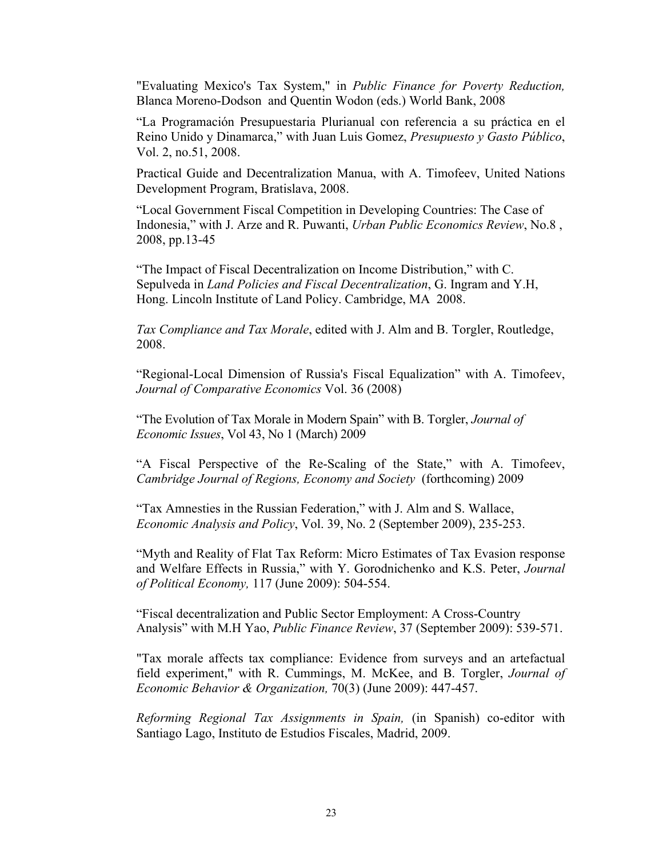"Evaluating Mexico's Tax System," in *Public Finance for Poverty Reduction,* Blanca Moreno-Dodson and Quentin Wodon (eds.) World Bank, 2008

"La Programación Presupuestaria Plurianual con referencia a su práctica en el Reino Unido y Dinamarca," with Juan Luis Gomez, *Presupuesto y Gasto Público*, Vol. 2, no.51, 2008.

Practical Guide and Decentralization Manua, with A. Timofeev, United Nations Development Program, Bratislava, 2008.

"Local Government Fiscal Competition in Developing Countries: The Case of Indonesia," with J. Arze and R. Puwanti, *Urban Public Economics Review*, No.8 , 2008, pp.13-45

"The Impact of Fiscal Decentralization on Income Distribution," with C. Sepulveda in *Land Policies and Fiscal Decentralization*, G. Ingram and Y.H, Hong. Lincoln Institute of Land Policy. Cambridge, MA 2008.

*Tax Compliance and Tax Morale*, edited with J. Alm and B. Torgler, Routledge, 2008.

"Regional-Local Dimension of Russia's Fiscal Equalization" with A. Timofeev, *Journal of Comparative Economics* Vol. 36 (2008)

"The Evolution of Tax Morale in Modern Spain" with B. Torgler, *Journal of Economic Issues*, Vol 43, No 1 (March) 2009

"A Fiscal Perspective of the Re-Scaling of the State," with A. Timofeev, *Cambridge Journal of Regions, Economy and Society* (forthcoming) 2009

"Tax Amnesties in the Russian Federation," with J. Alm and S. Wallace, *Economic Analysis and Policy*, Vol. 39, No. 2 (September 2009), 235-253.

"Myth and Reality of Flat Tax Reform: Micro Estimates of Tax Evasion response and Welfare Effects in Russia," with Y. Gorodnichenko and K.S. Peter, *Journal of Political Economy,* 117 (June 2009): 504-554.

"Fiscal decentralization and Public Sector Employment: A Cross-Country Analysis" with M.H Yao, *Public Finance Review*, 37 (September 2009): 539-571.

"Tax morale affects tax compliance: Evidence from surveys and an artefactual field experiment," with R. Cummings, M. McKee, and B. Torgler, *Journal of Economic Behavior & Organization,* 70(3) (June 2009): 447-457.

*Reforming Regional Tax Assignments in Spain,* (in Spanish) co-editor with Santiago Lago, Instituto de Estudios Fiscales, Madrid, 2009.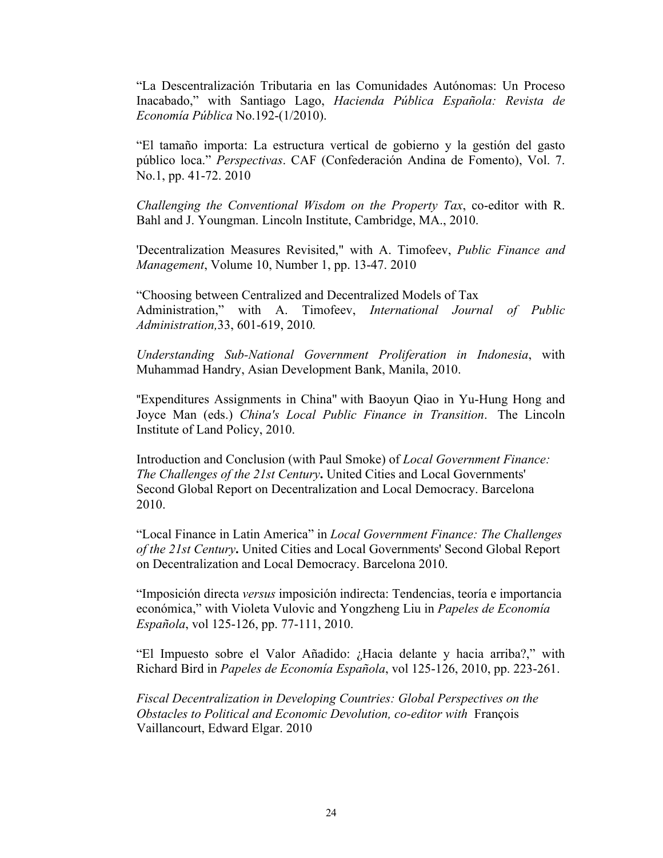"La Descentralización Tributaria en las Comunidades Autónomas: Un Proceso Inacabado," with Santiago Lago, *Hacienda Pública Española: Revista de Economía Pública* No.192-(1/2010).

"El tamaño importa: La estructura vertical de gobierno y la gestión del gasto público loca." *Perspectivas*. CAF (Confederación Andina de Fomento), Vol. 7. No.1, pp. 41-72. 2010

*Challenging the Conventional Wisdom on the Property Tax*, co-editor with R. Bahl and J. Youngman. Lincoln Institute, Cambridge, MA., 2010.

'Decentralization Measures Revisited," with A. Timofeev, *Public Finance and Management*, Volume 10, Number 1, pp. 13-47. 2010

"Choosing between Centralized and Decentralized Models of Tax Administration," with A. Timofeev, *International Journal of Public Administration,*33, 601-619, 2010*.*

*Understanding Sub-National Government Proliferation in Indonesia*, with Muhammad Handry, Asian Development Bank, Manila, 2010.

"Expenditures Assignments in China" with Baoyun Qiao in Yu-Hung Hong and Joyce Man (eds.) *China's Local Public Finance in Transition*. The Lincoln Institute of Land Policy, 2010.

Introduction and Conclusion (with Paul Smoke) of *Local Government Finance: The Challenges of the 21st Century***.** United Cities and Local Governments' Second Global Report on Decentralization and Local Democracy. Barcelona 2010.

"Local Finance in Latin America" in *Local Government Finance: The Challenges of the 21st Century***.** United Cities and Local Governments' Second Global Report on Decentralization and Local Democracy. Barcelona 2010.

"Imposición directa *versus* imposición indirecta: Tendencias, teoría e importancia económica," with Violeta Vulovic and Yongzheng Liu in *Papeles de Economía Española*, vol 125-126, pp. 77-111, 2010.

"El Impuesto sobre el Valor Añadido: ¿Hacia delante y hacia arriba?," with Richard Bird in *Papeles de Economía Española*, vol 125-126, 2010, pp. 223-261.

*Fiscal Decentralization in Developing Countries: Global Perspectives on the Obstacles to Political and Economic Devolution, co-editor with* François Vaillancourt, Edward Elgar. 2010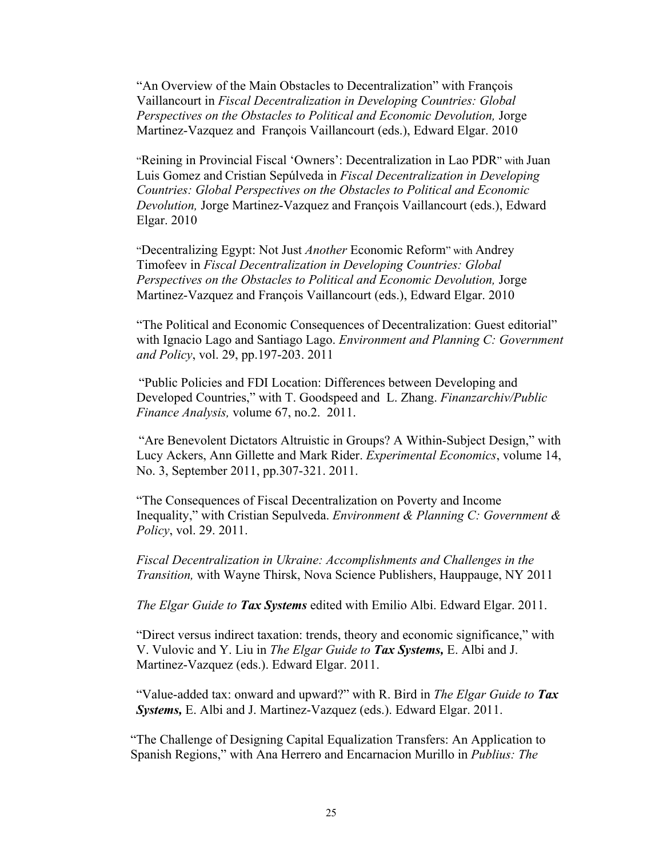"An Overview of the Main Obstacles to Decentralization" with François Vaillancourt in *Fiscal Decentralization in Developing Countries: Global Perspectives on the Obstacles to Political and Economic Devolution,* Jorge Martinez-Vazquez and François Vaillancourt (eds.), Edward Elgar. 2010

"Reining in Provincial Fiscal 'Owners': Decentralization in Lao PDR" with Juan Luis Gomez and Cristian Sepúlveda in *Fiscal Decentralization in Developing Countries: Global Perspectives on the Obstacles to Political and Economic Devolution,* Jorge Martinez-Vazquez and François Vaillancourt (eds.), Edward Elgar. 2010

"Decentralizing Egypt: Not Just *Another* Economic Reform" with Andrey Timofeev in *Fiscal Decentralization in Developing Countries: Global Perspectives on the Obstacles to Political and Economic Devolution,* Jorge Martinez-Vazquez and François Vaillancourt (eds.), Edward Elgar. 2010

"The Political and Economic Consequences of Decentralization: Guest editorial" with Ignacio Lago and Santiago Lago. *Environment and Planning C: Government and Policy*, vol. 29, pp.197-203. 2011

"Public Policies and FDI Location: Differences between Developing and Developed Countries," with T. Goodspeed and L. Zhang. *Finanzarchiv/Public Finance Analysis,* volume 67, no.2. 2011.

"Are Benevolent Dictators Altruistic in Groups? A Within-Subject Design," with Lucy Ackers, Ann Gillette and Mark Rider. *Experimental Economics*, volume 14, No. 3, September 2011, pp.307-321. 2011.

"The Consequences of Fiscal Decentralization on Poverty and Income Inequality," with Cristian Sepulveda. *Environment & Planning C: Government & Policy*, vol. 29. 2011.

*Fiscal Decentralization in Ukraine: Accomplishments and Challenges in the Transition,* with Wayne Thirsk, Nova Science Publishers, Hauppauge, NY 2011

*The Elgar Guide to Tax Systems* edited with Emilio Albi. Edward Elgar. 2011.

"Direct versus indirect taxation: trends, theory and economic significance," with V. Vulovic and Y. Liu in *The Elgar Guide to Tax Systems,* E. Albi and J. Martinez-Vazquez (eds.). Edward Elgar. 2011.

"Value-added tax: onward and upward?" with R. Bird in *The Elgar Guide to Tax Systems,* E. Albi and J. Martinez-Vazquez (eds.). Edward Elgar. 2011.

"The Challenge of Designing Capital Equalization Transfers: An Application to Spanish Regions," with Ana Herrero and Encarnacion Murillo in *Publius: The*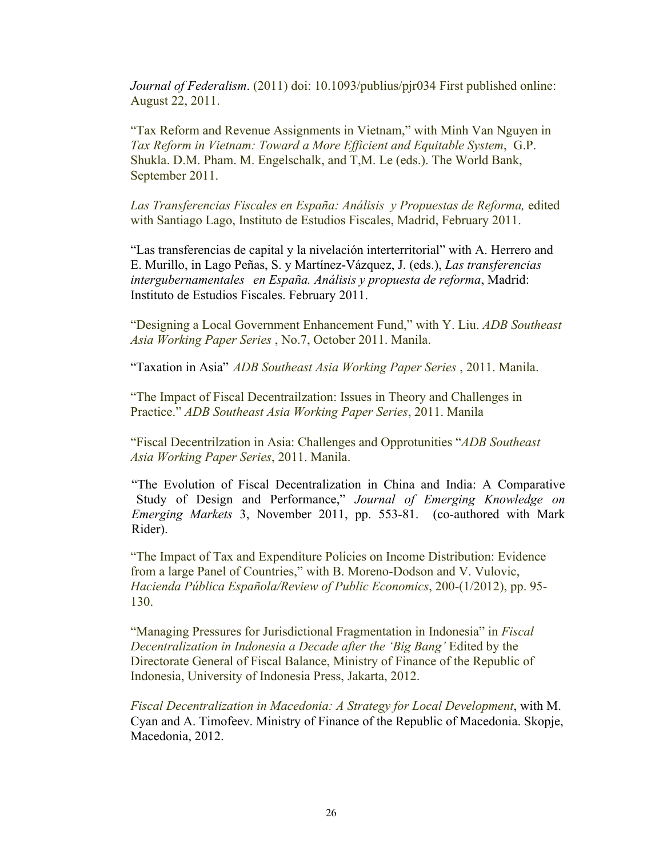*Journal of Federalism*. (2011) doi: 10.1093/publius/pjr034 First published online: August 22, 2011.

"Tax Reform and Revenue Assignments in Vietnam," with Minh Van Nguyen in *Tax Reform in Vietnam: Toward a More Efficient and Equitable System*, G.P. Shukla. D.M. Pham. M. Engelschalk, and T,M. Le (eds.). The World Bank, September 2011.

Las Transferencias Fiscales en España: Análisis y Propuestas de Reforma, edited with Santiago Lago, Instituto de Estudios Fiscales, Madrid, February 2011.

"Las transferencias de capital y la nivelación interterritorial" with A. Herrero and E. Murillo, in Lago Peñas, S. y Martínez-Vázquez, J. (eds.), *Las transferencias intergubernamentales en España. Análisis y propuesta de reforma*, Madrid: Instituto de Estudios Fiscales. February 2011.

"Designing a Local Government Enhancement Fund," with Y. Liu. *ADB Southeast Asia Working Paper Series* , No.7, October 2011. Manila.

"Taxation in Asia" *ADB Southeast Asia Working Paper Series* , 2011. Manila.

"The Impact of Fiscal Decentrailzation: Issues in Theory and Challenges in Practice." *ADB Southeast Asia Working Paper Series*, 2011. Manila

"Fiscal Decentrilzation in Asia: Challenges and Opprotunities "*ADB Southeast Asia Working Paper Series*, 2011. Manila.

"The Evolution of Fiscal Decentralization in China and India: A Comparative Study of Design and Performance," *Journal of Emerging Knowledge on Emerging Markets* 3, November 2011, pp. 553-81. (co-authored with Mark Rider).

"The Impact of Tax and Expenditure Policies on Income Distribution: Evidence from a large Panel of Countries," with B. Moreno-Dodson and V. Vulovic, *Hacienda Pública Española/Review of Public Economics*, 200-(1/2012), pp. 95- 130.

"Managing Pressures for Jurisdictional Fragmentation in Indonesia" in *Fiscal Decentralization in Indonesia a Decade after the 'Big Bang'* Edited by the Directorate General of Fiscal Balance, Ministry of Finance of the Republic of Indonesia, University of Indonesia Press, Jakarta, 2012.

*Fiscal Decentralization in Macedonia: A Strategy for Local Development*, with M. Cyan and A. Timofeev. Ministry of Finance of the Republic of Macedonia. Skopje, Macedonia, 2012.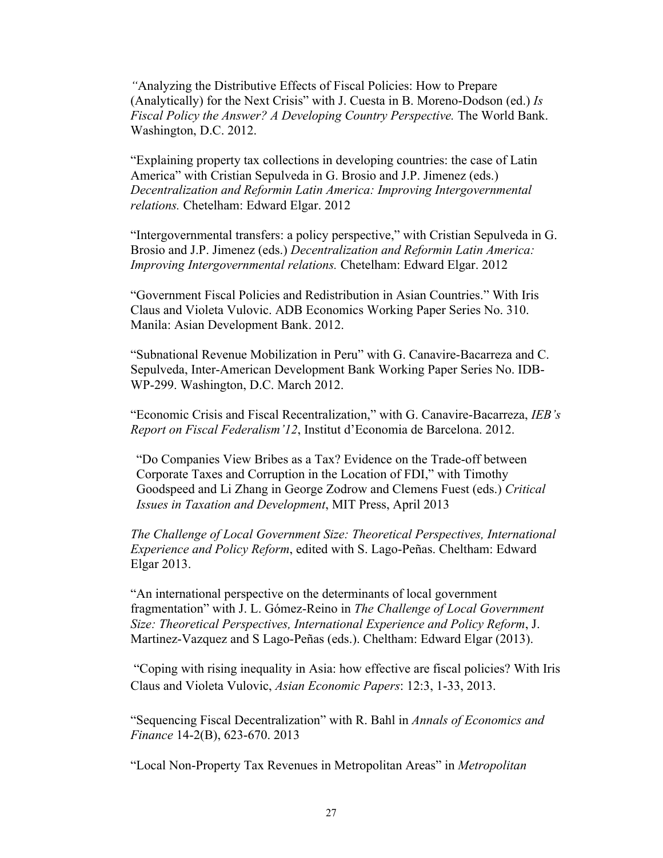*"*Analyzing the Distributive Effects of Fiscal Policies: How to Prepare (Analytically) for the Next Crisis" with J. Cuesta in B. Moreno-Dodson (ed.) *Is Fiscal Policy the Answer? A Developing Country Perspective.* The World Bank. Washington, D.C. 2012.

"Explaining property tax collections in developing countries: the case of Latin America" with Cristian Sepulveda in G. Brosio and J.P. Jimenez (eds.) *Decentralization and Reformin Latin America: Improving Intergovernmental relations.* Chetelham: Edward Elgar. 2012

"Intergovernmental transfers: a policy perspective," with Cristian Sepulveda in G. Brosio and J.P. Jimenez (eds.) *Decentralization and Reformin Latin America: Improving Intergovernmental relations.* Chetelham: Edward Elgar. 2012

"Government Fiscal Policies and Redistribution in Asian Countries." With Iris Claus and Violeta Vulovic. ADB Economics Working Paper Series No. 310. Manila: Asian Development Bank. 2012.

"Subnational Revenue Mobilization in Peru" with G. Canavire-Bacarreza and C. Sepulveda, Inter-American Development Bank Working Paper Series No. IDB-WP-299. Washington, D.C. March 2012.

"Economic Crisis and Fiscal Recentralization," with G. Canavire-Bacarreza, *IEB's Report on Fiscal Federalism'12*, Institut d'Economia de Barcelona. 2012.

"Do Companies View Bribes as a Tax? Evidence on the Trade-off between Corporate Taxes and Corruption in the Location of FDI," with Timothy Goodspeed and Li Zhang in George Zodrow and Clemens Fuest (eds.) *Critical Issues in Taxation and Development*, MIT Press, April 2013

*The Challenge of Local Government Size: Theoretical Perspectives, International Experience and Policy Reform*, edited with S. Lago-Peñas. Cheltham: Edward Elgar 2013.

"An international perspective on the determinants of local government fragmentation" with J. L. Gómez-Reino in *The Challenge of Local Government Size: Theoretical Perspectives, International Experience and Policy Reform*, J. Martinez-Vazquez and S Lago-Peñas (eds.). Cheltham: Edward Elgar (2013).

"Coping with rising inequality in Asia: how effective are fiscal policies? With Iris Claus and Violeta Vulovic, *Asian Economic Papers*: 12:3, 1-33, 2013.

"Sequencing Fiscal Decentralization" with R. Bahl in *Annals of Economics and Finance* 14-2(B), 623-670. 2013

"Local Non-Property Tax Revenues in Metropolitan Areas" in *Metropolitan*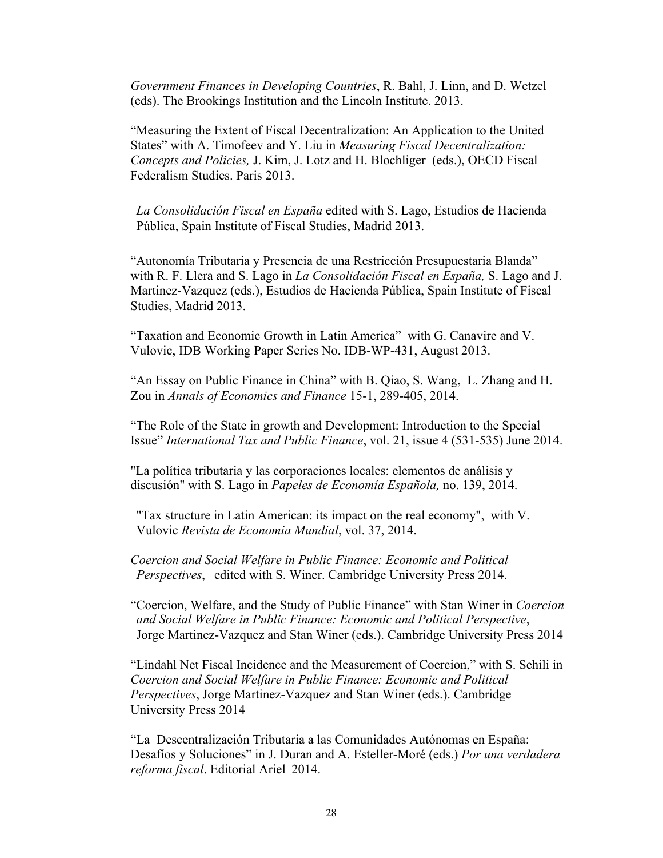*Government Finances in Developing Countries*, R. Bahl, J. Linn, and D. Wetzel (eds). The Brookings Institution and the Lincoln Institute. 2013.

"Measuring the Extent of Fiscal Decentralization: An Application to the United States" with A. Timofeev and Y. Liu in *Measuring Fiscal Decentralization: Concepts and Policies,* J. Kim, J. Lotz and H. Blochliger (eds.), OECD Fiscal Federalism Studies. Paris 2013.

*La Consolidación Fiscal en España* edited with S. Lago, Estudios de Hacienda Pública, Spain Institute of Fiscal Studies, Madrid 2013.

"Autonomía Tributaria y Presencia de una Restricción Presupuestaria Blanda" with R. F. Llera and S. Lago in *La Consolidación Fiscal en España,* S. Lago and J. Martinez-Vazquez (eds.), Estudios de Hacienda Pública, Spain Institute of Fiscal Studies, Madrid 2013.

"Taxation and Economic Growth in Latin America" with G. Canavire and V. Vulovic, IDB Working Paper Series No. IDB-WP-431, August 2013.

"An Essay on Public Finance in China" with B. Qiao, S. Wang, L. Zhang and H. Zou in *Annals of Economics and Finance* 15-1, 289-405, 2014.

"The Role of the State in growth and Development: Introduction to the Special Issue" *International Tax and Public Finance*, vol. 21, issue 4 (531-535) June 2014.

"La política tributaria y las corporaciones locales: elementos de análisis y discusión" with S. Lago in *Papeles de Economía Española,* no. 139, 2014.

"Tax structure in Latin American: its impact on the real economy", with V. Vulovic *Revista de Economia Mundial*, vol. 37, 2014.

*Coercion and Social Welfare in Public Finance: Economic and Political Perspectives*, edited with S. Winer. Cambridge University Press 2014.

"Coercion, Welfare, and the Study of Public Finance" with Stan Winer in *Coercion and Social Welfare in Public Finance: Economic and Political Perspective*, Jorge Martinez-Vazquez and Stan Winer (eds.). Cambridge University Press 2014

"Lindahl Net Fiscal Incidence and the Measurement of Coercion," with S. Sehili in *Coercion and Social Welfare in Public Finance: Economic and Political Perspectives*, Jorge Martinez-Vazquez and Stan Winer (eds.). Cambridge University Press 2014

"La Descentralización Tributaria a las Comunidades Autónomas en España: Desafíos y Soluciones" in J. Duran and A. Esteller-Moré (eds.) *Por una verdadera reforma fiscal*. Editorial Ariel 2014.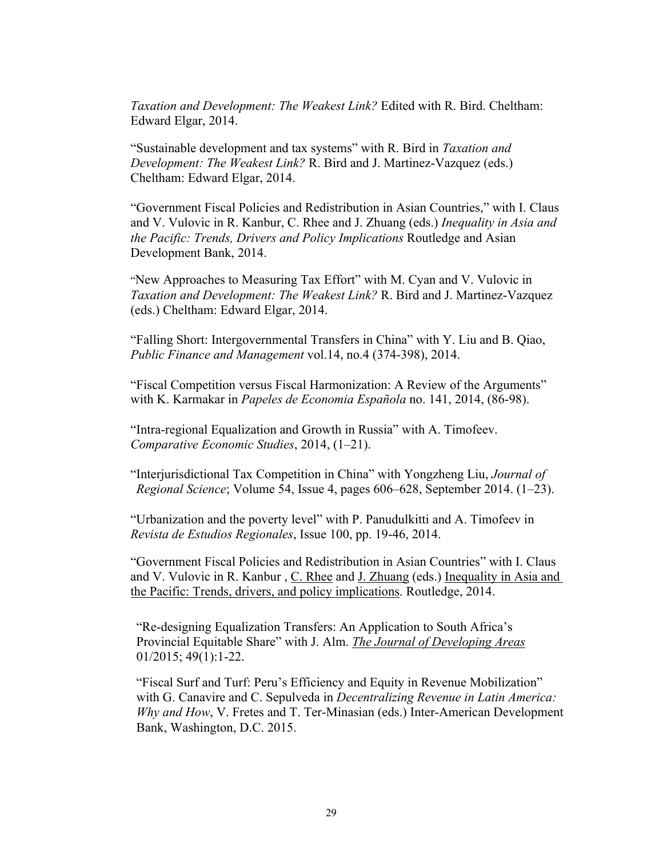*Taxation and Development: The Weakest Link?* Edited with R. Bird. Cheltham: Edward Elgar, 2014.

"Sustainable development and tax systems" with R. Bird in *Taxation and Development: The Weakest Link?* R. Bird and J. Martinez-Vazquez (eds.) Cheltham: Edward Elgar, 2014.

"Government Fiscal Policies and Redistribution in Asian Countries," with I. Claus and V. Vulovic in R. Kanbur, C. Rhee and J. Zhuang (eds.) *Inequality in Asia and the Pacific: Trends, Drivers and Policy Implications* Routledge and Asian Development Bank, 2014.

"New Approaches to Measuring Tax Effort" with M. Cyan and V. Vulovic in *Taxation and Development: The Weakest Link?* R. Bird and J. Martinez-Vazquez (eds.) Cheltham: Edward Elgar, 2014.

"Falling Short: Intergovernmental Transfers in China" with Y. Liu and B. Qiao, *Public Finance and Management* vol.14, no.4 (374-398), 2014.

"Fiscal Competition versus Fiscal Harmonization: A Review of the Arguments" with K. Karmakar in *Papeles de Economia Española* no. 141, 2014, (86-98).

"Intra-regional Equalization and Growth in Russia" with A. Timofeev. *Comparative Economic Studies*, 2014, (1–21).

"Interjurisdictional Tax Competition in China" with Yongzheng Liu, *Journal of Regional Science*; Volume 54, Issue 4, pages 606–628, September 2014. (1–23).

"Urbanization and the poverty level" with P. Panudulkitti and A. Timofeev in *Revista de Estudios Regionales*, Issue 100, pp. 19-46, 2014.

"Government Fiscal Policies and Redistribution in Asian Countries" with I. Claus and V. Vulovic in R. Kanbur , C. Rhee and J. Zhuang (eds.) Inequality in Asia and the Pacific: Trends, drivers, and policy implications. Routledge, 2014.

"Re-designing Equalization Transfers: An Application to South Africa's Provincial Equitable Share" with J. Alm. *The Journal of Developing Areas* 01/2015; 49(1):1-22.

"Fiscal Surf and Turf: Peru's Efficiency and Equity in Revenue Mobilization" with G. Canavire and C. Sepulveda in *Decentralizing Revenue in Latin America: Why and How*, V. Fretes and T. Ter-Minasian (eds.) Inter-American Development Bank, Washington, D.C. 2015.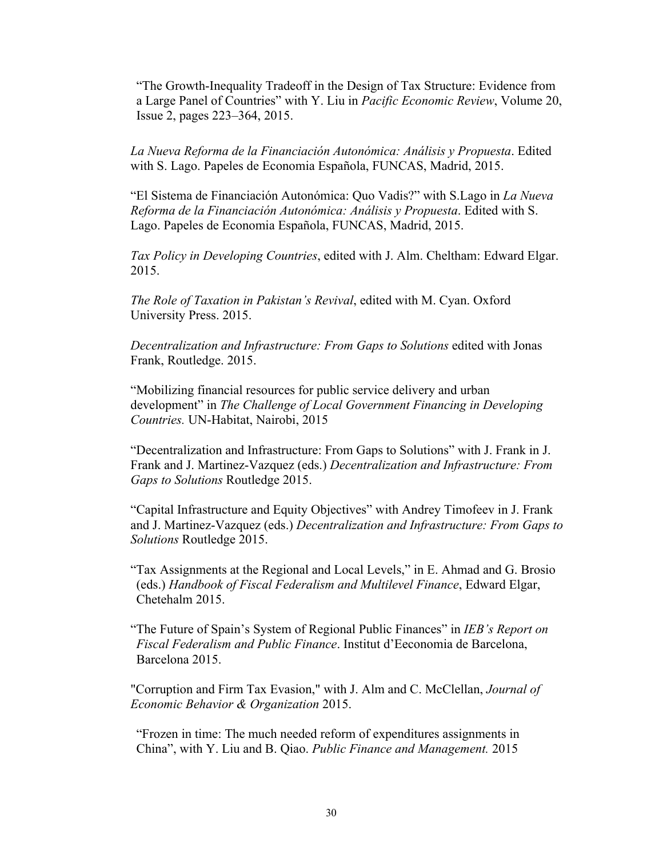"The Growth-Inequality Tradeoff in the Design of Tax Structure: Evidence from a Large Panel of Countries" with Y. Liu in *Pacific Economic Review*, Volume 20, Issue 2, pages 223–364, 2015.

*La Nueva Reforma de la Financiación Autonómica: Análisis y Propuesta*. Edited with S. Lago. Papeles de Economia Española, FUNCAS, Madrid, 2015.

"El Sistema de Financiación Autonómica: Quo Vadis?" with S.Lago in *La Nueva Reforma de la Financiación Autonómica: Análisis y Propuesta*. Edited with S. Lago. Papeles de Economia Española, FUNCAS, Madrid, 2015.

*Tax Policy in Developing Countries*, edited with J. Alm. Cheltham: Edward Elgar. 2015.

*The Role of Taxation in Pakistan's Revival*, edited with M. Cyan. Oxford University Press. 2015.

*Decentralization and Infrastructure: From Gaps to Solutions* edited with Jonas Frank, Routledge. 2015.

"Mobilizing financial resources for public service delivery and urban development" in *The Challenge of Local Government Financing in Developing Countries.* UN-Habitat, Nairobi, 2015

"Decentralization and Infrastructure: From Gaps to Solutions" with J. Frank in J. Frank and J. Martinez-Vazquez (eds.) *Decentralization and Infrastructure: From Gaps to Solutions* Routledge 2015.

"Capital Infrastructure and Equity Objectives" with Andrey Timofeev in J. Frank and J. Martinez-Vazquez (eds.) *Decentralization and Infrastructure: From Gaps to Solutions* Routledge 2015.

"Tax Assignments at the Regional and Local Levels," in E. Ahmad and G. Brosio (eds.) *Handbook of Fiscal Federalism and Multilevel Finance*, Edward Elgar, Chetehalm 2015.

"The Future of Spain's System of Regional Public Finances" in *IEB's Report on Fiscal Federalism and Public Finance*. Institut d'Eeconomia de Barcelona, Barcelona 2015.

"Corruption and Firm Tax Evasion," with J. Alm and C. McClellan, *Journal of Economic Behavior & Organization* 2015.

"Frozen in time: The much needed reform of expenditures assignments in China", with Y. Liu and B. Qiao. *Public Finance and Management.* 2015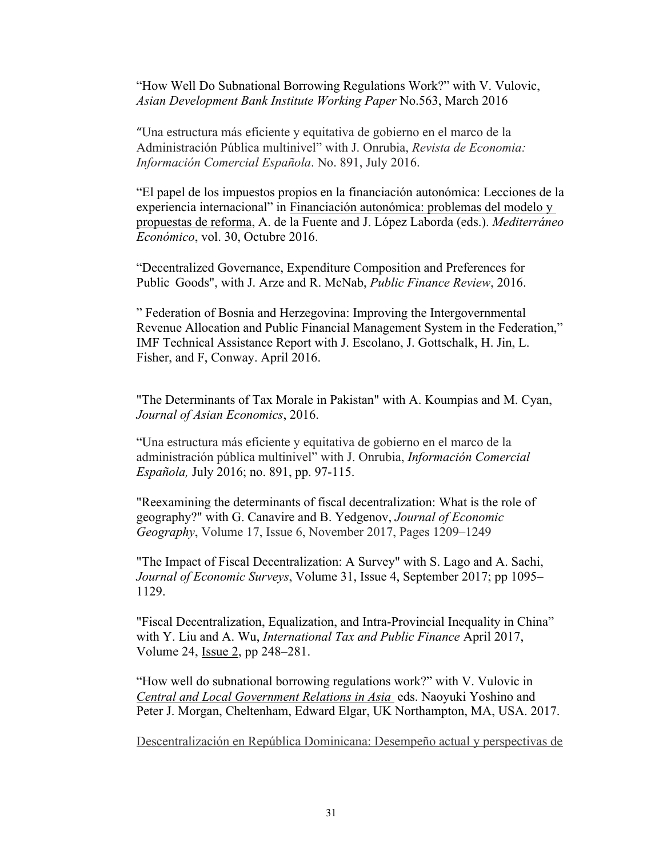"How Well Do Subnational Borrowing Regulations Work?" with V. Vulovic, *Asian Development Bank Institute Working Paper* No.563, March 2016

"Una estructura más eficiente y equitativa de gobierno en el marco de la Administración Pública multinivel" with J. Onrubia, *Revista de Economia: Información Comercial Española*. No. 891, July 2016.

"El papel de los impuestos propios en la financiación autonómica: Lecciones de la experiencia internacional" in Financiación autonómica: problemas del modelo y propuestas de reforma, A. de la Fuente and J. López Laborda (eds.). *Mediterráneo Económico*, vol. 30, Octubre 2016.

"Decentralized Governance, Expenditure Composition and Preferences for Public Goods", with J. Arze and R. McNab, *Public Finance Review*, 2016.

" Federation of Bosnia and Herzegovina: Improving the Intergovernmental Revenue Allocation and Public Financial Management System in the Federation," IMF Technical Assistance Report with J. Escolano, J. Gottschalk, H. Jin, L. Fisher, and F, Conway. April 2016.

"The Determinants of Tax Morale in Pakistan" with A. Koumpias and M. Cyan, *Journal of Asian Economics*, 2016.

"Una estructura más eficiente y equitativa de gobierno en el marco de la administración pública multinivel" with J. Onrubia, *Información Comercial Española,* July 2016; no. 891, pp. 97-115.

"Reexamining the determinants of fiscal decentralization: What is the role of geography?" with G. Canavire and B. Yedgenov, *Journal of Economic Geography*, Volume 17, Issue 6, November 2017, Pages 1209–1249

"The Impact of Fiscal Decentralization: A Survey" with S. Lago and A. Sachi, *Journal of Economic Surveys*, Volume 31, Issue 4, September 2017; pp 1095– 1129.

"Fiscal Decentralization, Equalization, and Intra-Provincial Inequality in China" with Y. Liu and A. Wu, *International Tax and Public Finance* April 2017, Volume 24, Issue 2, pp 248–281.

"How well do subnational borrowing regulations work?" with V. Vulovic in *Central and Local Government Relations in Asia* eds. Naoyuki Yoshino and Peter J. Morgan, Cheltenham, Edward Elgar, UK Northampton, MA, USA. 2017.

Descentralización en República Dominicana: Desempeño actual y perspectivas de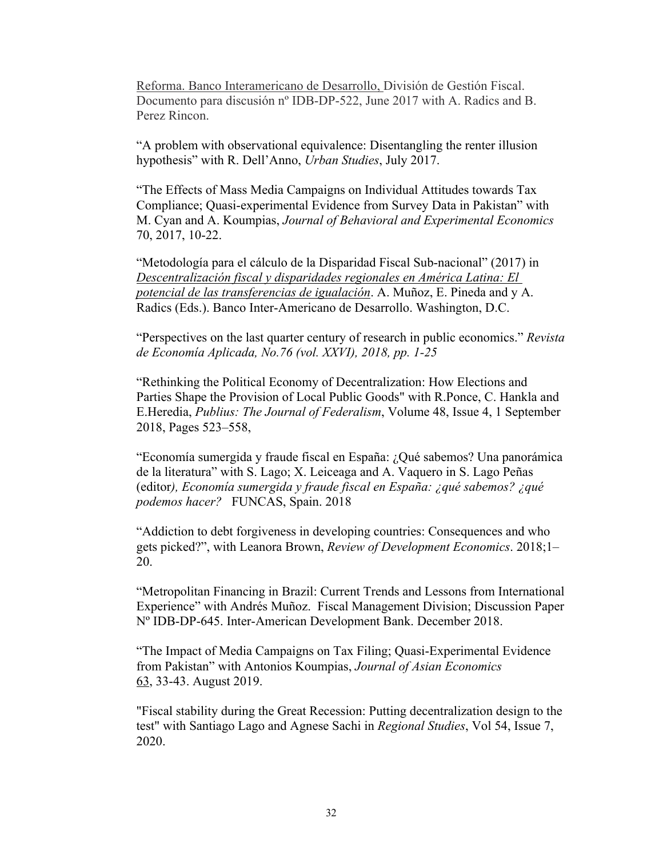Reforma. Banco Interamericano de Desarrollo, División de Gestión Fiscal. Documento para discusión nº IDB-DP-522, June 2017 with A. Radics and B. Perez Rincon.

"A problem with observational equivalence: Disentangling the renter illusion hypothesis" with R. Dell'Anno, *Urban Studies*, July 2017.

"The Effects of Mass Media Campaigns on Individual Attitudes towards Tax Compliance; Quasi-experimental Evidence from Survey Data in Pakistan" with M. Cyan and A. Koumpias, *Journal of Behavioral and Experimental Economics* 70, 2017, 10-22.

"Metodología para el cálculo de la Disparidad Fiscal Sub-nacional" (2017) in *Descentralización fiscal y disparidades regionales en América Latina: El potencial de las transferencias de igualación*. A. Muñoz, E. Pineda and y A. Radics (Eds.). Banco Inter-Americano de Desarrollo. Washington, D.C.

"Perspectives on the last quarter century of research in public economics." *Revista de Economía Aplicada, No.76 (vol. XXVI), 2018, pp. 1-25*

"Rethinking the Political Economy of Decentralization: How Elections and Parties Shape the Provision of Local Public Goods" with R.Ponce, C. Hankla and E.Heredia, *Publius: The Journal of Federalism*, Volume 48, Issue 4, 1 September 2018, Pages 523–558,

"Economía sumergida y fraude fiscal en España: ¿Qué sabemos? Una panorámica de la literatura" with S. Lago; X. Leiceaga and A. Vaquero in S. Lago Peñas (editor*), Economía sumergida y fraude fiscal en España: ¿qué sabemos? ¿qué podemos hacer?* FUNCAS, Spain. 2018

"Addiction to debt forgiveness in developing countries: Consequences and who gets picked?", with Leanora Brown, *Review of Development Economics*. 2018;1– 20.

"Metropolitan Financing in Brazil: Current Trends and Lessons from International Experience" with Andrés Muñoz. Fiscal Management Division; Discussion Paper Nº IDB-DP-645. Inter-American Development Bank. December 2018.

"The Impact of Media Campaigns on Tax Filing; Quasi-Experimental Evidence from Pakistan" with Antonios Koumpias, *Journal of Asian Economics* 63, 33-43. August 2019.

"Fiscal stability during the Great Recession: Putting decentralization design to the test" with Santiago Lago and Agnese Sachi in *Regional Studies*, Vol 54, Issue 7, 2020.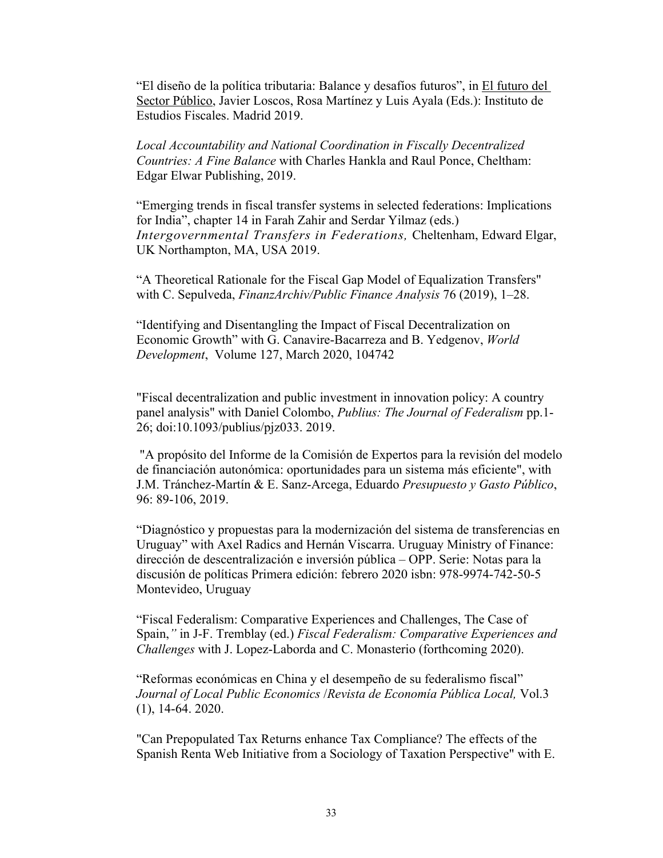"El diseño de la política tributaria: Balance y desafíos futuros", in El futuro del Sector Público, Javier Loscos, Rosa Martínez y Luis Ayala (Eds.): Instituto de Estudios Fiscales. Madrid 2019.

*Local Accountability and National Coordination in Fiscally Decentralized Countries: A Fine Balance* with Charles Hankla and Raul Ponce, Cheltham: Edgar Elwar Publishing, 2019.

"Emerging trends in fiscal transfer systems in selected federations: Implications for India", chapter 14 in Farah Zahir and Serdar Yilmaz (eds.) *Intergovernmental Transfers in Federations,* Cheltenham, Edward Elgar, UK Northampton, MA, USA 2019.

"A Theoretical Rationale for the Fiscal Gap Model of Equalization Transfers" with C. Sepulveda, *FinanzArchiv/Public Finance Analysis* 76 (2019), 1–28.

"Identifying and Disentangling the Impact of Fiscal Decentralization on Economic Growth" with G. Canavire-Bacarreza and B. Yedgenov, *World Development*, Volume 127, March 2020, 104742

"Fiscal decentralization and public investment in innovation policy: A country panel analysis" with Daniel Colombo, *Publius: The Journal of Federalism* pp.1- 26; doi:10.1093/publius/pjz033. 2019.

"A propósito del Informe de la Comisión de Expertos para la revisión del modelo de financiación autonómica: oportunidades para un sistema más eficiente", with J.M. Tránchez-Martín & E. Sanz-Arcega, Eduardo *Presupuesto y Gasto Público*, 96: 89-106, 2019.

"Diagnóstico y propuestas para la modernización del sistema de transferencias en Uruguay" with Axel Radics and Hernán Viscarra. Uruguay Ministry of Finance: dirección de descentralización e inversión pública – OPP. Serie: Notas para la discusión de políticas Primera edición: febrero 2020 isbn: 978-9974-742-50-5 Montevideo, Uruguay

"Fiscal Federalism: Comparative Experiences and Challenges, The Case of Spain,*"* in J-F. Tremblay (ed.) *Fiscal Federalism: Comparative Experiences and Challenges* with J. Lopez-Laborda and C. Monasterio (forthcoming 2020).

"Reformas económicas en China y el desempeño de su federalismo fiscal" *Journal of Local Public Economics* /*Revista de Economía Pública Local,* Vol.3 (1), 14-64. 2020.

"Can Prepopulated Tax Returns enhance Tax Compliance? The effects of the Spanish Renta Web Initiative from a Sociology of Taxation Perspective" with E.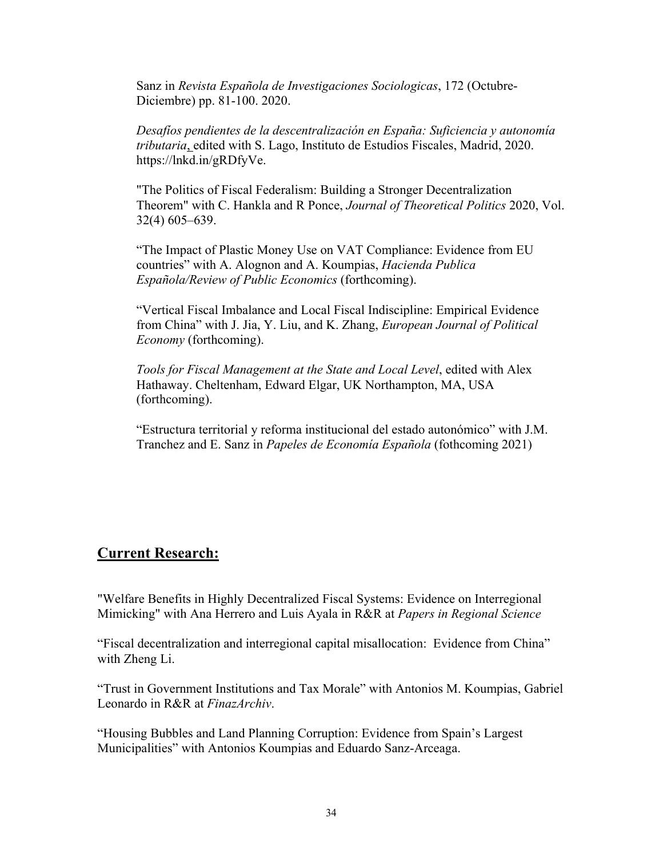Sanz in *Revista Española de Investigaciones Sociologicas*, 172 (Octubre-Diciembre) pp. 81-100. 2020.

*Desafíos pendientes de la descentralización en España: Suficiencia y autonomía tributaria*, edited with S. Lago, Instituto de Estudios Fiscales, Madrid, 2020. https://lnkd.in/gRDfyVe.

"The Politics of Fiscal Federalism: Building a Stronger Decentralization Theorem" with C. Hankla and R Ponce, *Journal of Theoretical Politics* 2020, Vol. 32(4) 605–639.

"The Impact of Plastic Money Use on VAT Compliance: Evidence from EU countries" with A. Alognon and A. Koumpias, *Hacienda Publica Española/Review of Public Economics* (forthcoming).

"Vertical Fiscal Imbalance and Local Fiscal Indiscipline: Empirical Evidence from China" with J. Jia, Y. Liu, and K. Zhang, *European Journal of Political Economy* (forthcoming).

*Tools for Fiscal Management at the State and Local Level*, edited with Alex Hathaway. Cheltenham, Edward Elgar, UK Northampton, MA, USA (forthcoming).

"Estructura territorial y reforma institucional del estado autonómico" with J.M. Tranchez and E. Sanz in *Papeles de Economía Española* (fothcoming 2021)

## **Current Research:**

"Welfare Benefits in Highly Decentralized Fiscal Systems: Evidence on Interregional Mimicking" with Ana Herrero and Luis Ayala in R&R at *Papers in Regional Science*

"Fiscal decentralization and interregional capital misallocation: Evidence from China" with Zheng Li.

"Trust in Government Institutions and Tax Morale" with Antonios M. Koumpias, Gabriel Leonardo in R&R at *FinazArchiv*.

"Housing Bubbles and Land Planning Corruption: Evidence from Spain's Largest Municipalities" with Antonios Koumpias and Eduardo Sanz-Arceaga.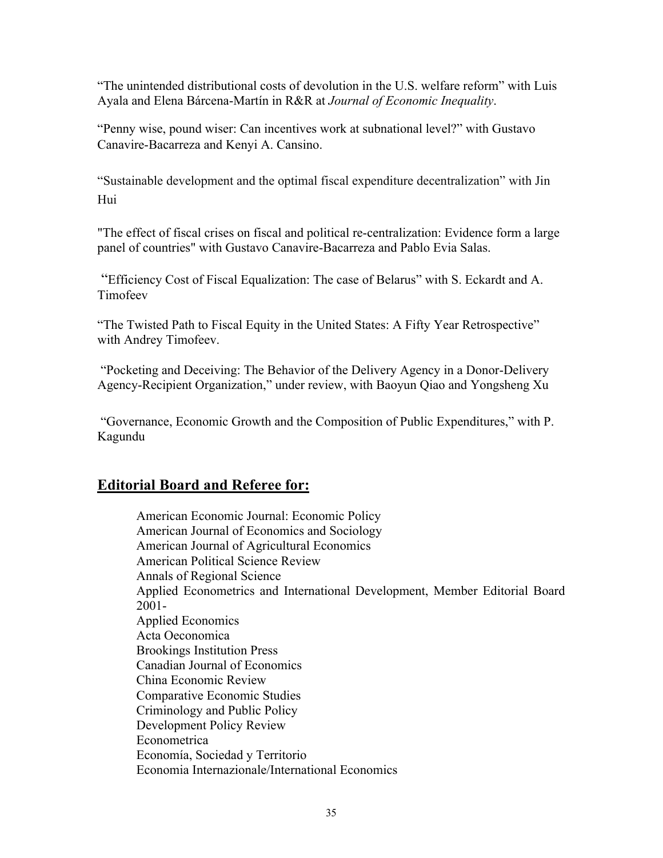"The unintended distributional costs of devolution in the U.S. welfare reform" with Luis Ayala and Elena Bárcena-Martín in R&R at *Journal of Economic Inequality*.

"Penny wise, pound wiser: Can incentives work at subnational level?" with Gustavo Canavire-Bacarreza and Kenyi A. Cansino.

"Sustainable development and the optimal fiscal expenditure decentralization" with Jin Hui

"The effect of fiscal crises on fiscal and political re-centralization: Evidence form a large panel of countries" with Gustavo Canavire-Bacarreza and Pablo Evia Salas.

"Efficiency Cost of Fiscal Equalization: The case of Belarus" with S. Eckardt and A. Timofeev

"The Twisted Path to Fiscal Equity in the United States: A Fifty Year Retrospective" with Andrey Timofeev.

"Pocketing and Deceiving: The Behavior of the Delivery Agency in a Donor-Delivery Agency-Recipient Organization," under review, with Baoyun Qiao and Yongsheng Xu

"Governance, Economic Growth and the Composition of Public Expenditures," with P. Kagundu

# **Editorial Board and Referee for:**

American Economic Journal: Economic Policy American Journal of Economics and Sociology American Journal of Agricultural Economics American Political Science Review Annals of Regional Science Applied Econometrics and International Development, Member Editorial Board 2001- Applied Economics Acta Oeconomica Brookings Institution Press Canadian Journal of Economics China Economic Review Comparative Economic Studies Criminology and Public Policy Development Policy Review Econometrica Economía, Sociedad y Territorio Economia Internazionale/International Economics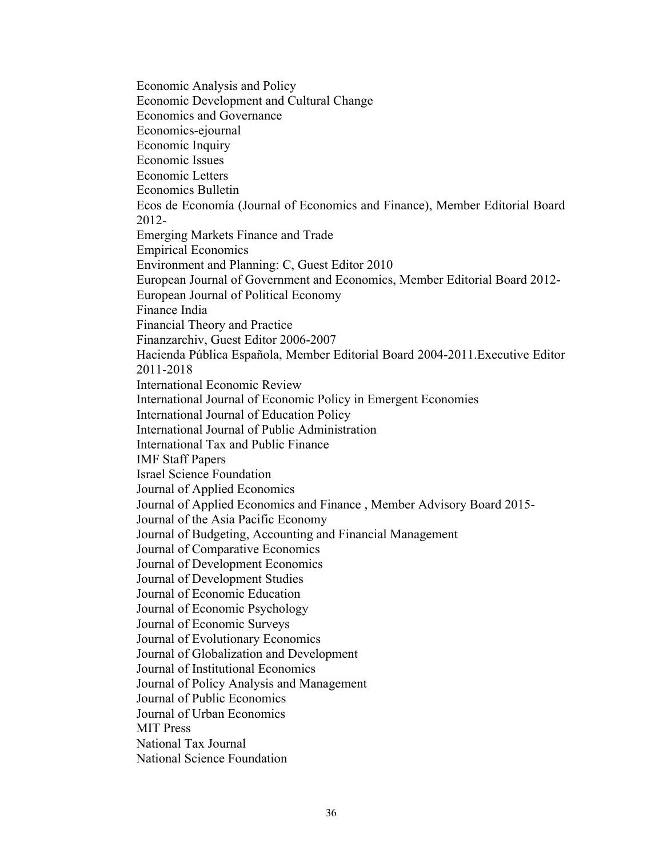Economic Analysis and Policy Economic Development and Cultural Change Economics and Governance Economics-ejournal Economic Inquiry Economic Issues Economic Letters Economics Bulletin Ecos de Economía (Journal of Economics and Finance), Member Editorial Board 2012- Emerging Markets Finance and Trade Empirical Economics Environment and Planning: C, Guest Editor 2010 European Journal of Government and Economics, Member Editorial Board 2012- European Journal of Political Economy Finance India Financial Theory and Practice Finanzarchiv, Guest Editor 2006-2007 Hacienda Pública Española, Member Editorial Board 2004-2011.Executive Editor 2011-2018 International Economic Review International Journal of Economic Policy in Emergent Economies International Journal of Education Policy International Journal of Public Administration International Tax and Public Finance IMF Staff Papers Israel Science Foundation Journal of Applied Economics Journal of Applied Economics and Finance , Member Advisory Board 2015- Journal of the Asia Pacific Economy Journal of Budgeting, Accounting and Financial Management Journal of Comparative Economics Journal of Development Economics Journal of Development Studies Journal of Economic Education Journal of Economic Psychology Journal of Economic Surveys Journal of Evolutionary Economics Journal of Globalization and Development Journal of Institutional Economics Journal of Policy Analysis and Management Journal of Public Economics Journal of Urban Economics MIT Press National Tax Journal National Science Foundation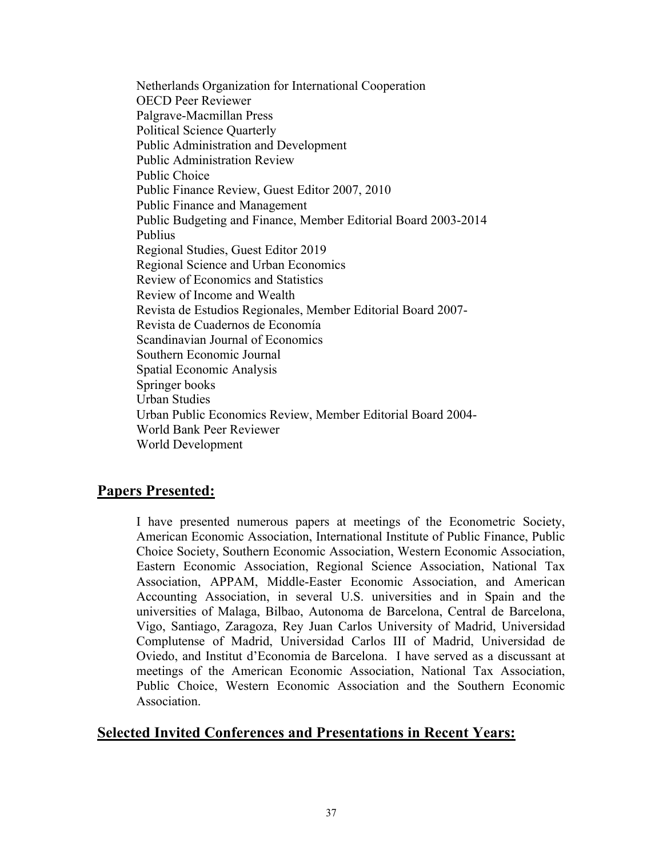Netherlands Organization for International Cooperation OECD Peer Reviewer Palgrave-Macmillan Press Political Science Quarterly Public Administration and Development Public Administration Review Public Choice Public Finance Review, Guest Editor 2007, 2010 Public Finance and Management Public Budgeting and Finance, Member Editorial Board 2003-2014 Publius Regional Studies, Guest Editor 2019 Regional Science and Urban Economics Review of Economics and Statistics Review of Income and Wealth Revista de Estudios Regionales, Member Editorial Board 2007- Revista de Cuadernos de Economía Scandinavian Journal of Economics Southern Economic Journal Spatial Economic Analysis Springer books Urban Studies Urban Public Economics Review, Member Editorial Board 2004- World Bank Peer Reviewer World Development

# **Papers Presented:**

I have presented numerous papers at meetings of the Econometric Society, American Economic Association, International Institute of Public Finance, Public Choice Society, Southern Economic Association, Western Economic Association, Eastern Economic Association, Regional Science Association, National Tax Association, APPAM, Middle-Easter Economic Association, and American Accounting Association, in several U.S. universities and in Spain and the universities of Malaga, Bilbao, Autonoma de Barcelona, Central de Barcelona, Vigo, Santiago, Zaragoza, Rey Juan Carlos University of Madrid, Universidad Complutense of Madrid, Universidad Carlos III of Madrid, Universidad de Oviedo, and Institut d'Economia de Barcelona. I have served as a discussant at meetings of the American Economic Association, National Tax Association, Public Choice, Western Economic Association and the Southern Economic Association.

# **Selected Invited Conferences and Presentations in Recent Years:**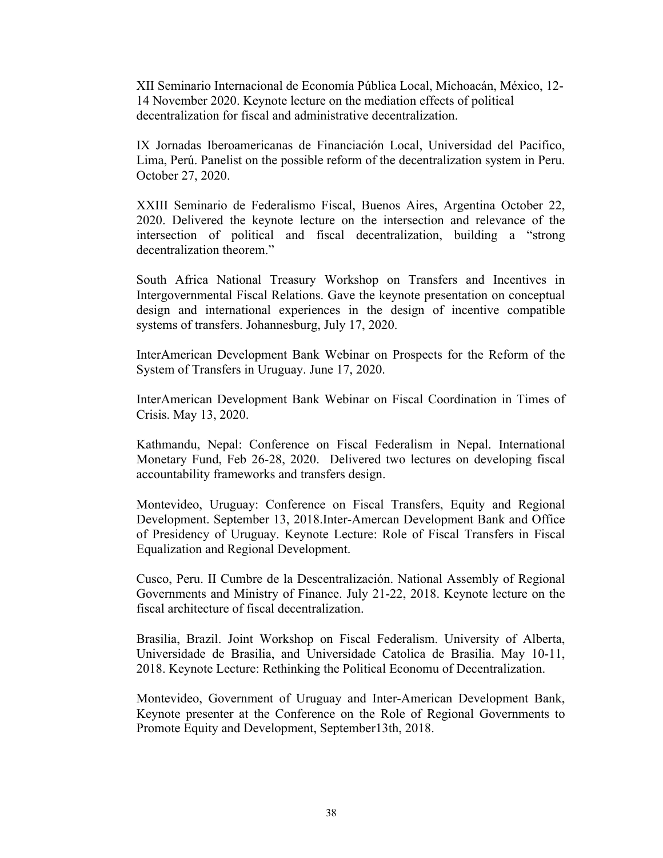XII Seminario Internacional de Economía Pública Local, Michoacán, México, 12- 14 November 2020. Keynote lecture on the mediation effects of political decentralization for fiscal and administrative decentralization.

IX Jornadas Iberoamericanas de Financiación Local, Universidad del Pacifico, Lima, Perú. Panelist on the possible reform of the decentralization system in Peru. October 27, 2020.

XXIII Seminario de Federalismo Fiscal, Buenos Aires, Argentina October 22, 2020. Delivered the keynote lecture on the intersection and relevance of the intersection of political and fiscal decentralization, building a "strong decentralization theorem."

South Africa National Treasury Workshop on Transfers and Incentives in Intergovernmental Fiscal Relations. Gave the keynote presentation on conceptual design and international experiences in the design of incentive compatible systems of transfers. Johannesburg, July 17, 2020.

InterAmerican Development Bank Webinar on Prospects for the Reform of the System of Transfers in Uruguay. June 17, 2020.

InterAmerican Development Bank Webinar on Fiscal Coordination in Times of Crisis. May 13, 2020.

Kathmandu, Nepal: Conference on Fiscal Federalism in Nepal. International Monetary Fund, Feb 26-28, 2020. Delivered two lectures on developing fiscal accountability frameworks and transfers design.

Montevideo, Uruguay: Conference on Fiscal Transfers, Equity and Regional Development. September 13, 2018.Inter-Amercan Development Bank and Office of Presidency of Uruguay. Keynote Lecture: Role of Fiscal Transfers in Fiscal Equalization and Regional Development.

Cusco, Peru. II Cumbre de la Descentralización. National Assembly of Regional Governments and Ministry of Finance. July 21-22, 2018. Keynote lecture on the fiscal architecture of fiscal decentralization.

Brasilia, Brazil. Joint Workshop on Fiscal Federalism. University of Alberta, Universidade de Brasilia, and Universidade Catolica de Brasilia. May 10-11, 2018. Keynote Lecture: Rethinking the Political Economu of Decentralization.

Montevideo, Government of Uruguay and Inter-American Development Bank, Keynote presenter at the Conference on the Role of Regional Governments to Promote Equity and Development, September13th, 2018.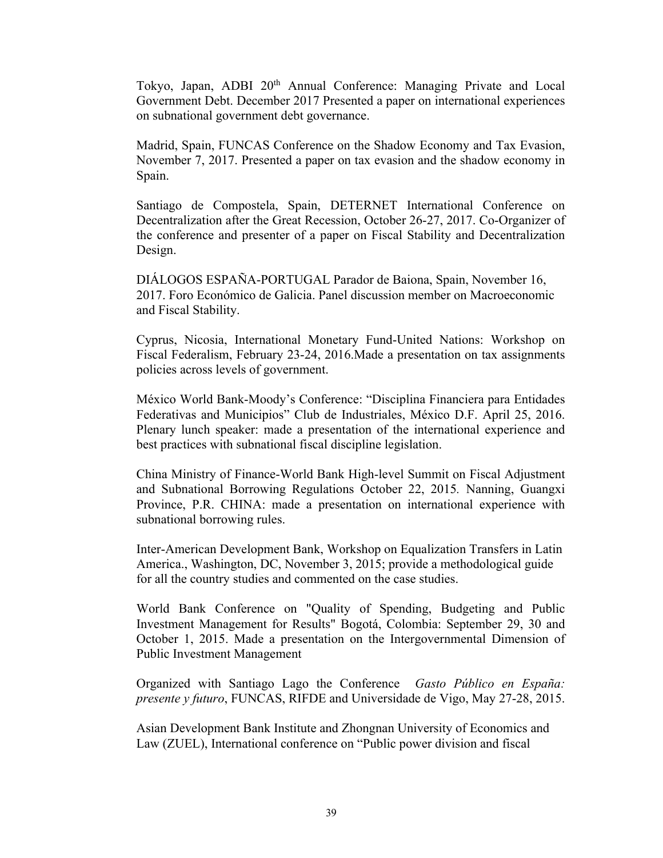Tokyo, Japan, ADBI 20th Annual Conference: Managing Private and Local Government Debt. December 2017 Presented a paper on international experiences on subnational government debt governance.

Madrid, Spain, FUNCAS Conference on the Shadow Economy and Tax Evasion, November 7, 2017. Presented a paper on tax evasion and the shadow economy in Spain.

Santiago de Compostela, Spain, DETERNET International Conference on Decentralization after the Great Recession, October 26-27, 2017. Co-Organizer of the conference and presenter of a paper on Fiscal Stability and Decentralization Design.

DIÁLOGOS ESPAÑA-PORTUGAL Parador de Baiona, Spain, November 16, 2017. Foro Económico de Galicia. Panel discussion member on Macroeconomic and Fiscal Stability.

Cyprus, Nicosia, International Monetary Fund-United Nations: Workshop on Fiscal Federalism, February 23-24, 2016.Made a presentation on tax assignments policies across levels of government.

México World Bank-Moody's Conference: "Disciplina Financiera para Entidades Federativas and Municipios" Club de Industriales, México D.F. April 25, 2016. Plenary lunch speaker: made a presentation of the international experience and best practices with subnational fiscal discipline legislation.

China Ministry of Finance-World Bank High-level Summit on Fiscal Adjustment and Subnational Borrowing Regulations October 22, 2015*.* Nanning, Guangxi Province, P.R. CHINA: made a presentation on international experience with subnational borrowing rules.

Inter-American Development Bank, Workshop on Equalization Transfers in Latin America., Washington, DC, November 3, 2015; provide a methodological guide for all the country studies and commented on the case studies.

World Bank Conference on "Quality of Spending, Budgeting and Public Investment Management for Results" Bogotá, Colombia: September 29, 30 and October 1, 2015. Made a presentation on the Intergovernmental Dimension of Public Investment Management

Organized with Santiago Lago the Conference *Gasto Público en España: presente y futuro*, FUNCAS, RIFDE and Universidade de Vigo, May 27-28, 2015.

Asian Development Bank Institute and Zhongnan University of Economics and Law (ZUEL), International conference on "Public power division and fiscal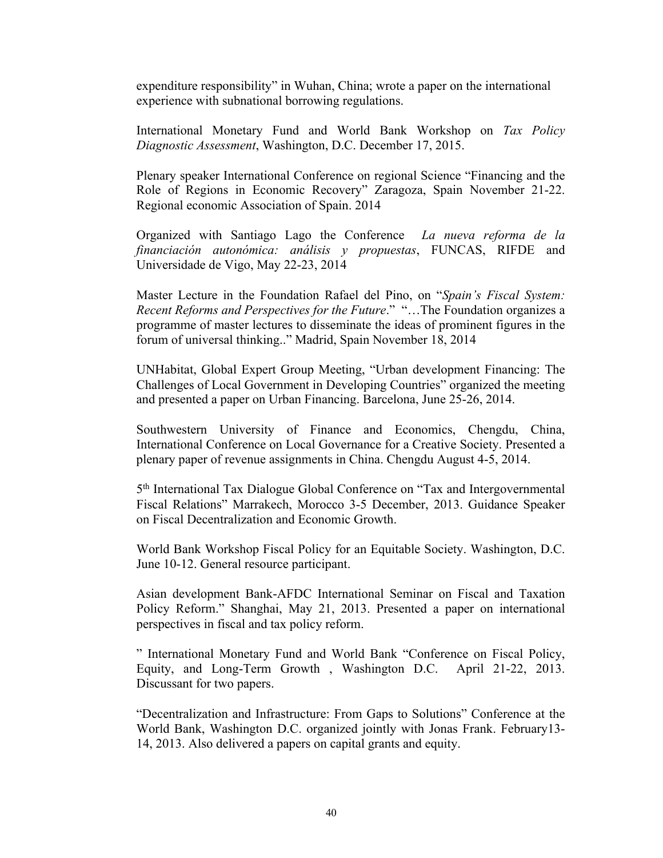expenditure responsibility" in Wuhan, China; wrote a paper on the international experience with subnational borrowing regulations.

International Monetary Fund and World Bank Workshop on *Tax Policy Diagnostic Assessment*, Washington, D.C. December 17, 2015.

Plenary speaker International Conference on regional Science "Financing and the Role of Regions in Economic Recovery" Zaragoza, Spain November 21-22. Regional economic Association of Spain. 2014

Organized with Santiago Lago the Conference *La nueva reforma de la financiación autonómica: análisis y propuestas*, FUNCAS, RIFDE and Universidade de Vigo, May 22-23, 2014

Master Lecture in the Foundation Rafael del Pino, on "*Spain's Fiscal System: Recent Reforms and Perspectives for the Future*." "…The Foundation organizes a programme of master lectures to disseminate the ideas of prominent figures in the forum of universal thinking.." Madrid, Spain November 18, 2014

UNHabitat, Global Expert Group Meeting, "Urban development Financing: The Challenges of Local Government in Developing Countries" organized the meeting and presented a paper on Urban Financing. Barcelona, June 25-26, 2014.

Southwestern University of Finance and Economics, Chengdu, China, International Conference on Local Governance for a Creative Society. Presented a plenary paper of revenue assignments in China. Chengdu August 4-5, 2014.

5th International Tax Dialogue Global Conference on "Tax and Intergovernmental Fiscal Relations" Marrakech, Morocco 3-5 December, 2013. Guidance Speaker on Fiscal Decentralization and Economic Growth.

World Bank Workshop Fiscal Policy for an Equitable Society. Washington, D.C. June 10-12. General resource participant.

Asian development Bank-AFDC International Seminar on Fiscal and Taxation Policy Reform." Shanghai, May 21, 2013. Presented a paper on international perspectives in fiscal and tax policy reform.

" International Monetary Fund and World Bank "Conference on Fiscal Policy, Equity, and Long-Term Growth , Washington D.C. April 21-22, 2013. Discussant for two papers.

"Decentralization and Infrastructure: From Gaps to Solutions" Conference at the World Bank, Washington D.C. organized jointly with Jonas Frank. February13- 14, 2013. Also delivered a papers on capital grants and equity.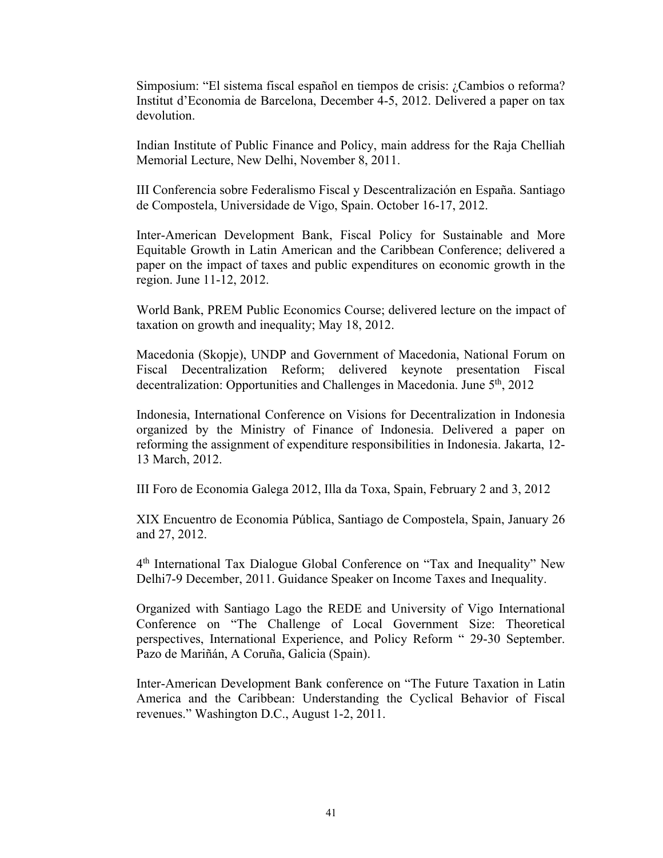Simposium: "El sistema fiscal español en tiempos de crisis: ¿Cambios o reforma? Institut d'Economia de Barcelona, December 4-5, 2012. Delivered a paper on tax devolution.

Indian Institute of Public Finance and Policy, main address for the Raja Chelliah Memorial Lecture, New Delhi, November 8, 2011.

III Conferencia sobre Federalismo Fiscal y Descentralización en España. Santiago de Compostela, Universidade de Vigo, Spain. October 16-17, 2012.

Inter-American Development Bank, Fiscal Policy for Sustainable and More Equitable Growth in Latin American and the Caribbean Conference; delivered a paper on the impact of taxes and public expenditures on economic growth in the region. June 11-12, 2012.

World Bank, PREM Public Economics Course; delivered lecture on the impact of taxation on growth and inequality; May 18, 2012.

Macedonia (Skopje), UNDP and Government of Macedonia, National Forum on Fiscal Decentralization Reform; delivered keynote presentation Fiscal decentralization: Opportunities and Challenges in Macedonia. June 5<sup>th</sup>, 2012

Indonesia, International Conference on Visions for Decentralization in Indonesia organized by the Ministry of Finance of Indonesia. Delivered a paper on reforming the assignment of expenditure responsibilities in Indonesia. Jakarta, 12- 13 March, 2012.

III Foro de Economia Galega 2012, Illa da Toxa, Spain, February 2 and 3, 2012

XIX Encuentro de Economia Pública, Santiago de Compostela, Spain, January 26 and 27, 2012.

4th International Tax Dialogue Global Conference on "Tax and Inequality" New Delhi7-9 December, 2011. Guidance Speaker on Income Taxes and Inequality.

Organized with Santiago Lago the REDE and University of Vigo International Conference on "The Challenge of Local Government Size: Theoretical perspectives, International Experience, and Policy Reform " 29-30 September. Pazo de Mariñán, A Coruña, Galicia (Spain).

Inter-American Development Bank conference on "The Future Taxation in Latin America and the Caribbean: Understanding the Cyclical Behavior of Fiscal revenues." Washington D.C., August 1-2, 2011.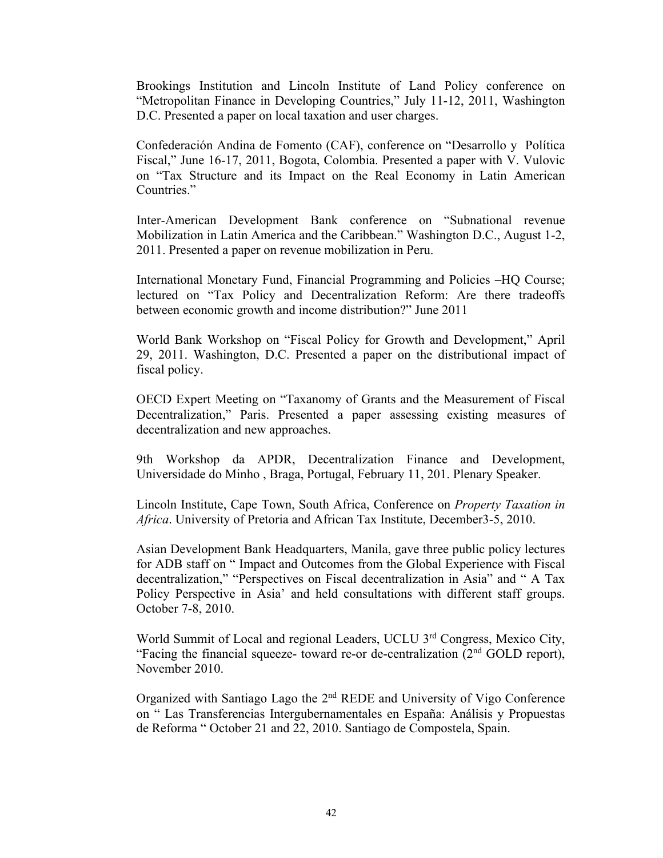Brookings Institution and Lincoln Institute of Land Policy conference on "Metropolitan Finance in Developing Countries," July 11-12, 2011, Washington D.C. Presented a paper on local taxation and user charges.

Confederación Andina de Fomento (CAF), conference on "Desarrollo y Política Fiscal," June 16-17, 2011, Bogota, Colombia. Presented a paper with V. Vulovic on "Tax Structure and its Impact on the Real Economy in Latin American Countries."

Inter-American Development Bank conference on "Subnational revenue Mobilization in Latin America and the Caribbean." Washington D.C., August 1-2, 2011. Presented a paper on revenue mobilization in Peru.

International Monetary Fund, Financial Programming and Policies –HQ Course; lectured on "Tax Policy and Decentralization Reform: Are there tradeoffs between economic growth and income distribution?" June 2011

World Bank Workshop on "Fiscal Policy for Growth and Development," April 29, 2011. Washington, D.C. Presented a paper on the distributional impact of fiscal policy.

OECD Expert Meeting on "Taxanomy of Grants and the Measurement of Fiscal Decentralization," Paris. Presented a paper assessing existing measures of decentralization and new approaches.

9th Workshop da APDR, Decentralization Finance and Development, Universidade do Minho , Braga, Portugal, February 11, 201. Plenary Speaker.

Lincoln Institute, Cape Town, South Africa, Conference on *Property Taxation in Africa*. University of Pretoria and African Tax Institute, December3-5, 2010.

Asian Development Bank Headquarters, Manila, gave three public policy lectures for ADB staff on " Impact and Outcomes from the Global Experience with Fiscal decentralization," "Perspectives on Fiscal decentralization in Asia" and " A Tax Policy Perspective in Asia' and held consultations with different staff groups. October 7-8, 2010.

World Summit of Local and regional Leaders, UCLU 3<sup>rd</sup> Congress, Mexico City, "Facing the financial squeeze- toward re-or de-centralization  $(2<sup>nd</sup> GOLD$  report), November 2010.

Organized with Santiago Lago the 2nd REDE and University of Vigo Conference on " Las Transferencias Intergubernamentales en España: Análisis y Propuestas de Reforma " October 21 and 22, 2010. Santiago de Compostela, Spain.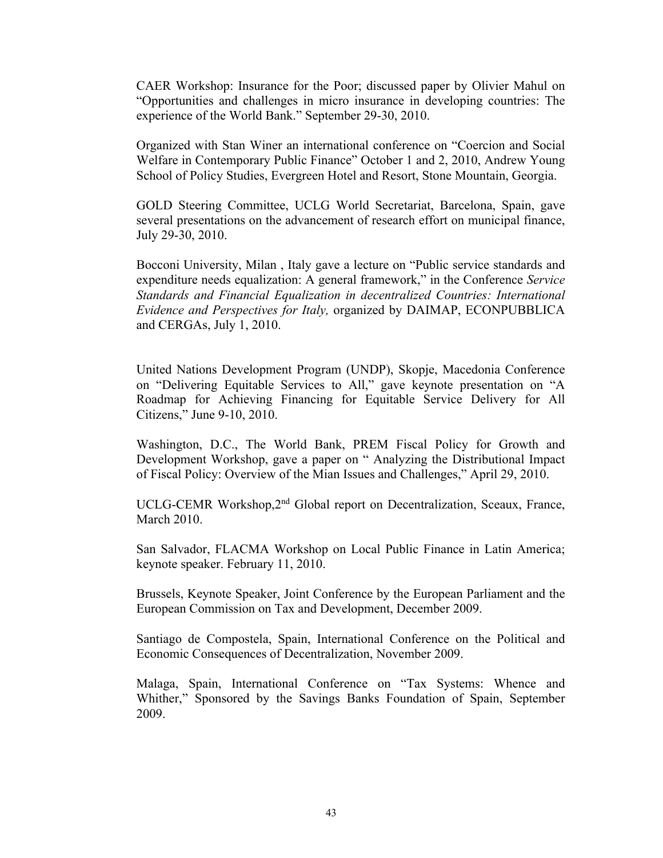CAER Workshop: Insurance for the Poor; discussed paper by Olivier Mahul on "Opportunities and challenges in micro insurance in developing countries: The experience of the World Bank." September 29-30, 2010.

Organized with Stan Winer an international conference on "Coercion and Social Welfare in Contemporary Public Finance" October 1 and 2, 2010, Andrew Young School of Policy Studies, Evergreen Hotel and Resort, Stone Mountain, Georgia.

GOLD Steering Committee, UCLG World Secretariat, Barcelona, Spain, gave several presentations on the advancement of research effort on municipal finance, July 29-30, 2010.

Bocconi University, Milan , Italy gave a lecture on "Public service standards and expenditure needs equalization: A general framework," in the Conference *Service Standards and Financial Equalization in decentralized Countries: International Evidence and Perspectives for Italy,* organized by DAIMAP, ECONPUBBLICA and CERGAs, July 1, 2010.

United Nations Development Program (UNDP), Skopje, Macedonia Conference on "Delivering Equitable Services to All," gave keynote presentation on "A Roadmap for Achieving Financing for Equitable Service Delivery for All Citizens," June 9-10, 2010.

Washington, D.C., The World Bank, PREM Fiscal Policy for Growth and Development Workshop, gave a paper on " Analyzing the Distributional Impact of Fiscal Policy: Overview of the Mian Issues and Challenges," April 29, 2010.

UCLG-CEMR Workshop, 2<sup>nd</sup> Global report on Decentralization, Sceaux, France, March 2010.

San Salvador, FLACMA Workshop on Local Public Finance in Latin America; keynote speaker. February 11, 2010.

Brussels, Keynote Speaker, Joint Conference by the European Parliament and the European Commission on Tax and Development, December 2009.

Santiago de Compostela, Spain, International Conference on the Political and Economic Consequences of Decentralization, November 2009.

Malaga, Spain, International Conference on "Tax Systems: Whence and Whither," Sponsored by the Savings Banks Foundation of Spain, September 2009.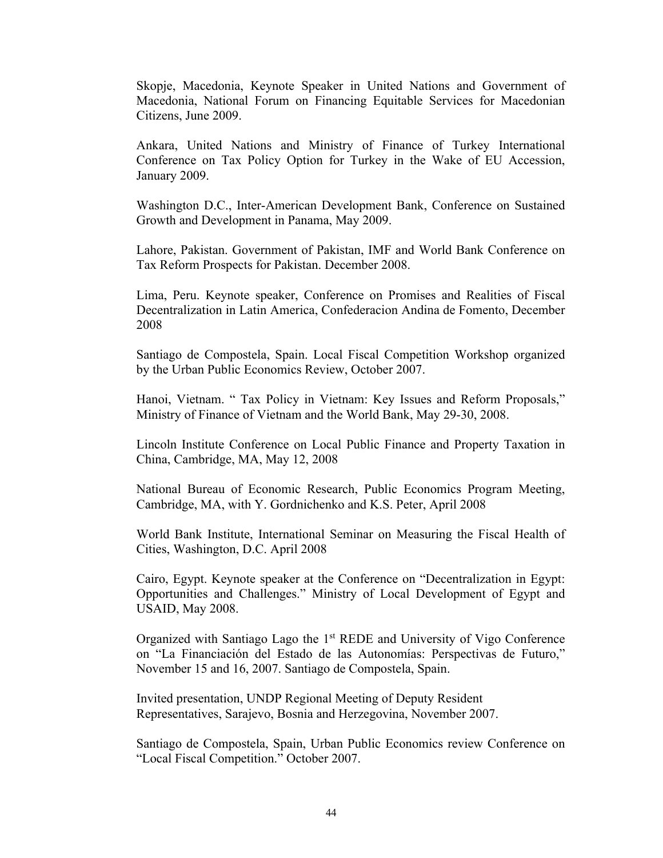Skopje, Macedonia, Keynote Speaker in United Nations and Government of Macedonia, National Forum on Financing Equitable Services for Macedonian Citizens, June 2009.

Ankara, United Nations and Ministry of Finance of Turkey International Conference on Tax Policy Option for Turkey in the Wake of EU Accession, January 2009.

Washington D.C., Inter-American Development Bank, Conference on Sustained Growth and Development in Panama, May 2009.

Lahore, Pakistan. Government of Pakistan, IMF and World Bank Conference on Tax Reform Prospects for Pakistan. December 2008.

Lima, Peru. Keynote speaker, Conference on Promises and Realities of Fiscal Decentralization in Latin America, Confederacion Andina de Fomento, December 2008

Santiago de Compostela, Spain. Local Fiscal Competition Workshop organized by the Urban Public Economics Review, October 2007.

Hanoi, Vietnam. " Tax Policy in Vietnam: Key Issues and Reform Proposals," Ministry of Finance of Vietnam and the World Bank, May 29-30, 2008.

Lincoln Institute Conference on Local Public Finance and Property Taxation in China, Cambridge, MA, May 12, 2008

National Bureau of Economic Research, Public Economics Program Meeting, Cambridge, MA, with Y. Gordnichenko and K.S. Peter, April 2008

World Bank Institute, International Seminar on Measuring the Fiscal Health of Cities, Washington, D.C. April 2008

Cairo, Egypt. Keynote speaker at the Conference on "Decentralization in Egypt: Opportunities and Challenges." Ministry of Local Development of Egypt and USAID, May 2008.

Organized with Santiago Lago the 1<sup>st</sup> REDE and University of Vigo Conference on "La Financiación del Estado de las Autonomías: Perspectivas de Futuro," November 15 and 16, 2007. Santiago de Compostela, Spain.

Invited presentation, UNDP Regional Meeting of Deputy Resident Representatives, Sarajevo, Bosnia and Herzegovina, November 2007.

Santiago de Compostela, Spain, Urban Public Economics review Conference on "Local Fiscal Competition." October 2007.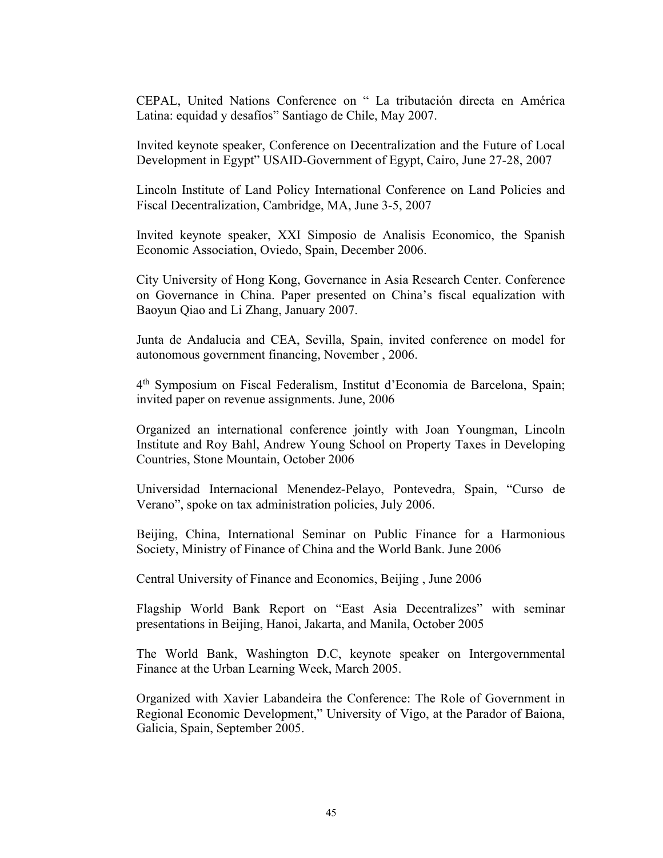CEPAL, United Nations Conference on " La tributación directa en América Latina: equidad y desafíos" Santiago de Chile, May 2007.

Invited keynote speaker, Conference on Decentralization and the Future of Local Development in Egypt" USAID-Government of Egypt, Cairo, June 27-28, 2007

Lincoln Institute of Land Policy International Conference on Land Policies and Fiscal Decentralization, Cambridge, MA, June 3-5, 2007

Invited keynote speaker, XXI Simposio de Analisis Economico, the Spanish Economic Association, Oviedo, Spain, December 2006.

City University of Hong Kong, Governance in Asia Research Center. Conference on Governance in China. Paper presented on China's fiscal equalization with Baoyun Qiao and Li Zhang, January 2007.

Junta de Andalucia and CEA, Sevilla, Spain, invited conference on model for autonomous government financing, November , 2006.

4th Symposium on Fiscal Federalism, Institut d'Economia de Barcelona, Spain; invited paper on revenue assignments. June, 2006

Organized an international conference jointly with Joan Youngman, Lincoln Institute and Roy Bahl, Andrew Young School on Property Taxes in Developing Countries, Stone Mountain, October 2006

Universidad Internacional Menendez-Pelayo, Pontevedra, Spain, "Curso de Verano", spoke on tax administration policies, July 2006.

Beijing, China, International Seminar on Public Finance for a Harmonious Society, Ministry of Finance of China and the World Bank. June 2006

Central University of Finance and Economics, Beijing , June 2006

Flagship World Bank Report on "East Asia Decentralizes" with seminar presentations in Beijing, Hanoi, Jakarta, and Manila, October 2005

The World Bank, Washington D.C, keynote speaker on Intergovernmental Finance at the Urban Learning Week, March 2005.

Organized with Xavier Labandeira the Conference: The Role of Government in Regional Economic Development," University of Vigo, at the Parador of Baiona, Galicia, Spain, September 2005.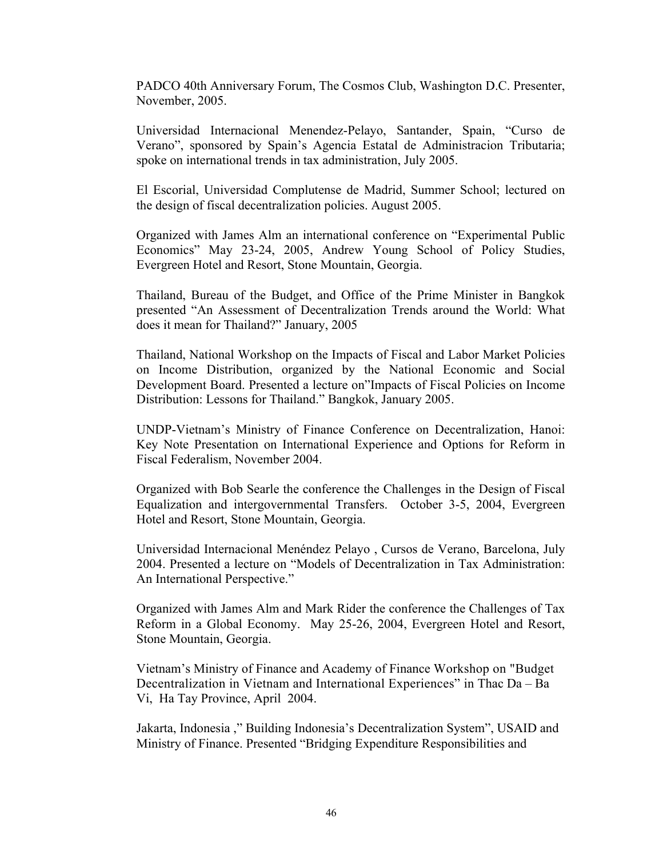PADCO 40th Anniversary Forum, The Cosmos Club, Washington D.C. Presenter, November, 2005.

Universidad Internacional Menendez-Pelayo, Santander, Spain, "Curso de Verano", sponsored by Spain's Agencia Estatal de Administracion Tributaria; spoke on international trends in tax administration, July 2005.

El Escorial, Universidad Complutense de Madrid, Summer School; lectured on the design of fiscal decentralization policies. August 2005.

Organized with James Alm an international conference on "Experimental Public Economics" May 23-24, 2005, Andrew Young School of Policy Studies, Evergreen Hotel and Resort, Stone Mountain, Georgia.

Thailand, Bureau of the Budget, and Office of the Prime Minister in Bangkok presented "An Assessment of Decentralization Trends around the World: What does it mean for Thailand?" January, 2005

Thailand, National Workshop on the Impacts of Fiscal and Labor Market Policies on Income Distribution, organized by the National Economic and Social Development Board. Presented a lecture on"Impacts of Fiscal Policies on Income Distribution: Lessons for Thailand." Bangkok, January 2005.

UNDP-Vietnam's Ministry of Finance Conference on Decentralization, Hanoi: Key Note Presentation on International Experience and Options for Reform in Fiscal Federalism, November 2004.

Organized with Bob Searle the conference the Challenges in the Design of Fiscal Equalization and intergovernmental Transfers. October 3-5, 2004, Evergreen Hotel and Resort, Stone Mountain, Georgia.

Universidad Internacional Menéndez Pelayo , Cursos de Verano, Barcelona, July 2004. Presented a lecture on "Models of Decentralization in Tax Administration: An International Perspective."

Organized with James Alm and Mark Rider the conference the Challenges of Tax Reform in a Global Economy. May 25-26, 2004, Evergreen Hotel and Resort, Stone Mountain, Georgia.

Vietnam's Ministry of Finance and Academy of Finance Workshop on "Budget Decentralization in Vietnam and International Experiences" in Thac Da – Ba Vi, Ha Tay Province, April 2004.

Jakarta, Indonesia ," Building Indonesia's Decentralization System", USAID and Ministry of Finance. Presented "Bridging Expenditure Responsibilities and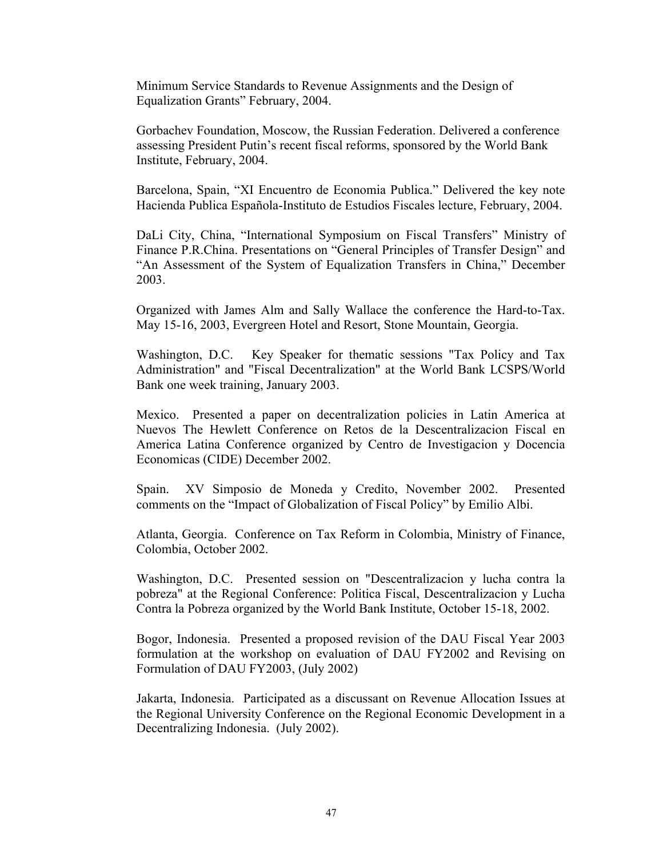Minimum Service Standards to Revenue Assignments and the Design of Equalization Grants" February, 2004.

Gorbachev Foundation, Moscow, the Russian Federation. Delivered a conference assessing President Putin's recent fiscal reforms, sponsored by the World Bank Institute, February, 2004.

Barcelona, Spain, "XI Encuentro de Economia Publica." Delivered the key note Hacienda Publica Española-Instituto de Estudios Fiscales lecture, February, 2004.

DaLi City, China, "International Symposium on Fiscal Transfers" Ministry of Finance P.R.China. Presentations on "General Principles of Transfer Design" and "An Assessment of the System of Equalization Transfers in China," December 2003.

Organized with James Alm and Sally Wallace the conference the Hard-to-Tax. May 15-16, 2003, Evergreen Hotel and Resort, Stone Mountain, Georgia.

Washington, D.C. Key Speaker for thematic sessions "Tax Policy and Tax Administration" and "Fiscal Decentralization" at the World Bank LCSPS/World Bank one week training, January 2003.

Mexico. Presented a paper on decentralization policies in Latin America at Nuevos The Hewlett Conference on Retos de la Descentralizacion Fiscal en America Latina Conference organized by Centro de Investigacion y Docencia Economicas (CIDE) December 2002.

Spain. XV Simposio de Moneda y Credito, November 2002. Presented comments on the "Impact of Globalization of Fiscal Policy" by Emilio Albi.

Atlanta, Georgia. Conference on Tax Reform in Colombia, Ministry of Finance, Colombia, October 2002.

Washington, D.C. Presented session on "Descentralizacion y lucha contra la pobreza" at the Regional Conference: Politica Fiscal, Descentralizacion y Lucha Contra la Pobreza organized by the World Bank Institute, October 15-18, 2002.

Bogor, Indonesia. Presented a proposed revision of the DAU Fiscal Year 2003 formulation at the workshop on evaluation of DAU FY2002 and Revising on Formulation of DAU FY2003, (July 2002)

Jakarta, Indonesia. Participated as a discussant on Revenue Allocation Issues at the Regional University Conference on the Regional Economic Development in a Decentralizing Indonesia. (July 2002).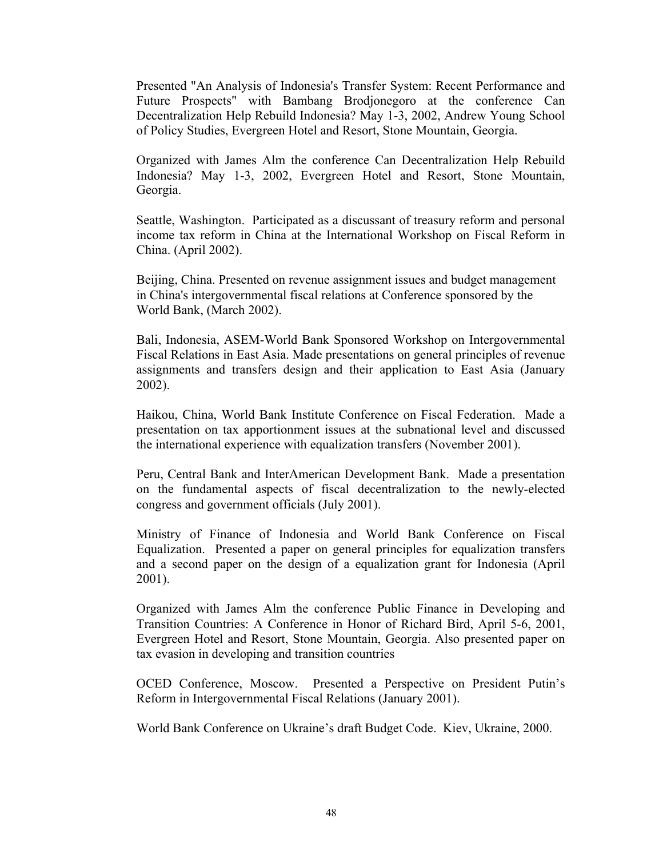Presented "An Analysis of Indonesia's Transfer System: Recent Performance and Future Prospects" with Bambang Brodjonegoro at the conference Can Decentralization Help Rebuild Indonesia? May 1-3, 2002, Andrew Young School of Policy Studies, Evergreen Hotel and Resort, Stone Mountain, Georgia.

Organized with James Alm the conference Can Decentralization Help Rebuild Indonesia? May 1-3, 2002, Evergreen Hotel and Resort, Stone Mountain, Georgia.

Seattle, Washington. Participated as a discussant of treasury reform and personal income tax reform in China at the International Workshop on Fiscal Reform in China. (April 2002).

Beijing, China. Presented on revenue assignment issues and budget management in China's intergovernmental fiscal relations at Conference sponsored by the World Bank, (March 2002).

Bali, Indonesia, ASEM-World Bank Sponsored Workshop on Intergovernmental Fiscal Relations in East Asia. Made presentations on general principles of revenue assignments and transfers design and their application to East Asia (January 2002).

Haikou, China, World Bank Institute Conference on Fiscal Federation. Made a presentation on tax apportionment issues at the subnational level and discussed the international experience with equalization transfers (November 2001).

Peru, Central Bank and InterAmerican Development Bank. Made a presentation on the fundamental aspects of fiscal decentralization to the newly-elected congress and government officials (July 2001).

Ministry of Finance of Indonesia and World Bank Conference on Fiscal Equalization. Presented a paper on general principles for equalization transfers and a second paper on the design of a equalization grant for Indonesia (April 2001).

Organized with James Alm the conference Public Finance in Developing and Transition Countries: A Conference in Honor of Richard Bird, April 5-6, 2001, Evergreen Hotel and Resort, Stone Mountain, Georgia. Also presented paper on tax evasion in developing and transition countries

OCED Conference, Moscow. Presented a Perspective on President Putin's Reform in Intergovernmental Fiscal Relations (January 2001).

World Bank Conference on Ukraine's draft Budget Code. Kiev, Ukraine, 2000.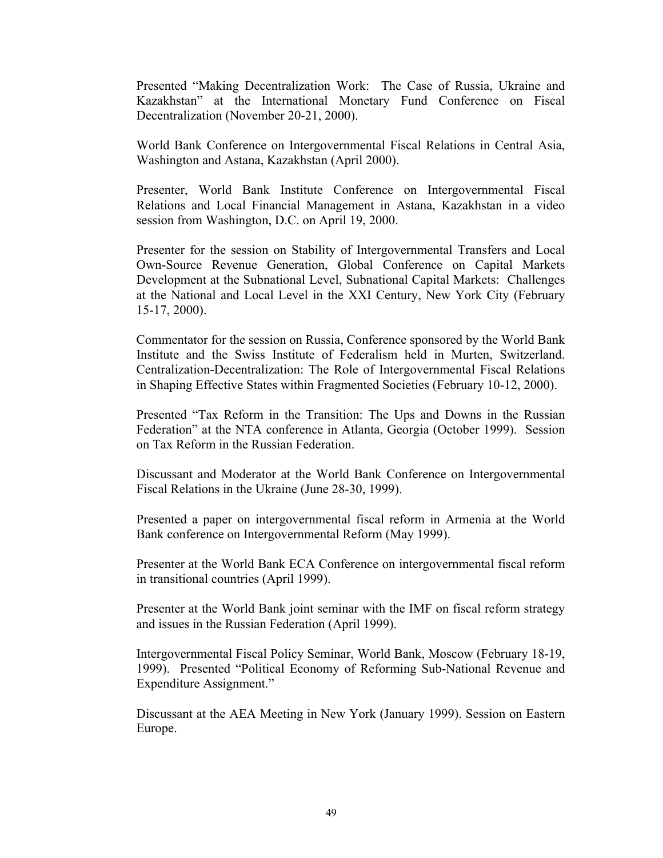Presented "Making Decentralization Work: The Case of Russia, Ukraine and Kazakhstan" at the International Monetary Fund Conference on Fiscal Decentralization (November 20-21, 2000).

World Bank Conference on Intergovernmental Fiscal Relations in Central Asia, Washington and Astana, Kazakhstan (April 2000).

Presenter, World Bank Institute Conference on Intergovernmental Fiscal Relations and Local Financial Management in Astana, Kazakhstan in a video session from Washington, D.C. on April 19, 2000.

Presenter for the session on Stability of Intergovernmental Transfers and Local Own-Source Revenue Generation, Global Conference on Capital Markets Development at the Subnational Level, Subnational Capital Markets: Challenges at the National and Local Level in the XXI Century, New York City (February 15-17, 2000).

Commentator for the session on Russia, Conference sponsored by the World Bank Institute and the Swiss Institute of Federalism held in Murten, Switzerland. Centralization-Decentralization: The Role of Intergovernmental Fiscal Relations in Shaping Effective States within Fragmented Societies (February 10-12, 2000).

Presented "Tax Reform in the Transition: The Ups and Downs in the Russian Federation" at the NTA conference in Atlanta, Georgia (October 1999). Session on Tax Reform in the Russian Federation.

Discussant and Moderator at the World Bank Conference on Intergovernmental Fiscal Relations in the Ukraine (June 28-30, 1999).

Presented a paper on intergovernmental fiscal reform in Armenia at the World Bank conference on Intergovernmental Reform (May 1999).

Presenter at the World Bank ECA Conference on intergovernmental fiscal reform in transitional countries (April 1999).

Presenter at the World Bank joint seminar with the IMF on fiscal reform strategy and issues in the Russian Federation (April 1999).

Intergovernmental Fiscal Policy Seminar, World Bank, Moscow (February 18-19, 1999). Presented "Political Economy of Reforming Sub-National Revenue and Expenditure Assignment."

Discussant at the AEA Meeting in New York (January 1999). Session on Eastern Europe.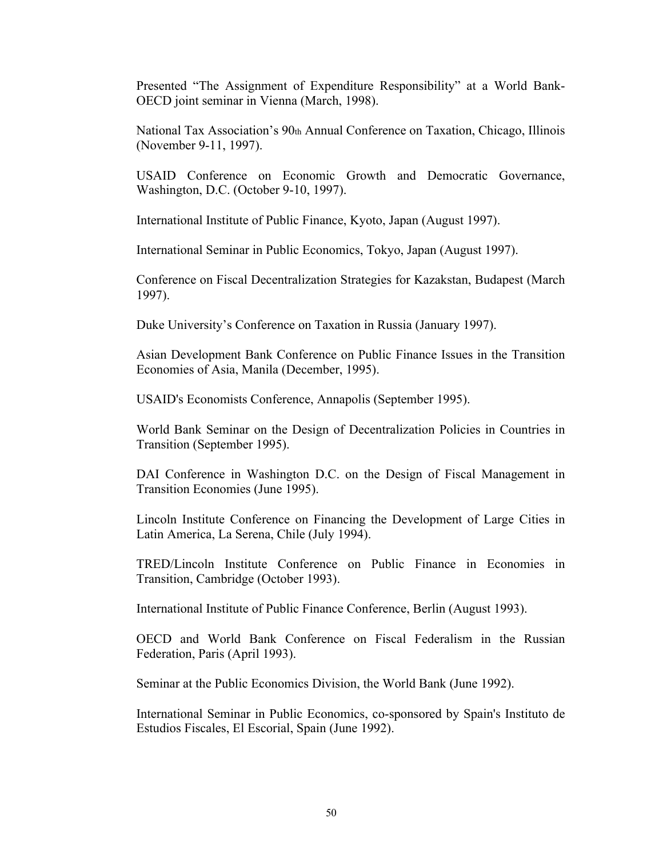Presented "The Assignment of Expenditure Responsibility" at a World Bank-OECD joint seminar in Vienna (March, 1998).

National Tax Association's 90th Annual Conference on Taxation, Chicago, Illinois (November 9-11, 1997).

USAID Conference on Economic Growth and Democratic Governance, Washington, D.C. (October 9-10, 1997).

International Institute of Public Finance, Kyoto, Japan (August 1997).

International Seminar in Public Economics, Tokyo, Japan (August 1997).

Conference on Fiscal Decentralization Strategies for Kazakstan, Budapest (March 1997).

Duke University's Conference on Taxation in Russia (January 1997).

Asian Development Bank Conference on Public Finance Issues in the Transition Economies of Asia, Manila (December, 1995).

USAID's Economists Conference, Annapolis (September 1995).

World Bank Seminar on the Design of Decentralization Policies in Countries in Transition (September 1995).

DAI Conference in Washington D.C. on the Design of Fiscal Management in Transition Economies (June 1995).

Lincoln Institute Conference on Financing the Development of Large Cities in Latin America, La Serena, Chile (July 1994).

TRED/Lincoln Institute Conference on Public Finance in Economies in Transition, Cambridge (October 1993).

International Institute of Public Finance Conference, Berlin (August 1993).

OECD and World Bank Conference on Fiscal Federalism in the Russian Federation, Paris (April 1993).

Seminar at the Public Economics Division, the World Bank (June 1992).

International Seminar in Public Economics, co-sponsored by Spain's Instituto de Estudios Fiscales, El Escorial, Spain (June 1992).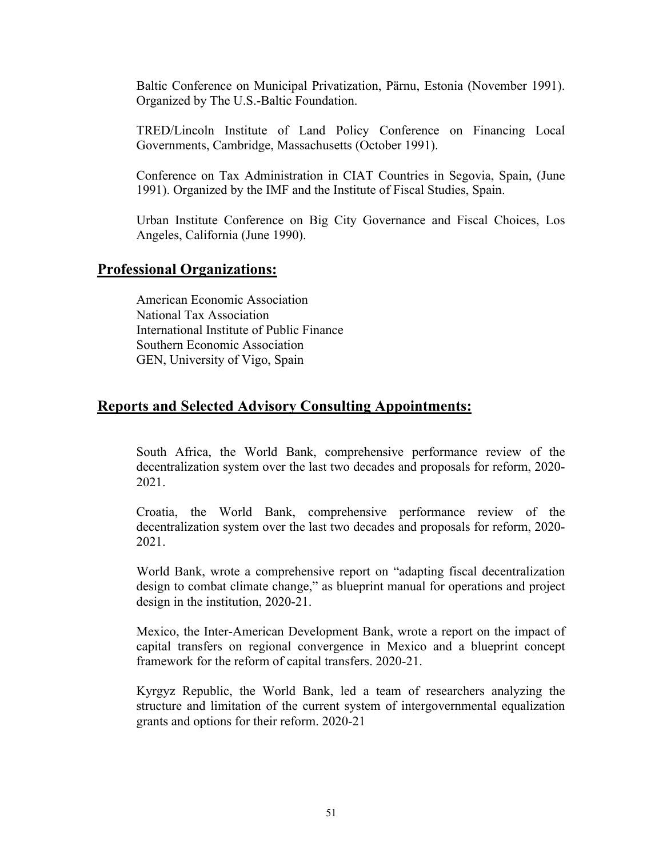Baltic Conference on Municipal Privatization, Pärnu, Estonia (November 1991). Organized by The U.S.-Baltic Foundation.

TRED/Lincoln Institute of Land Policy Conference on Financing Local Governments, Cambridge, Massachusetts (October 1991).

Conference on Tax Administration in CIAT Countries in Segovia, Spain, (June 1991). Organized by the IMF and the Institute of Fiscal Studies, Spain.

Urban Institute Conference on Big City Governance and Fiscal Choices, Los Angeles, California (June 1990).

#### **Professional Organizations:**

American Economic Association National Tax Association International Institute of Public Finance Southern Economic Association GEN, University of Vigo, Spain

# **Reports and Selected Advisory Consulting Appointments:**

South Africa, the World Bank, comprehensive performance review of the decentralization system over the last two decades and proposals for reform, 2020- 2021.

Croatia, the World Bank, comprehensive performance review of the decentralization system over the last two decades and proposals for reform, 2020- 2021.

World Bank, wrote a comprehensive report on "adapting fiscal decentralization design to combat climate change," as blueprint manual for operations and project design in the institution, 2020-21.

Mexico, the Inter-American Development Bank, wrote a report on the impact of capital transfers on regional convergence in Mexico and a blueprint concept framework for the reform of capital transfers. 2020-21.

Kyrgyz Republic, the World Bank, led a team of researchers analyzing the structure and limitation of the current system of intergovernmental equalization grants and options for their reform. 2020-21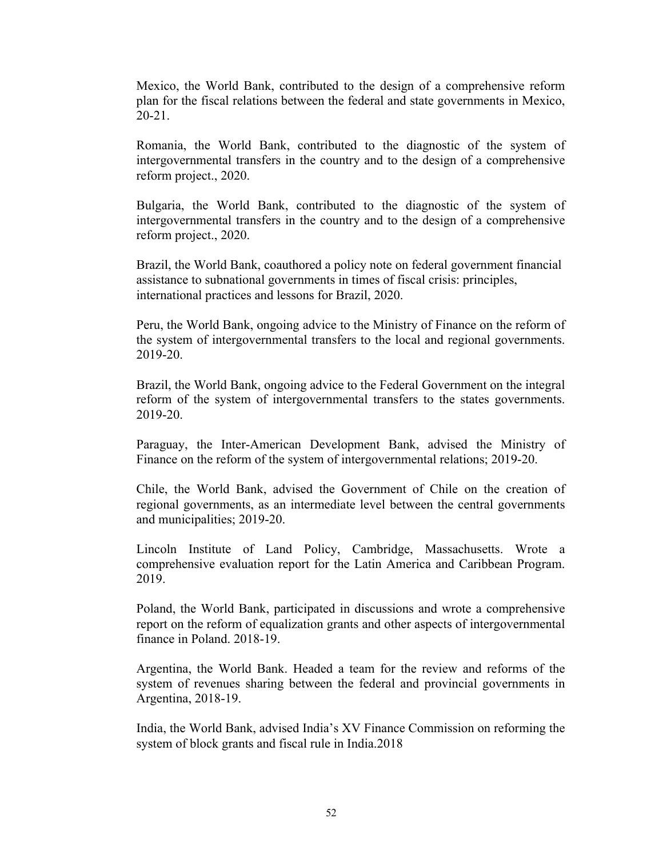Mexico, the World Bank, contributed to the design of a comprehensive reform plan for the fiscal relations between the federal and state governments in Mexico, 20-21.

Romania, the World Bank, contributed to the diagnostic of the system of intergovernmental transfers in the country and to the design of a comprehensive reform project., 2020.

Bulgaria, the World Bank, contributed to the diagnostic of the system of intergovernmental transfers in the country and to the design of a comprehensive reform project., 2020.

Brazil, the World Bank, coauthored a policy note on federal government financial assistance to subnational governments in times of fiscal crisis: principles, international practices and lessons for Brazil, 2020.

Peru, the World Bank, ongoing advice to the Ministry of Finance on the reform of the system of intergovernmental transfers to the local and regional governments. 2019-20.

Brazil, the World Bank, ongoing advice to the Federal Government on the integral reform of the system of intergovernmental transfers to the states governments. 2019-20.

Paraguay, the Inter-American Development Bank, advised the Ministry of Finance on the reform of the system of intergovernmental relations; 2019-20.

Chile, the World Bank, advised the Government of Chile on the creation of regional governments, as an intermediate level between the central governments and municipalities; 2019-20.

Lincoln Institute of Land Policy, Cambridge, Massachusetts. Wrote a comprehensive evaluation report for the Latin America and Caribbean Program. 2019.

Poland, the World Bank, participated in discussions and wrote a comprehensive report on the reform of equalization grants and other aspects of intergovernmental finance in Poland. 2018-19.

Argentina, the World Bank. Headed a team for the review and reforms of the system of revenues sharing between the federal and provincial governments in Argentina, 2018-19.

India, the World Bank, advised India's XV Finance Commission on reforming the system of block grants and fiscal rule in India.2018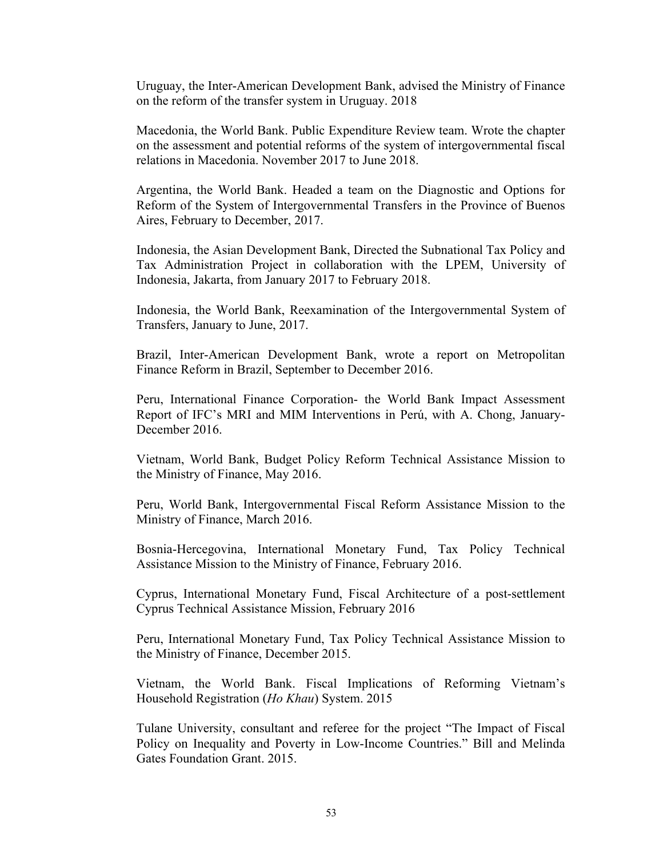Uruguay, the Inter-American Development Bank, advised the Ministry of Finance on the reform of the transfer system in Uruguay. 2018

Macedonia, the World Bank. Public Expenditure Review team. Wrote the chapter on the assessment and potential reforms of the system of intergovernmental fiscal relations in Macedonia. November 2017 to June 2018.

Argentina, the World Bank. Headed a team on the Diagnostic and Options for Reform of the System of Intergovernmental Transfers in the Province of Buenos Aires, February to December, 2017.

Indonesia, the Asian Development Bank, Directed the Subnational Tax Policy and Tax Administration Project in collaboration with the LPEM, University of Indonesia, Jakarta, from January 2017 to February 2018.

Indonesia, the World Bank, Reexamination of the Intergovernmental System of Transfers, January to June, 2017.

Brazil, Inter-American Development Bank, wrote a report on Metropolitan Finance Reform in Brazil, September to December 2016.

Peru, International Finance Corporation- the World Bank Impact Assessment Report of IFC's MRI and MIM Interventions in Perú, with A. Chong, January-December 2016.

Vietnam, World Bank, Budget Policy Reform Technical Assistance Mission to the Ministry of Finance, May 2016.

Peru, World Bank, Intergovernmental Fiscal Reform Assistance Mission to the Ministry of Finance, March 2016.

Bosnia-Hercegovina, International Monetary Fund, Tax Policy Technical Assistance Mission to the Ministry of Finance, February 2016.

Cyprus, International Monetary Fund, Fiscal Architecture of a post-settlement Cyprus Technical Assistance Mission, February 2016

Peru, International Monetary Fund, Tax Policy Technical Assistance Mission to the Ministry of Finance, December 2015.

Vietnam, the World Bank. Fiscal Implications of Reforming Vietnam's Household Registration (*Ho Khau*) System. 2015

Tulane University, consultant and referee for the project "The Impact of Fiscal Policy on Inequality and Poverty in Low-Income Countries." Bill and Melinda Gates Foundation Grant. 2015.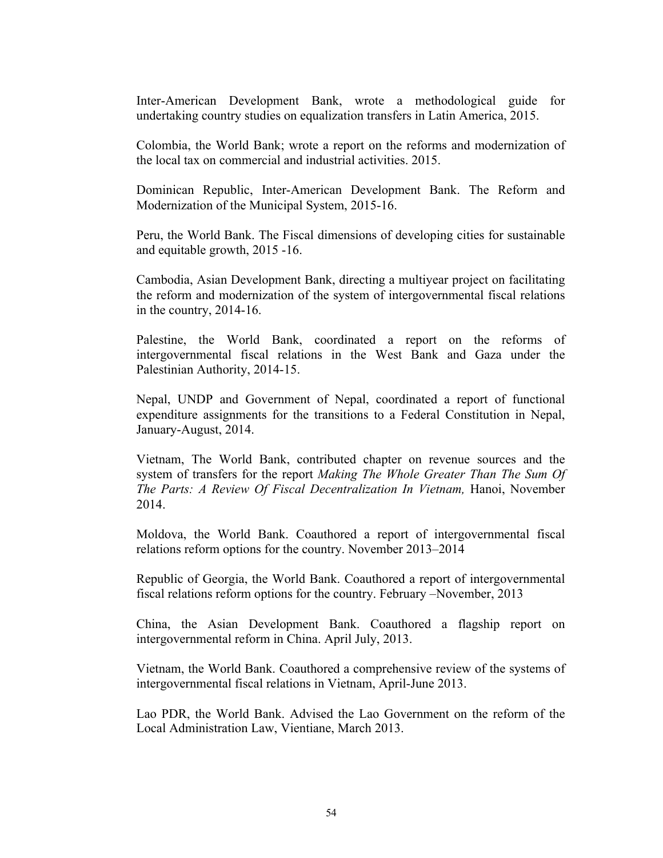Inter-American Development Bank, wrote a methodological guide for undertaking country studies on equalization transfers in Latin America, 2015.

Colombia, the World Bank; wrote a report on the reforms and modernization of the local tax on commercial and industrial activities. 2015.

Dominican Republic, Inter-American Development Bank. The Reform and Modernization of the Municipal System, 2015-16.

Peru, the World Bank. The Fiscal dimensions of developing cities for sustainable and equitable growth, 2015 -16.

Cambodia, Asian Development Bank, directing a multiyear project on facilitating the reform and modernization of the system of intergovernmental fiscal relations in the country, 2014-16.

Palestine, the World Bank, coordinated a report on the reforms of intergovernmental fiscal relations in the West Bank and Gaza under the Palestinian Authority, 2014-15.

Nepal, UNDP and Government of Nepal, coordinated a report of functional expenditure assignments for the transitions to a Federal Constitution in Nepal, January-August, 2014.

Vietnam, The World Bank, contributed chapter on revenue sources and the system of transfers for the report *Making The Whole Greater Than The Sum Of The Parts: A Review Of Fiscal Decentralization In Vietnam, Hanoi, November* 2014.

Moldova, the World Bank. Coauthored a report of intergovernmental fiscal relations reform options for the country. November 2013–2014

Republic of Georgia, the World Bank. Coauthored a report of intergovernmental fiscal relations reform options for the country. February –November, 2013

China, the Asian Development Bank. Coauthored a flagship report on intergovernmental reform in China. April July, 2013.

Vietnam, the World Bank. Coauthored a comprehensive review of the systems of intergovernmental fiscal relations in Vietnam, April-June 2013.

Lao PDR, the World Bank. Advised the Lao Government on the reform of the Local Administration Law, Vientiane, March 2013.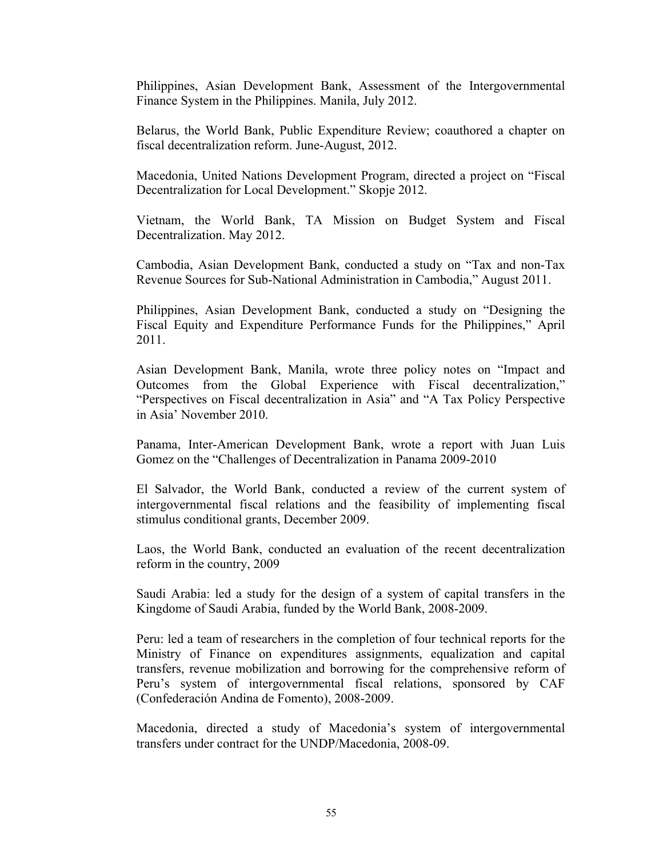Philippines, Asian Development Bank, Assessment of the Intergovernmental Finance System in the Philippines. Manila, July 2012.

Belarus, the World Bank, Public Expenditure Review; coauthored a chapter on fiscal decentralization reform. June-August, 2012.

Macedonia, United Nations Development Program, directed a project on "Fiscal Decentralization for Local Development." Skopje 2012.

Vietnam, the World Bank, TA Mission on Budget System and Fiscal Decentralization. May 2012.

Cambodia, Asian Development Bank, conducted a study on "Tax and non-Tax Revenue Sources for Sub-National Administration in Cambodia," August 2011.

Philippines, Asian Development Bank, conducted a study on "Designing the Fiscal Equity and Expenditure Performance Funds for the Philippines," April 2011.

Asian Development Bank, Manila, wrote three policy notes on "Impact and Outcomes from the Global Experience with Fiscal decentralization," "Perspectives on Fiscal decentralization in Asia" and "A Tax Policy Perspective in Asia' November 2010.

Panama, Inter-American Development Bank, wrote a report with Juan Luis Gomez on the "Challenges of Decentralization in Panama 2009-2010

El Salvador, the World Bank, conducted a review of the current system of intergovernmental fiscal relations and the feasibility of implementing fiscal stimulus conditional grants, December 2009.

Laos, the World Bank, conducted an evaluation of the recent decentralization reform in the country, 2009

Saudi Arabia: led a study for the design of a system of capital transfers in the Kingdome of Saudi Arabia, funded by the World Bank, 2008-2009.

Peru: led a team of researchers in the completion of four technical reports for the Ministry of Finance on expenditures assignments, equalization and capital transfers, revenue mobilization and borrowing for the comprehensive reform of Peru's system of intergovernmental fiscal relations, sponsored by CAF (Confederación Andina de Fomento), 2008-2009.

Macedonia, directed a study of Macedonia's system of intergovernmental transfers under contract for the UNDP/Macedonia, 2008-09.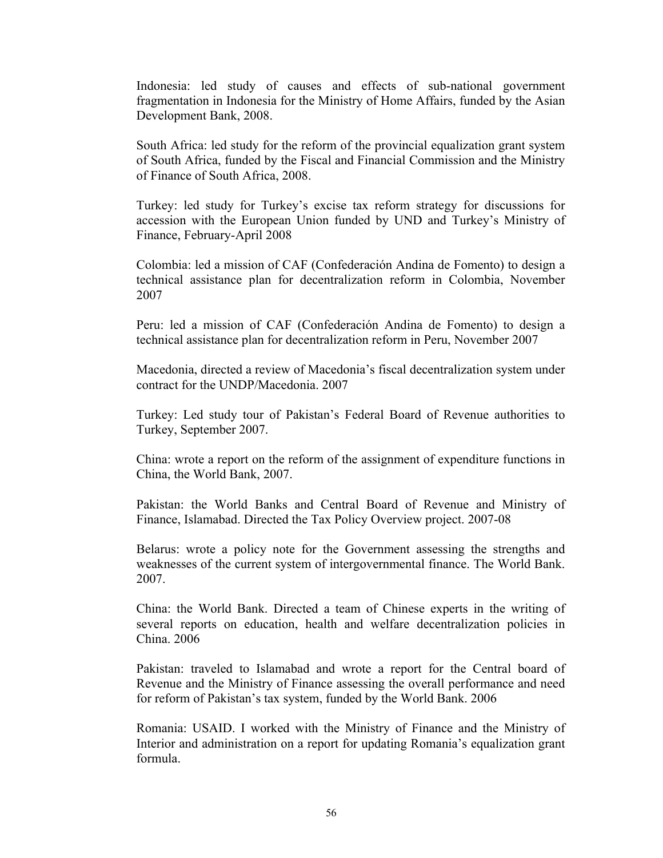Indonesia: led study of causes and effects of sub-national government fragmentation in Indonesia for the Ministry of Home Affairs, funded by the Asian Development Bank, 2008.

South Africa: led study for the reform of the provincial equalization grant system of South Africa, funded by the Fiscal and Financial Commission and the Ministry of Finance of South Africa, 2008.

Turkey: led study for Turkey's excise tax reform strategy for discussions for accession with the European Union funded by UND and Turkey's Ministry of Finance, February-April 2008

Colombia: led a mission of CAF (Confederación Andina de Fomento) to design a technical assistance plan for decentralization reform in Colombia, November 2007

Peru: led a mission of CAF (Confederación Andina de Fomento) to design a technical assistance plan for decentralization reform in Peru, November 2007

Macedonia, directed a review of Macedonia's fiscal decentralization system under contract for the UNDP/Macedonia. 2007

Turkey: Led study tour of Pakistan's Federal Board of Revenue authorities to Turkey, September 2007.

China: wrote a report on the reform of the assignment of expenditure functions in China, the World Bank, 2007.

Pakistan: the World Banks and Central Board of Revenue and Ministry of Finance, Islamabad. Directed the Tax Policy Overview project. 2007-08

Belarus: wrote a policy note for the Government assessing the strengths and weaknesses of the current system of intergovernmental finance. The World Bank. 2007.

China: the World Bank. Directed a team of Chinese experts in the writing of several reports on education, health and welfare decentralization policies in China. 2006

Pakistan: traveled to Islamabad and wrote a report for the Central board of Revenue and the Ministry of Finance assessing the overall performance and need for reform of Pakistan's tax system, funded by the World Bank. 2006

Romania: USAID. I worked with the Ministry of Finance and the Ministry of Interior and administration on a report for updating Romania's equalization grant formula.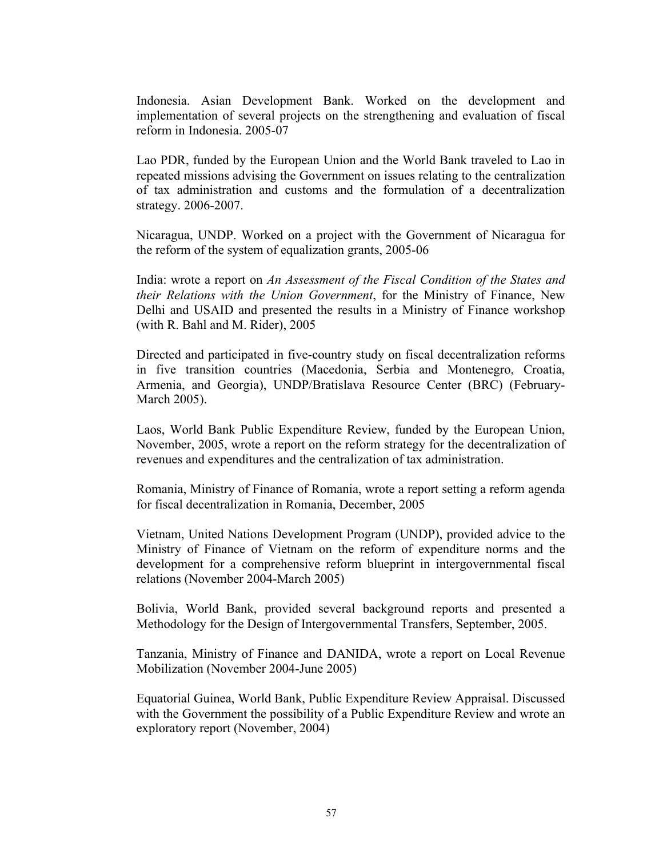Indonesia. Asian Development Bank. Worked on the development and implementation of several projects on the strengthening and evaluation of fiscal reform in Indonesia. 2005-07

Lao PDR, funded by the European Union and the World Bank traveled to Lao in repeated missions advising the Government on issues relating to the centralization of tax administration and customs and the formulation of a decentralization strategy. 2006-2007.

Nicaragua, UNDP. Worked on a project with the Government of Nicaragua for the reform of the system of equalization grants, 2005-06

India: wrote a report on *An Assessment of the Fiscal Condition of the States and their Relations with the Union Government*, for the Ministry of Finance, New Delhi and USAID and presented the results in a Ministry of Finance workshop (with R. Bahl and M. Rider), 2005

Directed and participated in five-country study on fiscal decentralization reforms in five transition countries (Macedonia, Serbia and Montenegro, Croatia, Armenia, and Georgia), UNDP/Bratislava Resource Center (BRC) (February-March 2005).

Laos, World Bank Public Expenditure Review, funded by the European Union, November, 2005, wrote a report on the reform strategy for the decentralization of revenues and expenditures and the centralization of tax administration.

Romania, Ministry of Finance of Romania, wrote a report setting a reform agenda for fiscal decentralization in Romania, December, 2005

Vietnam, United Nations Development Program (UNDP), provided advice to the Ministry of Finance of Vietnam on the reform of expenditure norms and the development for a comprehensive reform blueprint in intergovernmental fiscal relations (November 2004-March 2005)

Bolivia, World Bank, provided several background reports and presented a Methodology for the Design of Intergovernmental Transfers, September, 2005.

Tanzania, Ministry of Finance and DANIDA, wrote a report on Local Revenue Mobilization (November 2004-June 2005)

Equatorial Guinea, World Bank, Public Expenditure Review Appraisal. Discussed with the Government the possibility of a Public Expenditure Review and wrote an exploratory report (November, 2004)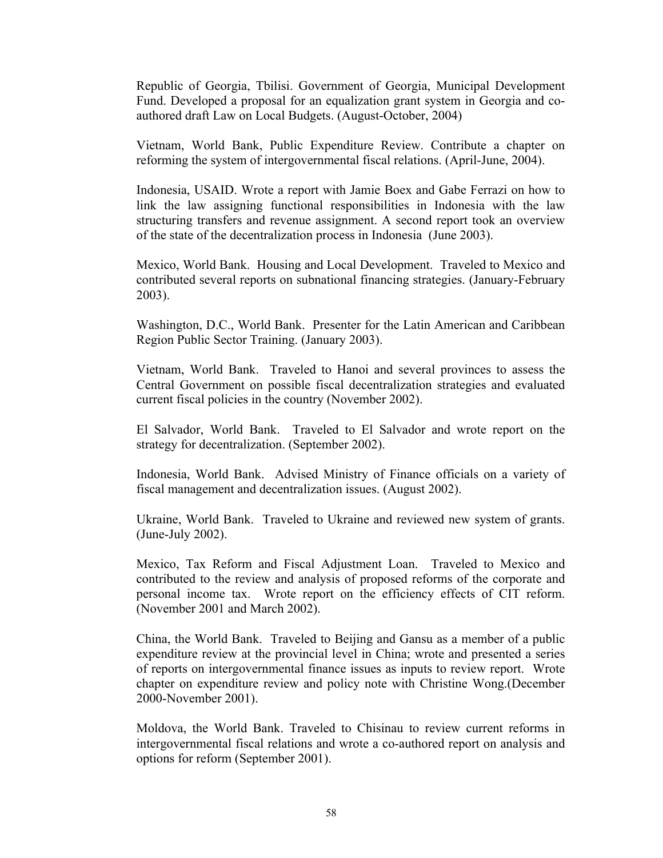Republic of Georgia, Tbilisi. Government of Georgia, Municipal Development Fund. Developed a proposal for an equalization grant system in Georgia and coauthored draft Law on Local Budgets. (August-October, 2004)

Vietnam, World Bank, Public Expenditure Review. Contribute a chapter on reforming the system of intergovernmental fiscal relations. (April-June, 2004).

Indonesia, USAID. Wrote a report with Jamie Boex and Gabe Ferrazi on how to link the law assigning functional responsibilities in Indonesia with the law structuring transfers and revenue assignment. A second report took an overview of the state of the decentralization process in Indonesia (June 2003).

Mexico, World Bank. Housing and Local Development. Traveled to Mexico and contributed several reports on subnational financing strategies. (January-February 2003).

Washington, D.C., World Bank. Presenter for the Latin American and Caribbean Region Public Sector Training. (January 2003).

Vietnam, World Bank. Traveled to Hanoi and several provinces to assess the Central Government on possible fiscal decentralization strategies and evaluated current fiscal policies in the country (November 2002).

El Salvador, World Bank. Traveled to El Salvador and wrote report on the strategy for decentralization. (September 2002).

Indonesia, World Bank. Advised Ministry of Finance officials on a variety of fiscal management and decentralization issues. (August 2002).

Ukraine, World Bank. Traveled to Ukraine and reviewed new system of grants. (June-July 2002).

Mexico, Tax Reform and Fiscal Adjustment Loan. Traveled to Mexico and contributed to the review and analysis of proposed reforms of the corporate and personal income tax. Wrote report on the efficiency effects of CIT reform. (November 2001 and March 2002).

China, the World Bank. Traveled to Beijing and Gansu as a member of a public expenditure review at the provincial level in China; wrote and presented a series of reports on intergovernmental finance issues as inputs to review report. Wrote chapter on expenditure review and policy note with Christine Wong.(December 2000-November 2001).

Moldova, the World Bank. Traveled to Chisinau to review current reforms in intergovernmental fiscal relations and wrote a co-authored report on analysis and options for reform (September 2001).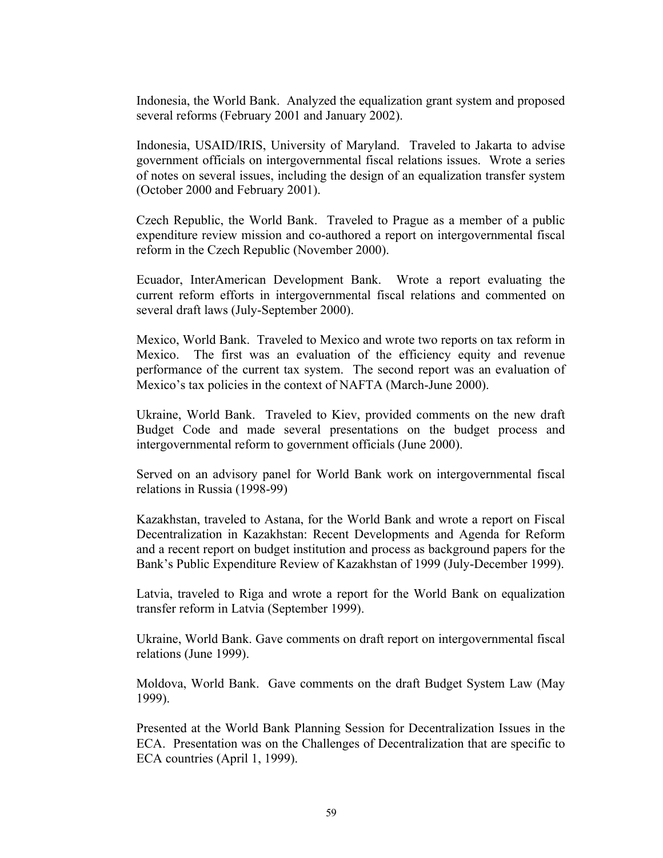Indonesia, the World Bank. Analyzed the equalization grant system and proposed several reforms (February 2001 and January 2002).

Indonesia, USAID/IRIS, University of Maryland. Traveled to Jakarta to advise government officials on intergovernmental fiscal relations issues. Wrote a series of notes on several issues, including the design of an equalization transfer system (October 2000 and February 2001).

Czech Republic, the World Bank. Traveled to Prague as a member of a public expenditure review mission and co-authored a report on intergovernmental fiscal reform in the Czech Republic (November 2000).

Ecuador, InterAmerican Development Bank. Wrote a report evaluating the current reform efforts in intergovernmental fiscal relations and commented on several draft laws (July-September 2000).

Mexico, World Bank. Traveled to Mexico and wrote two reports on tax reform in Mexico. The first was an evaluation of the efficiency equity and revenue performance of the current tax system. The second report was an evaluation of Mexico's tax policies in the context of NAFTA (March-June 2000).

Ukraine, World Bank. Traveled to Kiev, provided comments on the new draft Budget Code and made several presentations on the budget process and intergovernmental reform to government officials (June 2000).

Served on an advisory panel for World Bank work on intergovernmental fiscal relations in Russia (1998-99)

Kazakhstan, traveled to Astana, for the World Bank and wrote a report on Fiscal Decentralization in Kazakhstan: Recent Developments and Agenda for Reform and a recent report on budget institution and process as background papers for the Bank's Public Expenditure Review of Kazakhstan of 1999 (July-December 1999).

Latvia, traveled to Riga and wrote a report for the World Bank on equalization transfer reform in Latvia (September 1999).

Ukraine, World Bank. Gave comments on draft report on intergovernmental fiscal relations (June 1999).

Moldova, World Bank. Gave comments on the draft Budget System Law (May 1999).

Presented at the World Bank Planning Session for Decentralization Issues in the ECA. Presentation was on the Challenges of Decentralization that are specific to ECA countries (April 1, 1999).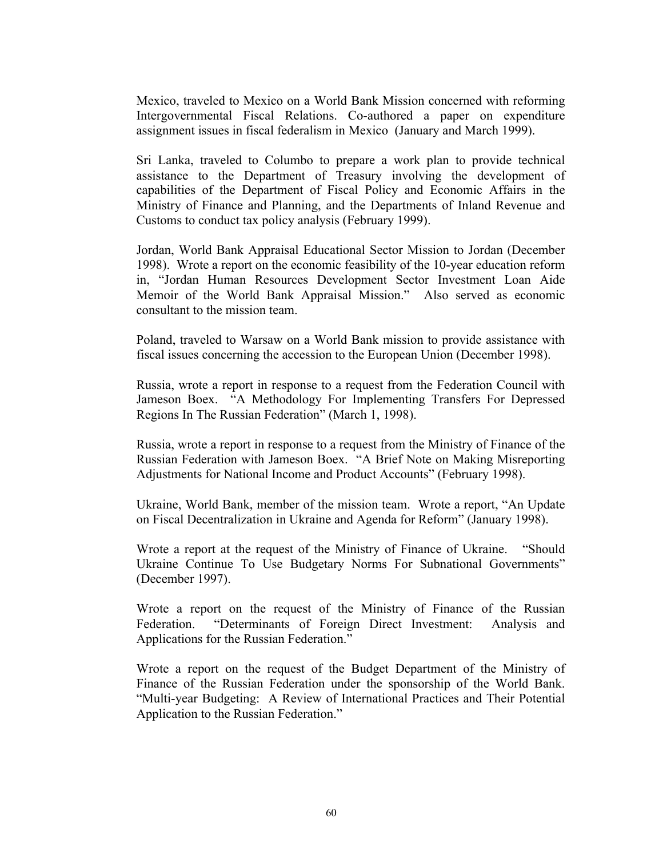Mexico, traveled to Mexico on a World Bank Mission concerned with reforming Intergovernmental Fiscal Relations. Co-authored a paper on expenditure assignment issues in fiscal federalism in Mexico (January and March 1999).

Sri Lanka, traveled to Columbo to prepare a work plan to provide technical assistance to the Department of Treasury involving the development of capabilities of the Department of Fiscal Policy and Economic Affairs in the Ministry of Finance and Planning, and the Departments of Inland Revenue and Customs to conduct tax policy analysis (February 1999).

Jordan, World Bank Appraisal Educational Sector Mission to Jordan (December 1998). Wrote a report on the economic feasibility of the 10-year education reform in, "Jordan Human Resources Development Sector Investment Loan Aide Memoir of the World Bank Appraisal Mission." Also served as economic consultant to the mission team.

Poland, traveled to Warsaw on a World Bank mission to provide assistance with fiscal issues concerning the accession to the European Union (December 1998).

Russia, wrote a report in response to a request from the Federation Council with Jameson Boex. "A Methodology For Implementing Transfers For Depressed Regions In The Russian Federation" (March 1, 1998).

Russia, wrote a report in response to a request from the Ministry of Finance of the Russian Federation with Jameson Boex. "A Brief Note on Making Misreporting Adjustments for National Income and Product Accounts" (February 1998).

Ukraine, World Bank, member of the mission team. Wrote a report, "An Update on Fiscal Decentralization in Ukraine and Agenda for Reform" (January 1998).

Wrote a report at the request of the Ministry of Finance of Ukraine. "Should Ukraine Continue To Use Budgetary Norms For Subnational Governments" (December 1997).

Wrote a report on the request of the Ministry of Finance of the Russian Federation. "Determinants of Foreign Direct Investment: Analysis and Applications for the Russian Federation."

Wrote a report on the request of the Budget Department of the Ministry of Finance of the Russian Federation under the sponsorship of the World Bank. "Multi-year Budgeting: A Review of International Practices and Their Potential Application to the Russian Federation."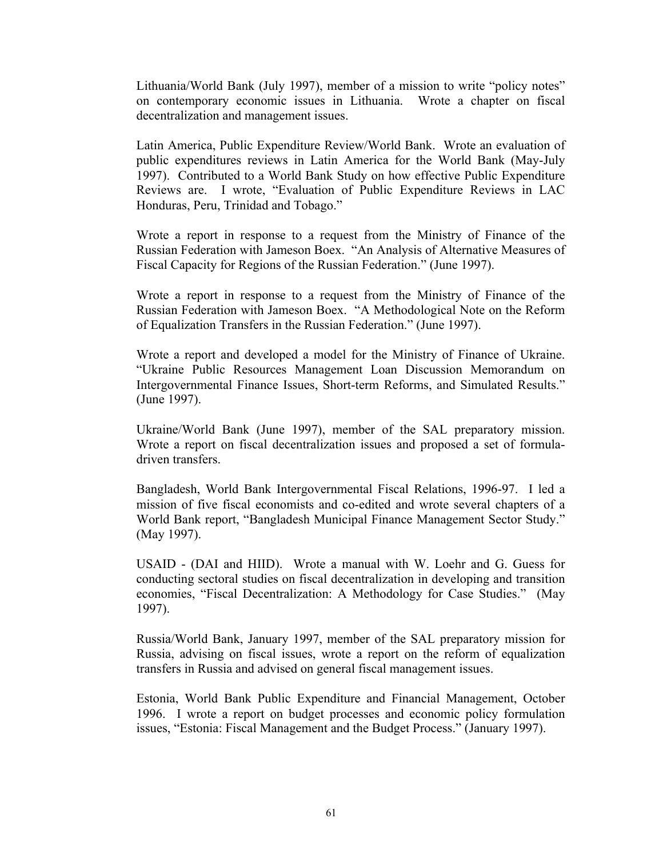Lithuania/World Bank (July 1997), member of a mission to write "policy notes" on contemporary economic issues in Lithuania. Wrote a chapter on fiscal decentralization and management issues.

Latin America, Public Expenditure Review/World Bank. Wrote an evaluation of public expenditures reviews in Latin America for the World Bank (May-July 1997). Contributed to a World Bank Study on how effective Public Expenditure Reviews are. I wrote, "Evaluation of Public Expenditure Reviews in LAC Honduras, Peru, Trinidad and Tobago."

Wrote a report in response to a request from the Ministry of Finance of the Russian Federation with Jameson Boex. "An Analysis of Alternative Measures of Fiscal Capacity for Regions of the Russian Federation." (June 1997).

Wrote a report in response to a request from the Ministry of Finance of the Russian Federation with Jameson Boex. "A Methodological Note on the Reform of Equalization Transfers in the Russian Federation." (June 1997).

Wrote a report and developed a model for the Ministry of Finance of Ukraine. "Ukraine Public Resources Management Loan Discussion Memorandum on Intergovernmental Finance Issues, Short-term Reforms, and Simulated Results." (June 1997).

Ukraine/World Bank (June 1997), member of the SAL preparatory mission. Wrote a report on fiscal decentralization issues and proposed a set of formuladriven transfers.

Bangladesh, World Bank Intergovernmental Fiscal Relations, 1996-97. I led a mission of five fiscal economists and co-edited and wrote several chapters of a World Bank report, "Bangladesh Municipal Finance Management Sector Study." (May 1997).

USAID - (DAI and HIID). Wrote a manual with W. Loehr and G. Guess for conducting sectoral studies on fiscal decentralization in developing and transition economies, "Fiscal Decentralization: A Methodology for Case Studies." (May 1997).

Russia/World Bank, January 1997, member of the SAL preparatory mission for Russia, advising on fiscal issues, wrote a report on the reform of equalization transfers in Russia and advised on general fiscal management issues.

Estonia, World Bank Public Expenditure and Financial Management, October 1996. I wrote a report on budget processes and economic policy formulation issues, "Estonia: Fiscal Management and the Budget Process." (January 1997).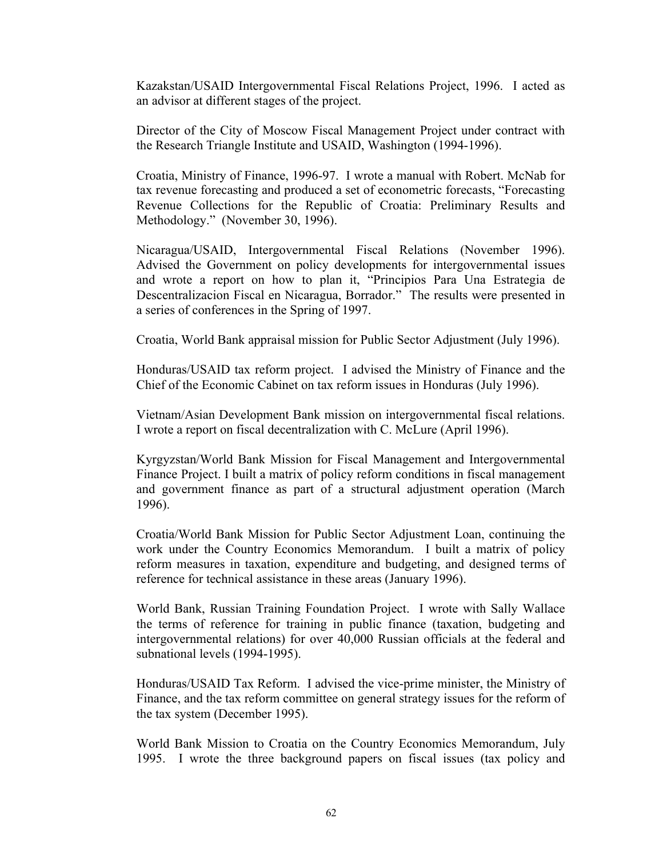Kazakstan/USAID Intergovernmental Fiscal Relations Project, 1996. I acted as an advisor at different stages of the project.

Director of the City of Moscow Fiscal Management Project under contract with the Research Triangle Institute and USAID, Washington (1994-1996).

Croatia, Ministry of Finance, 1996-97. I wrote a manual with Robert. McNab for tax revenue forecasting and produced a set of econometric forecasts, "Forecasting Revenue Collections for the Republic of Croatia: Preliminary Results and Methodology." (November 30, 1996).

Nicaragua/USAID, Intergovernmental Fiscal Relations (November 1996). Advised the Government on policy developments for intergovernmental issues and wrote a report on how to plan it, "Principios Para Una Estrategia de Descentralizacion Fiscal en Nicaragua, Borrador." The results were presented in a series of conferences in the Spring of 1997.

Croatia, World Bank appraisal mission for Public Sector Adjustment (July 1996).

Honduras/USAID tax reform project. I advised the Ministry of Finance and the Chief of the Economic Cabinet on tax reform issues in Honduras (July 1996).

Vietnam/Asian Development Bank mission on intergovernmental fiscal relations. I wrote a report on fiscal decentralization with C. McLure (April 1996).

Kyrgyzstan/World Bank Mission for Fiscal Management and Intergovernmental Finance Project. I built a matrix of policy reform conditions in fiscal management and government finance as part of a structural adjustment operation (March 1996).

Croatia/World Bank Mission for Public Sector Adjustment Loan, continuing the work under the Country Economics Memorandum. I built a matrix of policy reform measures in taxation, expenditure and budgeting, and designed terms of reference for technical assistance in these areas (January 1996).

World Bank, Russian Training Foundation Project. I wrote with Sally Wallace the terms of reference for training in public finance (taxation, budgeting and intergovernmental relations) for over 40,000 Russian officials at the federal and subnational levels (1994-1995).

Honduras/USAID Tax Reform. I advised the vice-prime minister, the Ministry of Finance, and the tax reform committee on general strategy issues for the reform of the tax system (December 1995).

World Bank Mission to Croatia on the Country Economics Memorandum, July 1995. I wrote the three background papers on fiscal issues (tax policy and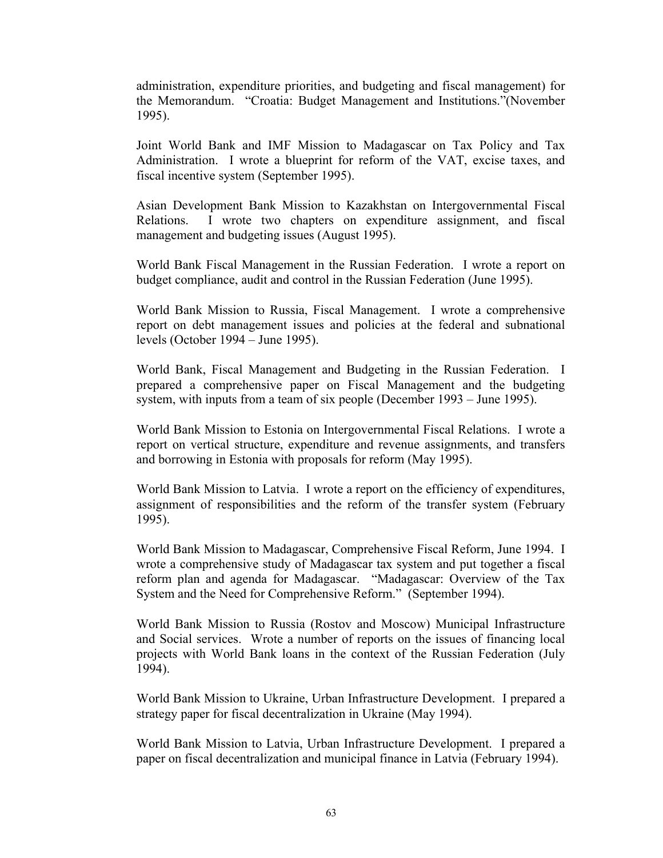administration, expenditure priorities, and budgeting and fiscal management) for the Memorandum. "Croatia: Budget Management and Institutions."(November 1995).

Joint World Bank and IMF Mission to Madagascar on Tax Policy and Tax Administration. I wrote a blueprint for reform of the VAT, excise taxes, and fiscal incentive system (September 1995).

Asian Development Bank Mission to Kazakhstan on Intergovernmental Fiscal Relations. I wrote two chapters on expenditure assignment, and fiscal management and budgeting issues (August 1995).

World Bank Fiscal Management in the Russian Federation. I wrote a report on budget compliance, audit and control in the Russian Federation (June 1995).

World Bank Mission to Russia, Fiscal Management. I wrote a comprehensive report on debt management issues and policies at the federal and subnational levels (October 1994 – June 1995).

World Bank, Fiscal Management and Budgeting in the Russian Federation. I prepared a comprehensive paper on Fiscal Management and the budgeting system, with inputs from a team of six people (December 1993 – June 1995).

World Bank Mission to Estonia on Intergovernmental Fiscal Relations. I wrote a report on vertical structure, expenditure and revenue assignments, and transfers and borrowing in Estonia with proposals for reform (May 1995).

World Bank Mission to Latvia. I wrote a report on the efficiency of expenditures, assignment of responsibilities and the reform of the transfer system (February 1995).

World Bank Mission to Madagascar, Comprehensive Fiscal Reform, June 1994. I wrote a comprehensive study of Madagascar tax system and put together a fiscal reform plan and agenda for Madagascar. "Madagascar: Overview of the Tax System and the Need for Comprehensive Reform." (September 1994).

World Bank Mission to Russia (Rostov and Moscow) Municipal Infrastructure and Social services. Wrote a number of reports on the issues of financing local projects with World Bank loans in the context of the Russian Federation (July 1994).

World Bank Mission to Ukraine, Urban Infrastructure Development. I prepared a strategy paper for fiscal decentralization in Ukraine (May 1994).

World Bank Mission to Latvia, Urban Infrastructure Development. I prepared a paper on fiscal decentralization and municipal finance in Latvia (February 1994).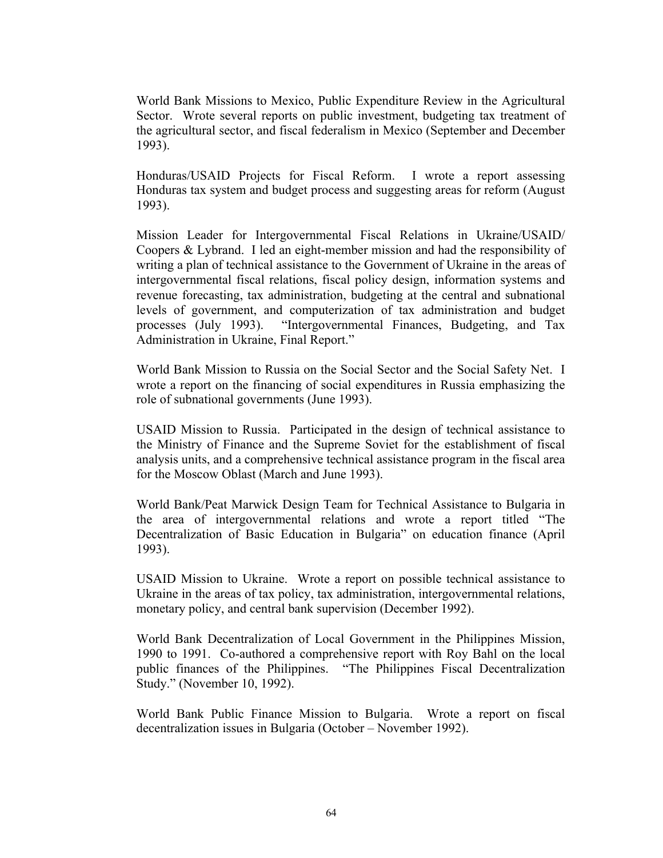World Bank Missions to Mexico, Public Expenditure Review in the Agricultural Sector. Wrote several reports on public investment, budgeting tax treatment of the agricultural sector, and fiscal federalism in Mexico (September and December 1993).

Honduras/USAID Projects for Fiscal Reform. I wrote a report assessing Honduras tax system and budget process and suggesting areas for reform (August 1993).

Mission Leader for Intergovernmental Fiscal Relations in Ukraine/USAID/ Coopers & Lybrand. I led an eight-member mission and had the responsibility of writing a plan of technical assistance to the Government of Ukraine in the areas of intergovernmental fiscal relations, fiscal policy design, information systems and revenue forecasting, tax administration, budgeting at the central and subnational levels of government, and computerization of tax administration and budget processes (July 1993). "Intergovernmental Finances, Budgeting, and Tax Administration in Ukraine, Final Report."

World Bank Mission to Russia on the Social Sector and the Social Safety Net. I wrote a report on the financing of social expenditures in Russia emphasizing the role of subnational governments (June 1993).

USAID Mission to Russia. Participated in the design of technical assistance to the Ministry of Finance and the Supreme Soviet for the establishment of fiscal analysis units, and a comprehensive technical assistance program in the fiscal area for the Moscow Oblast (March and June 1993).

World Bank/Peat Marwick Design Team for Technical Assistance to Bulgaria in the area of intergovernmental relations and wrote a report titled "The Decentralization of Basic Education in Bulgaria" on education finance (April 1993).

USAID Mission to Ukraine. Wrote a report on possible technical assistance to Ukraine in the areas of tax policy, tax administration, intergovernmental relations, monetary policy, and central bank supervision (December 1992).

World Bank Decentralization of Local Government in the Philippines Mission, 1990 to 1991. Co-authored a comprehensive report with Roy Bahl on the local public finances of the Philippines. "The Philippines Fiscal Decentralization Study." (November 10, 1992).

World Bank Public Finance Mission to Bulgaria. Wrote a report on fiscal decentralization issues in Bulgaria (October – November 1992).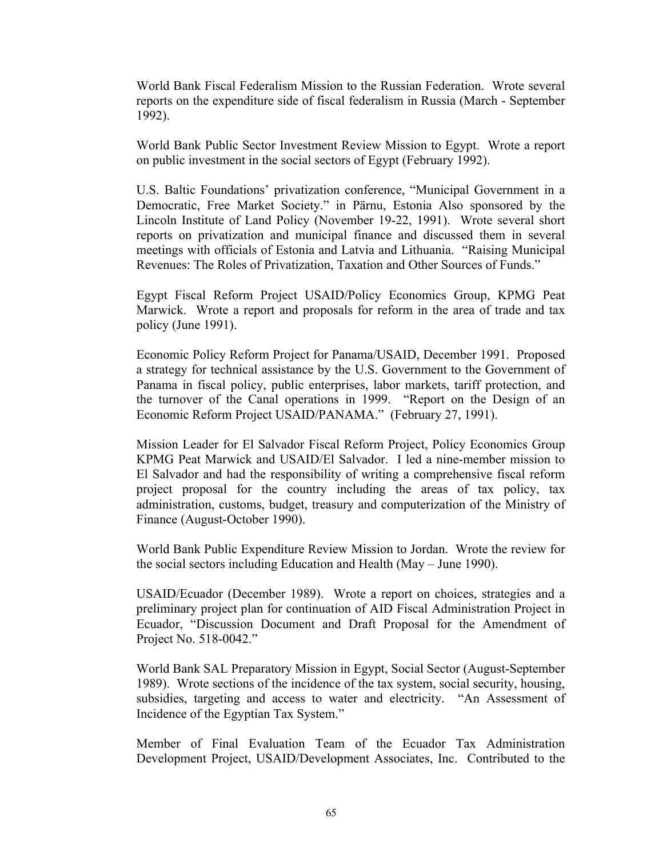World Bank Fiscal Federalism Mission to the Russian Federation. Wrote several reports on the expenditure side of fiscal federalism in Russia (March - September 1992).

World Bank Public Sector Investment Review Mission to Egypt. Wrote a report on public investment in the social sectors of Egypt (February 1992).

U.S. Baltic Foundations' privatization conference, "Municipal Government in a Democratic, Free Market Society." in Pärnu, Estonia Also sponsored by the Lincoln Institute of Land Policy (November 19-22, 1991). Wrote several short reports on privatization and municipal finance and discussed them in several meetings with officials of Estonia and Latvia and Lithuania. "Raising Municipal Revenues: The Roles of Privatization, Taxation and Other Sources of Funds."

Egypt Fiscal Reform Project USAID/Policy Economics Group, KPMG Peat Marwick. Wrote a report and proposals for reform in the area of trade and tax policy (June 1991).

Economic Policy Reform Project for Panama/USAID, December 1991. Proposed a strategy for technical assistance by the U.S. Government to the Government of Panama in fiscal policy, public enterprises, labor markets, tariff protection, and the turnover of the Canal operations in 1999. "Report on the Design of an Economic Reform Project USAID/PANAMA." (February 27, 1991).

Mission Leader for El Salvador Fiscal Reform Project, Policy Economics Group KPMG Peat Marwick and USAID/El Salvador. I led a nine-member mission to El Salvador and had the responsibility of writing a comprehensive fiscal reform project proposal for the country including the areas of tax policy, tax administration, customs, budget, treasury and computerization of the Ministry of Finance (August-October 1990).

World Bank Public Expenditure Review Mission to Jordan. Wrote the review for the social sectors including Education and Health (May – June 1990).

USAID/Ecuador (December 1989). Wrote a report on choices, strategies and a preliminary project plan for continuation of AID Fiscal Administration Project in Ecuador, "Discussion Document and Draft Proposal for the Amendment of Project No. 518-0042."

World Bank SAL Preparatory Mission in Egypt, Social Sector (August-September 1989). Wrote sections of the incidence of the tax system, social security, housing, subsidies, targeting and access to water and electricity. "An Assessment of Incidence of the Egyptian Tax System."

Member of Final Evaluation Team of the Ecuador Tax Administration Development Project, USAID/Development Associates, Inc. Contributed to the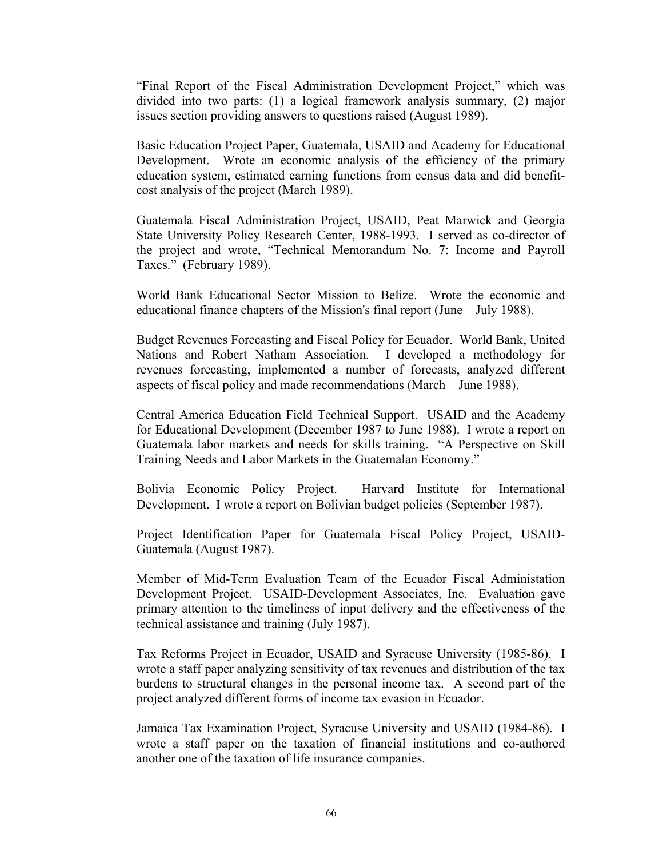"Final Report of the Fiscal Administration Development Project," which was divided into two parts: (1) a logical framework analysis summary, (2) major issues section providing answers to questions raised (August 1989).

Basic Education Project Paper, Guatemala, USAID and Academy for Educational Development. Wrote an economic analysis of the efficiency of the primary education system, estimated earning functions from census data and did benefitcost analysis of the project (March 1989).

Guatemala Fiscal Administration Project, USAID, Peat Marwick and Georgia State University Policy Research Center, 1988-1993. I served as co-director of the project and wrote, "Technical Memorandum No. 7: Income and Payroll Taxes." (February 1989).

World Bank Educational Sector Mission to Belize. Wrote the economic and educational finance chapters of the Mission's final report (June – July 1988).

Budget Revenues Forecasting and Fiscal Policy for Ecuador. World Bank, United Nations and Robert Natham Association. I developed a methodology for revenues forecasting, implemented a number of forecasts, analyzed different aspects of fiscal policy and made recommendations (March – June 1988).

Central America Education Field Technical Support. USAID and the Academy for Educational Development (December 1987 to June 1988). I wrote a report on Guatemala labor markets and needs for skills training. "A Perspective on Skill Training Needs and Labor Markets in the Guatemalan Economy."

Bolivia Economic Policy Project. Harvard Institute for International Development. I wrote a report on Bolivian budget policies (September 1987).

Project Identification Paper for Guatemala Fiscal Policy Project, USAID-Guatemala (August 1987).

Member of Mid-Term Evaluation Team of the Ecuador Fiscal Administation Development Project. USAID-Development Associates, Inc. Evaluation gave primary attention to the timeliness of input delivery and the effectiveness of the technical assistance and training (July 1987).

Tax Reforms Project in Ecuador, USAID and Syracuse University (1985-86). I wrote a staff paper analyzing sensitivity of tax revenues and distribution of the tax burdens to structural changes in the personal income tax. A second part of the project analyzed different forms of income tax evasion in Ecuador.

Jamaica Tax Examination Project, Syracuse University and USAID (1984-86). I wrote a staff paper on the taxation of financial institutions and co-authored another one of the taxation of life insurance companies.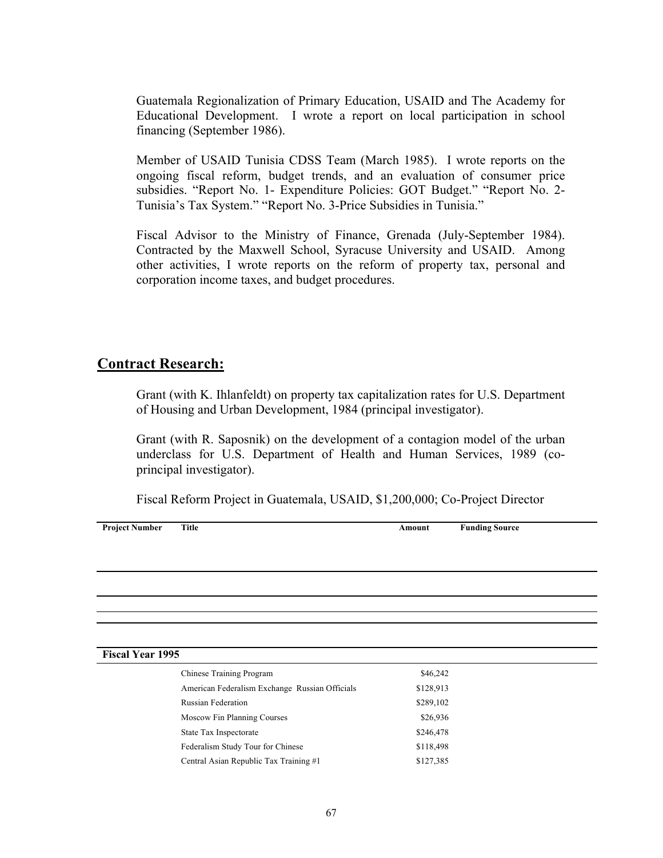Guatemala Regionalization of Primary Education, USAID and The Academy for Educational Development. I wrote a report on local participation in school financing (September 1986).

Member of USAID Tunisia CDSS Team (March 1985). I wrote reports on the ongoing fiscal reform, budget trends, and an evaluation of consumer price subsidies. "Report No. 1- Expenditure Policies: GOT Budget." "Report No. 2- Tunisia's Tax System." "Report No. 3-Price Subsidies in Tunisia."

Fiscal Advisor to the Ministry of Finance, Grenada (July-September 1984). Contracted by the Maxwell School, Syracuse University and USAID. Among other activities, I wrote reports on the reform of property tax, personal and corporation income taxes, and budget procedures.

# **Contract Research:**

Grant (with K. Ihlanfeldt) on property tax capitalization rates for U.S. Department of Housing and Urban Development, 1984 (principal investigator).

Grant (with R. Saposnik) on the development of a contagion model of the urban underclass for U.S. Department of Health and Human Services, 1989 (coprincipal investigator).

Fiscal Reform Project in Guatemala, USAID, \$1,200,000; Co-Project Director

**Project Number Title Amount Funding Source**

**Fiscal Year 1995**

| Chinese Training Program                       | \$46,242  |
|------------------------------------------------|-----------|
| American Federalism Exchange Russian Officials | \$128,913 |
| <b>Russian Federation</b>                      | \$289,102 |
| Moscow Fin Planning Courses                    | \$26,936  |
| State Tax Inspectorate                         | \$246,478 |
| Federalism Study Tour for Chinese              | \$118,498 |
| Central Asian Republic Tax Training #1         | \$127,385 |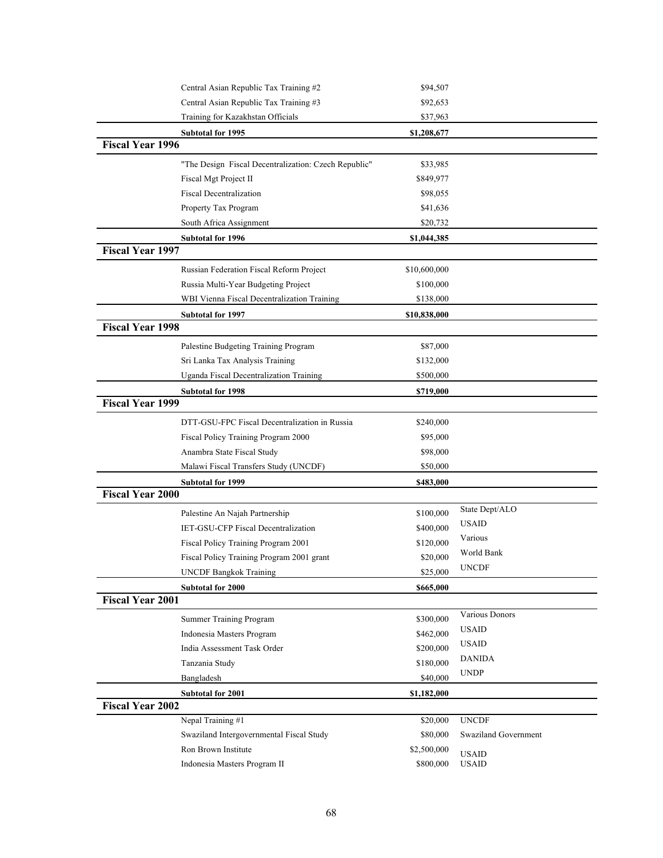|                         | Central Asian Republic Tax Training #2                                     | \$94,507     |                      |
|-------------------------|----------------------------------------------------------------------------|--------------|----------------------|
|                         | Central Asian Republic Tax Training #3                                     |              |                      |
|                         | Training for Kazakhstan Officials                                          | \$37,963     |                      |
|                         | Subtotal for 1995                                                          | \$1,208,677  |                      |
| <b>Fiscal Year 1996</b> |                                                                            |              |                      |
|                         | "The Design Fiscal Decentralization: Czech Republic"                       | \$33,985     |                      |
|                         | Fiscal Mgt Project II                                                      | \$849,977    |                      |
|                         | <b>Fiscal Decentralization</b>                                             | \$98,055     |                      |
|                         | Property Tax Program                                                       | \$41,636     |                      |
|                         | South Africa Assignment                                                    | \$20,732     |                      |
|                         | Subtotal for 1996                                                          | \$1,044,385  |                      |
| <b>Fiscal Year 1997</b> |                                                                            |              |                      |
|                         | Russian Federation Fiscal Reform Project                                   | \$10,600,000 |                      |
|                         | Russia Multi-Year Budgeting Project                                        | \$100,000    |                      |
|                         | WBI Vienna Fiscal Decentralization Training                                | \$138,000    |                      |
|                         | <b>Subtotal for 1997</b>                                                   | \$10,838,000 |                      |
| <b>Fiscal Year 1998</b> |                                                                            |              |                      |
|                         | Palestine Budgeting Training Program                                       | \$87,000     |                      |
|                         |                                                                            | \$132,000    |                      |
|                         | Sri Lanka Tax Analysis Training<br>Uganda Fiscal Decentralization Training |              |                      |
|                         |                                                                            | \$500,000    |                      |
| <b>Fiscal Year 1999</b> | <b>Subtotal for 1998</b>                                                   | \$719,000    |                      |
|                         |                                                                            |              |                      |
|                         | DTT-GSU-FPC Fiscal Decentralization in Russia                              | \$240,000    |                      |
|                         | Fiscal Policy Training Program 2000                                        | \$95,000     |                      |
|                         | Anambra State Fiscal Study                                                 | \$98,000     |                      |
|                         | Malawi Fiscal Transfers Study (UNCDF)                                      | \$50,000     |                      |
| <b>Fiscal Year 2000</b> | <b>Subtotal for 1999</b>                                                   | \$483,000    |                      |
|                         |                                                                            |              | State Dept/ALO       |
|                         | Palestine An Najah Partnership                                             | \$100,000    | <b>USAID</b>         |
|                         | IET-GSU-CFP Fiscal Decentralization                                        | \$400,000    | Various              |
|                         | Fiscal Policy Training Program 2001                                        | \$120,000    | World Bank           |
|                         | Fiscal Policy Training Program 2001 grant                                  | \$20,000     | <b>UNCDF</b>         |
|                         | <b>UNCDF Bangkok Training</b>                                              | \$25,000     |                      |
|                         | <b>Subtotal for 2000</b>                                                   | \$665,000    |                      |
| <b>Fiscal Year 2001</b> |                                                                            |              |                      |
|                         | Summer Training Program                                                    | \$300,000    | Various Donors       |
|                         | Indonesia Masters Program                                                  | \$462,000    | <b>USAID</b>         |
|                         | India Assessment Task Order                                                | \$200,000    | <b>USAID</b>         |
|                         | Tanzania Study                                                             | \$180,000    | <b>DANIDA</b>        |
|                         | Bangladesh                                                                 | \$40,000     | <b>UNDP</b>          |
|                         | Subtotal for 2001                                                          | \$1,182,000  |                      |
| <b>Fiscal Year 2002</b> |                                                                            |              |                      |
|                         | Nepal Training #1                                                          | \$20,000     | <b>UNCDF</b>         |
|                         | Swaziland Intergovernmental Fiscal Study                                   | \$80,000     | Swaziland Government |
|                         | Ron Brown Institute                                                        | \$2,500,000  | <b>USAID</b>         |
|                         | Indonesia Masters Program II                                               | \$800,000    | <b>USAID</b>         |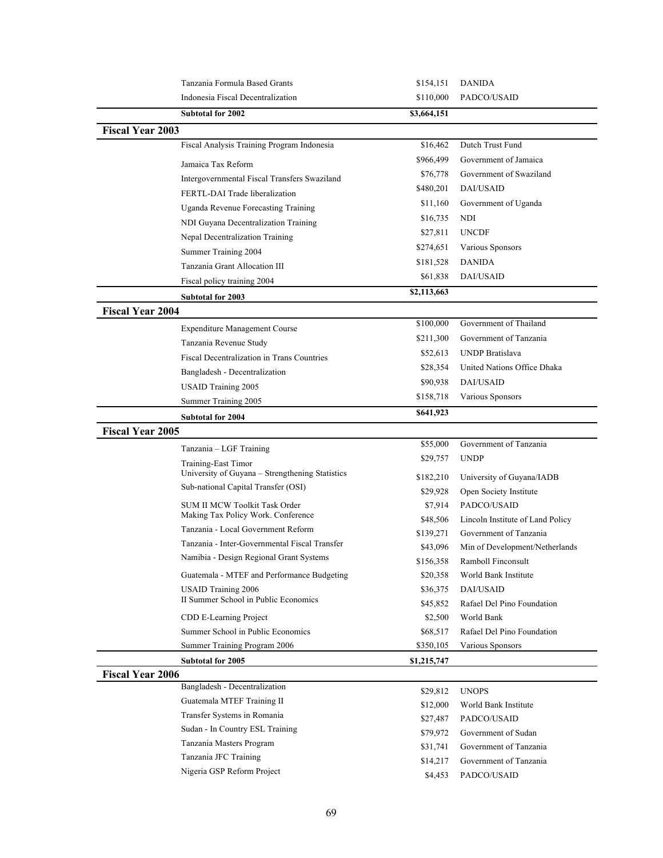|                         | Tanzania Formula Based Grants                                          | \$154,151             | <b>DANIDA</b>                                              |
|-------------------------|------------------------------------------------------------------------|-----------------------|------------------------------------------------------------|
|                         | Indonesia Fiscal Decentralization                                      | \$110,000             | PADCO/USAID                                                |
|                         | <b>Subtotal for 2002</b>                                               | \$3,664,151           |                                                            |
| <b>Fiscal Year 2003</b> |                                                                        |                       |                                                            |
|                         | Fiscal Analysis Training Program Indonesia                             | \$16,462              | Dutch Trust Fund                                           |
|                         |                                                                        | \$966,499             | Government of Jamaica                                      |
|                         | Jamaica Tax Reform                                                     | \$76,778              | Government of Swaziland                                    |
|                         | Intergovernmental Fiscal Transfers Swaziland                           | \$480,201             | DAI/USAID                                                  |
|                         | FERTL-DAI Trade liberalization                                         | \$11,160              | Government of Uganda                                       |
|                         | Uganda Revenue Forecasting Training                                    | \$16,735              | NDI                                                        |
|                         | NDI Guyana Decentralization Training                                   | \$27,811              | <b>UNCDF</b>                                               |
|                         | Nepal Decentralization Training                                        | \$274,651             | Various Sponsors                                           |
|                         | Summer Training 2004                                                   |                       |                                                            |
|                         | Tanzania Grant Allocation III                                          | \$181,528             | <b>DANIDA</b>                                              |
|                         | Fiscal policy training 2004                                            | \$61,838              | DAI/USAID                                                  |
|                         | <b>Subtotal for 2003</b>                                               | \$2,113,663           |                                                            |
| <b>Fiscal Year 2004</b> |                                                                        |                       |                                                            |
|                         | <b>Expenditure Management Course</b>                                   | \$100,000             | Government of Thailand                                     |
|                         | Tanzania Revenue Study                                                 | \$211,300             | Government of Tanzania                                     |
|                         | Fiscal Decentralization in Trans Countries                             | \$52,613              | <b>UNDP</b> Bratislava                                     |
|                         | Bangladesh - Decentralization                                          | \$28,354              | United Nations Office Dhaka                                |
|                         | <b>USAID Training 2005</b>                                             | \$90,938              | DAI/USAID                                                  |
|                         | Summer Training 2005                                                   | \$158,718             | Various Sponsors                                           |
|                         | <b>Subtotal for 2004</b>                                               | \$641,923             |                                                            |
| <b>Fiscal Year 2005</b> |                                                                        |                       |                                                            |
|                         |                                                                        | \$55,000              | Government of Tanzania                                     |
|                         | Tanzania - LGF Training                                                | \$29,757              | <b>UNDP</b>                                                |
|                         | Training-East Timor<br>University of Guyana - Strengthening Statistics |                       |                                                            |
|                         | Sub-national Capital Transfer (OSI)                                    | \$182,210             | University of Guyana/IADB                                  |
|                         |                                                                        | \$29,928              | Open Society Institute                                     |
|                         | SUM II MCW Toolkit Task Order<br>Making Tax Policy Work. Conference    | \$7,914               | PADCO/USAID                                                |
|                         | Tanzania - Local Government Reform                                     | \$48,506              | Lincoln Institute of Land Policy<br>Government of Tanzania |
|                         | Tanzania - Inter-Governmental Fiscal Transfer                          | \$139,271<br>\$43,096 | Min of Development/Netherlands                             |
|                         | Namibia - Design Regional Grant Systems                                |                       | Ramboll Finconsult                                         |
|                         | Guatemala - MTEF and Performance Budgeting                             | \$156,358<br>\$20,358 | World Bank Institute                                       |
|                         | <b>USAID Training 2006</b>                                             | \$36,375              | DAI/USAID                                                  |
|                         | II Summer School in Public Economics                                   | \$45,852              | Rafael Del Pino Foundation                                 |
|                         |                                                                        | \$2,500               | World Bank                                                 |
|                         | CDD E-Learning Project<br>Summer School in Public Economics            |                       | Rafael Del Pino Foundation                                 |
|                         | Summer Training Program 2006                                           | \$68,517              | Various Sponsors                                           |
|                         |                                                                        | \$350,105             |                                                            |
|                         | <b>Subtotal for 2005</b>                                               | \$1,215,747           |                                                            |
| <b>Fiscal Year 2006</b> | Bangladesh - Decentralization                                          |                       |                                                            |
|                         | Guatemala MTEF Training II                                             | \$29,812              | <b>UNOPS</b>                                               |
|                         | Transfer Systems in Romania                                            | \$12,000              | World Bank Institute                                       |
|                         | Sudan - In Country ESL Training                                        | \$27,487              | PADCO/USAID                                                |
|                         | Tanzania Masters Program                                               | \$79,972              | Government of Sudan                                        |
|                         | Tanzania JFC Training                                                  | \$31,741              | Government of Tanzania                                     |
|                         | Nigeria GSP Reform Project                                             | \$14,217              | Government of Tanzania                                     |
|                         |                                                                        | \$4,453               | PADCO/USAID                                                |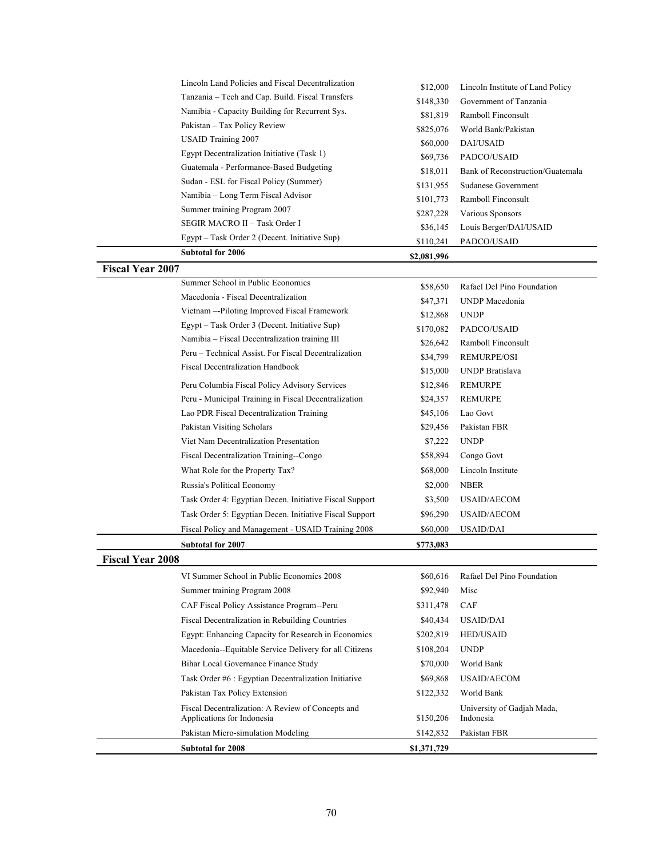| Lincoln Land Policies and Fiscal Decentralization                               | \$12,000    | Lincoln Institute of Land Policy        |
|---------------------------------------------------------------------------------|-------------|-----------------------------------------|
| Tanzania - Tech and Cap. Build. Fiscal Transfers                                | \$148,330   | Government of Tanzania                  |
| Namibia - Capacity Building for Recurrent Sys.                                  | \$81,819    | Ramboll Finconsult                      |
| Pakistan - Tax Policy Review                                                    | \$825,076   | World Bank/Pakistan                     |
| <b>USAID Training 2007</b>                                                      | \$60,000    | DAI/USAID                               |
| Egypt Decentralization Initiative (Task 1)                                      | \$69,736    | PADCO/USAID                             |
| Guatemala - Performance-Based Budgeting                                         | \$18,011    | Bank of Reconstruction/Guatemala        |
| Sudan - ESL for Fiscal Policy (Summer)                                          | \$131,955   | Sudanese Government                     |
| Namibia - Long Term Fiscal Advisor                                              | \$101,773   | Ramboll Finconsult                      |
| Summer training Program 2007                                                    | \$287,228   | Various Sponsors                        |
| SEGIR MACRO II - Task Order I                                                   | \$36,145    | Louis Berger/DAI/USAID                  |
| Egypt – Task Order 2 (Decent. Initiative Sup)                                   | \$110,241   | PADCO/USAID                             |
| Subtotal for 2006                                                               | \$2,081,996 |                                         |
| <b>Fiscal Year 2007</b>                                                         |             |                                         |
| Summer School in Public Economics                                               | \$58,650    | Rafael Del Pino Foundation              |
| Macedonia - Fiscal Decentralization                                             | \$47,371    | UNDP Macedonia                          |
| Vietnam -- Piloting Improved Fiscal Framework                                   | \$12,868    | <b>UNDP</b>                             |
| Egypt – Task Order 3 (Decent. Initiative Sup)                                   | \$170,082   | PADCO/USAID                             |
| Namibia – Fiscal Decentralization training III                                  | \$26,642    | Ramboll Finconsult                      |
| Peru – Technical Assist. For Fiscal Decentralization                            | \$34,799    | <b>REMURPE/OSI</b>                      |
| <b>Fiscal Decentralization Handbook</b>                                         | \$15,000    | <b>UNDP</b> Bratislava                  |
| Peru Columbia Fiscal Policy Advisory Services                                   | \$12,846    | <b>REMURPE</b>                          |
| Peru - Municipal Training in Fiscal Decentralization                            | \$24,357    | REMURPE                                 |
| Lao PDR Fiscal Decentralization Training                                        | \$45,106    | Lao Govt                                |
| Pakistan Visiting Scholars                                                      | \$29,456    | Pakistan FBR                            |
| Viet Nam Decentralization Presentation                                          | \$7,222     | <b>UNDP</b>                             |
| Fiscal Decentralization Training--Congo                                         | \$58,894    | Congo Govt                              |
| What Role for the Property Tax?                                                 | \$68,000    | Lincoln Institute                       |
| Russia's Political Economy                                                      | \$2,000     | <b>NBER</b>                             |
| Task Order 4: Egyptian Decen. Initiative Fiscal Support                         | \$3,500     | <b>USAID/AECOM</b>                      |
| Task Order 5: Egyptian Decen. Initiative Fiscal Support                         | \$96,290    | USAID/AECOM                             |
| Fiscal Policy and Management - USAID Training 2008                              | \$60,000    | <b>USAID/DAI</b>                        |
| <b>Subtotal for 2007</b>                                                        |             |                                         |
| <b>Fiscal Year 2008</b>                                                         | \$773,083   |                                         |
| VI Summer School in Public Economics 2008                                       | \$60,616    | Rafael Del Pino Foundation              |
|                                                                                 | \$92,940    |                                         |
| Summer training Program 2008                                                    |             | Misc                                    |
| CAF Fiscal Policy Assistance Program--Peru                                      | \$311,478   | CAF                                     |
| Fiscal Decentralization in Rebuilding Countries                                 | \$40,434    | USAID/DAI                               |
| Egypt: Enhancing Capacity for Research in Economics                             | \$202,819   | <b>HED/USAID</b>                        |
| Macedonia--Equitable Service Delivery for all Citizens                          | \$108,204   | <b>UNDP</b>                             |
| Bihar Local Governance Finance Study                                            | \$70,000    | World Bank                              |
| Task Order #6 : Egyptian Decentralization Initiative                            | \$69,868    | <b>USAID/AECOM</b>                      |
| Pakistan Tax Policy Extension                                                   | \$122,332   | World Bank                              |
| Fiscal Decentralization: A Review of Concepts and<br>Applications for Indonesia | \$150,206   | University of Gadjah Mada,<br>Indonesia |
| Pakistan Micro-simulation Modeling                                              | \$142,832   | Pakistan FBR                            |
| Subtotal for 2008                                                               | \$1,371,729 |                                         |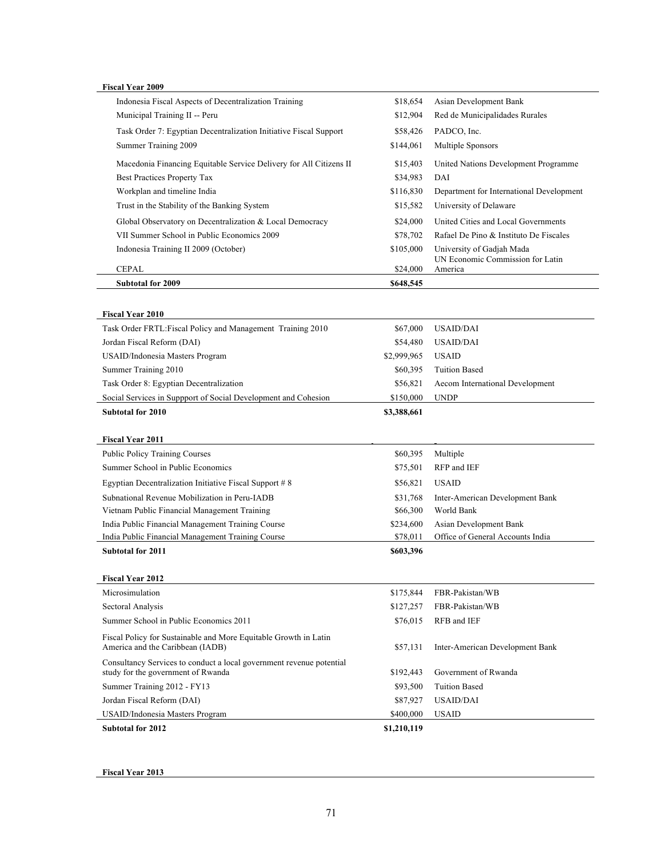| <b>Fiscal Year 2009</b>                                              |                          |                                             |
|----------------------------------------------------------------------|--------------------------|---------------------------------------------|
| Indonesia Fiscal Aspects of Decentralization Training                | \$18,654                 | Asian Development Bank                      |
| Municipal Training II -- Peru                                        | \$12,904                 | Red de Municipalidades Rurales              |
| Task Order 7: Egyptian Decentralization Initiative Fiscal Support    | \$58,426                 | PADCO, Inc.                                 |
| Summer Training 2009                                                 | \$144,061                | Multiple Sponsors                           |
| Macedonia Financing Equitable Service Delivery for All Citizens II   | \$15,403                 | United Nations Development Programme        |
| Best Practices Property Tax                                          | \$34,983                 | DAI                                         |
| Workplan and timeline India                                          | \$116,830                | Department for International Development    |
| Trust in the Stability of the Banking System                         | \$15,582                 | University of Delaware                      |
| Global Observatory on Decentralization & Local Democracy             | \$24,000                 | United Cities and Local Governments         |
| VII Summer School in Public Economics 2009                           | \$78,702                 | Rafael De Pino & Instituto De Fiscales      |
| Indonesia Training II 2009 (October)                                 | \$105,000                | University of Gadjah Mada                   |
| <b>CEPAL</b>                                                         | \$24,000                 | UN Economic Commission for Latin<br>America |
| <b>Subtotal for 2009</b>                                             | \$648,545                |                                             |
|                                                                      |                          |                                             |
| <b>Fiscal Year 2010</b>                                              |                          |                                             |
| Task Order FRTL: Fiscal Policy and Management Training 2010          | \$67,000                 | USAID/DAI                                   |
| Jordan Fiscal Reform (DAI)                                           | \$54,480                 | <b>USAID/DAI</b>                            |
| USAID/Indonesia Masters Program                                      | \$2,999,965              | <b>USAID</b>                                |
| Summer Training 2010                                                 | \$60,395                 | <b>Tuition Based</b>                        |
| Task Order 8: Egyptian Decentralization                              | \$56,821                 | Aecom International Development             |
| Social Services in Suppport of Social Development and Cohesion       | \$150,000                | <b>UNDP</b>                                 |
| <b>Subtotal for 2010</b>                                             | \$3,388,661              |                                             |
|                                                                      |                          |                                             |
|                                                                      |                          |                                             |
| <b>Fiscal Year 2011</b>                                              |                          |                                             |
| Public Policy Training Courses                                       | \$60,395                 | Multiple                                    |
| Summer School in Public Economics                                    | \$75,501                 | RFP and IEF                                 |
| Egyptian Decentralization Initiative Fiscal Support # 8              | \$56,821                 | <b>USAID</b>                                |
| Subnational Revenue Mobilization in Peru-IADB                        | \$31,768                 | Inter-American Development Bank             |
| Vietnam Public Financial Management Training                         | \$66,300                 | World Bank                                  |
| India Public Financial Management Training Course                    | \$234,600                | <b>Asian Development Bank</b>               |
| India Public Financial Management Training Course                    | \$78,011                 | Office of General Accounts India            |
| <b>Subtotal for 2011</b>                                             | \$603,396                |                                             |
| <b>Fiscal Year 2012</b>                                              |                          |                                             |
| Microsimulation                                                      | \$175,844                | FBR-Pakistan/WB                             |
| Sectoral Analysis                                                    | \$127,257                | FBR-Pakistan/WB                             |
| Summer School in Public Economics 2011                               | \$76,015                 | RFB and IEF                                 |
| Fiscal Policy for Sustainable and More Equitable Growth in Latin     |                          |                                             |
| America and the Caribbean (IADB)                                     | \$57,131                 | Inter-American Development Bank             |
| Consultancy Services to conduct a local government revenue potential |                          |                                             |
| study for the government of Rwanda                                   | \$192,443                | Government of Rwanda                        |
| Summer Training 2012 - FY13                                          | \$93,500                 | <b>Tuition Based</b>                        |
| Jordan Fiscal Reform (DAI)                                           | \$87,927                 | <b>USAID/DAI</b>                            |
| USAID/Indonesia Masters Program<br><b>Subtotal for 2012</b>          | \$400,000<br>\$1,210,119 | <b>USAID</b>                                |

**Fiscal Year 2013**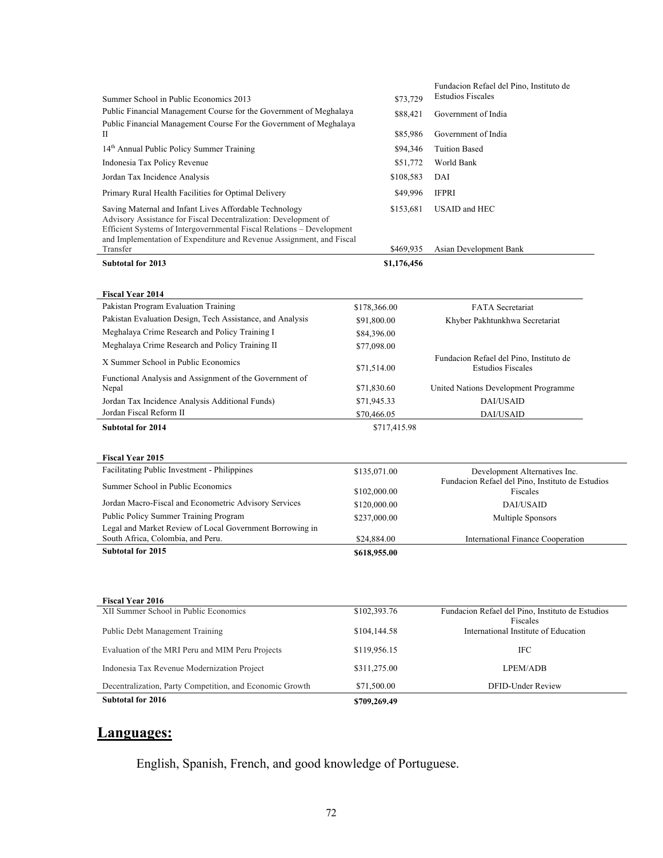|                                                                                                                                                                                                                                                                                        |                        | Fundacion Refael del Pino, Instituto de                             |
|----------------------------------------------------------------------------------------------------------------------------------------------------------------------------------------------------------------------------------------------------------------------------------------|------------------------|---------------------------------------------------------------------|
| Summer School in Public Economics 2013                                                                                                                                                                                                                                                 | \$73,729               | <b>Estudios Fiscales</b>                                            |
| Public Financial Management Course for the Government of Meghalaya                                                                                                                                                                                                                     | \$88,421               | Government of India                                                 |
| Public Financial Management Course For the Government of Meghalaya                                                                                                                                                                                                                     |                        |                                                                     |
| П                                                                                                                                                                                                                                                                                      | \$85,986               | Government of India                                                 |
| 14th Annual Public Policy Summer Training                                                                                                                                                                                                                                              | \$94,346               | <b>Tuition Based</b>                                                |
| Indonesia Tax Policy Revenue                                                                                                                                                                                                                                                           | \$51,772               | World Bank                                                          |
| Jordan Tax Incidence Analysis                                                                                                                                                                                                                                                          | \$108,583              | DAI                                                                 |
| Primary Rural Health Facilities for Optimal Delivery                                                                                                                                                                                                                                   | \$49,996               | <b>IFPRI</b>                                                        |
| Saving Maternal and Infant Lives Affordable Technology<br>Advisory Assistance for Fiscal Decentralization: Development of<br>Efficient Systems of Intergovernmental Fiscal Relations - Development<br>and Implementation of Expenditure and Revenue Assignment, and Fiscal<br>Transfer | \$153,681<br>\$469,935 | USAID and HEC<br>Asian Development Bank                             |
|                                                                                                                                                                                                                                                                                        |                        |                                                                     |
| <b>Subtotal for 2013</b>                                                                                                                                                                                                                                                               | \$1,176,456            |                                                                     |
|                                                                                                                                                                                                                                                                                        |                        |                                                                     |
| <b>Fiscal Year 2014</b>                                                                                                                                                                                                                                                                |                        |                                                                     |
| Pakistan Program Evaluation Training                                                                                                                                                                                                                                                   | \$178,366.00           | <b>FATA</b> Secretariat                                             |
| Pakistan Evaluation Design, Tech Assistance, and Analysis                                                                                                                                                                                                                              | \$91,800.00            | Khyber Pakhtunkhwa Secretariat                                      |
| Meghalaya Crime Research and Policy Training I                                                                                                                                                                                                                                         | \$84,396.00            |                                                                     |
| Meghalaya Crime Research and Policy Training II                                                                                                                                                                                                                                        | \$77,098.00            |                                                                     |
| X Summer School in Public Economics                                                                                                                                                                                                                                                    | \$71,514.00            | Fundacion Refael del Pino, Instituto de<br><b>Estudios Fiscales</b> |
| Functional Analysis and Assignment of the Government of                                                                                                                                                                                                                                |                        |                                                                     |
| Nepal                                                                                                                                                                                                                                                                                  | \$71,830.60            | United Nations Development Programme                                |
| Jordan Tax Incidence Analysis Additional Funds)                                                                                                                                                                                                                                        | \$71,945.33            | DAI/USAID                                                           |
| Jordan Fiscal Reform II                                                                                                                                                                                                                                                                | \$70,466.05            | DAI/USAID                                                           |
| <b>Subtotal for 2014</b>                                                                                                                                                                                                                                                               | \$717,415.98           |                                                                     |
|                                                                                                                                                                                                                                                                                        |                        |                                                                     |
| <b>Fiscal Year 2015</b>                                                                                                                                                                                                                                                                |                        |                                                                     |
| Facilitating Public Investment - Philippines                                                                                                                                                                                                                                           | \$135,071.00           | Development Alternatives Inc.                                       |
| Summer School in Public Economics                                                                                                                                                                                                                                                      | \$102,000.00           | Fundacion Refael del Pino, Instituto de Estudios<br>Fiscales        |
| Jordan Macro-Fiscal and Econometric Advisory Services                                                                                                                                                                                                                                  | \$120,000.00           | <b>DAI/USAID</b>                                                    |
| Public Policy Summer Training Program                                                                                                                                                                                                                                                  | \$237,000.00           | Multiple Sponsors                                                   |
| Legal and Market Review of Local Government Borrowing in                                                                                                                                                                                                                               |                        |                                                                     |
| South Africa, Colombia, and Peru.                                                                                                                                                                                                                                                      | \$24,884.00            | <b>International Finance Cooperation</b>                            |
| <b>Subtotal for 2015</b>                                                                                                                                                                                                                                                               | \$618,955.00           |                                                                     |
|                                                                                                                                                                                                                                                                                        |                        |                                                                     |
|                                                                                                                                                                                                                                                                                        |                        |                                                                     |
| <b>Fiscal Year 2016</b>                                                                                                                                                                                                                                                                |                        |                                                                     |
| XII Summer School in Public Economics                                                                                                                                                                                                                                                  | \$102,393.76           | Fundacion Refael del Pino, Instituto de Estudios                    |
|                                                                                                                                                                                                                                                                                        |                        | Fiscales                                                            |
| Public Debt Management Training                                                                                                                                                                                                                                                        | \$104,144.58           | International Institute of Education                                |
| Evaluation of the MRI Peru and MIM Peru Projects                                                                                                                                                                                                                                       | \$119,956.15           | IFC                                                                 |
| Indonesia Tax Revenue Modernization Project                                                                                                                                                                                                                                            | \$311,275.00           | LPEM/ADB                                                            |
| Decentralization, Party Competition, and Economic Growth                                                                                                                                                                                                                               | \$71,500.00            | DFID-Under Review                                                   |
| <b>Subtotal for 2016</b>                                                                                                                                                                                                                                                               | \$709,269.49           |                                                                     |

# **Languages:**

English, Spanish, French, and good knowledge of Portuguese.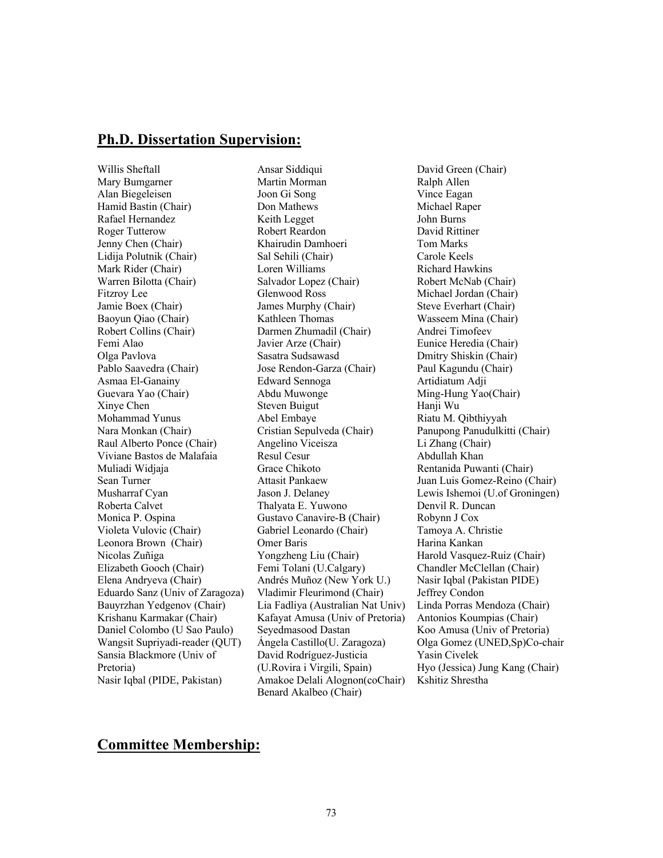## **Ph.D. Dissertation Supervision:**

Willis Sheftall Mary Bumgarner Alan Biegeleisen Hamid Bastin (Chair) Rafael Hernandez Roger Tutterow Jenny Chen (Chair) Lidija Polutnik (Chair) Mark Rider (Chair) Warren Bilotta (Chair) Fitzroy Lee Jamie Boex (Chair) Baoyun Qiao (Chair) Robert Collins (Chair) Femi Alao Olga Pavlova Pablo Saavedra (Chair) Asmaa El-Ganainy Guevara Yao (Chair) Xinye Chen Mohammad Yunus Nara Monkan (Chair) Raul Alberto Ponce (Chair) Viviane Bastos de Malafaia Muliadi Widjaja Sean Turner Musharraf Cyan Roberta Calvet Monica P. Ospina Violeta Vulovic (Chair) Leonora Brown (Chair) Nicolas Zuñiga Elizabeth Gooch (Chair) Elena Andryeva (Chair) Eduardo Sanz (Univ of Zaragoza) Bauyrzhan Yedgenov (Chair) Krishanu Karmakar (Chair) Daniel Colombo (U Sao Paulo) Wangsit Supriyadi-reader (QUT) Sansia Blackmore (Univ of Pretoria) Nasir Iqbal (PIDE, Pakistan)

Ansar Siddiqui Martin Morman Joon Gi Song Don Mathews Keith Legget Robert Reardon Khairudin Damhoeri Sal Sehili (Chair) Loren Williams Salvador Lopez (Chair) Glenwood Ross James Murphy (Chair) Kathleen Thomas Darmen Zhumadil (Chair) Javier Arze (Chair) Sasatra Sudsawasd Jose Rendon-Garza (Chair) Edward Sennoga Abdu Muwonge Steven Buigut Abel Embaye Cristian Sepulveda (Chair) Angelino Viceisza Resul Cesur Grace Chikoto Attasit Pankaew Jason J. Delaney Thalyata E. Yuwono Gustavo Canavire-B (Chair) Gabriel Leonardo (Chair) Omer Baris Yongzheng Liu (Chair) Femi Tolani (U.Calgary) Andrés Muñoz (New York U.) Vladimir Fleurimond (Chair) Lia Fadliya (Australian Nat Univ) Kafayat Amusa (Univ of Pretoria) Seyedmasood Dastan Ángela Castillo(U. Zaragoza) David Rodríguez-Justicia (U.Rovira i Virgili, Spain) Amakoe Delali Alognon(coChair) Benard Akalbeo (Chair)

David Green (Chair) Ralph Allen Vince Eagan Michael Raper John Burns David Rittiner Tom Marks Carole Keels Richard Hawkins Robert McNab (Chair) Michael Jordan (Chair) Steve Everhart (Chair) Wasseem Mina (Chair) Andrei Timofeev Eunice Heredia (Chair) Dmitry Shiskin (Chair) Paul Kagundu (Chair) Artidiatum Adji Ming-Hung Yao(Chair) Hanji Wu Riatu M. Qibthiyyah Panupong Panudulkitti (Chair) Li Zhang (Chair) Abdullah Khan Rentanida Puwanti (Chair) Juan Luis Gomez-Reino (Chair) Lewis Ishemoi (U.of Groningen) Denvil R. Duncan Robynn J Cox Tamoya A. Christie Harina Kankan Harold Vasquez-Ruiz (Chair) Chandler McClellan (Chair) Nasir Iqbal (Pakistan PIDE) Jeffrey Condon Linda Porras Mendoza (Chair) Antonios Koumpias (Chair) Koo Amusa (Univ of Pretoria) Olga Gomez (UNED,Sp)Co-chair Yasin Civelek Hyo (Jessica) Jung Kang (Chair) Kshitiz Shrestha

## **Committee Membership:**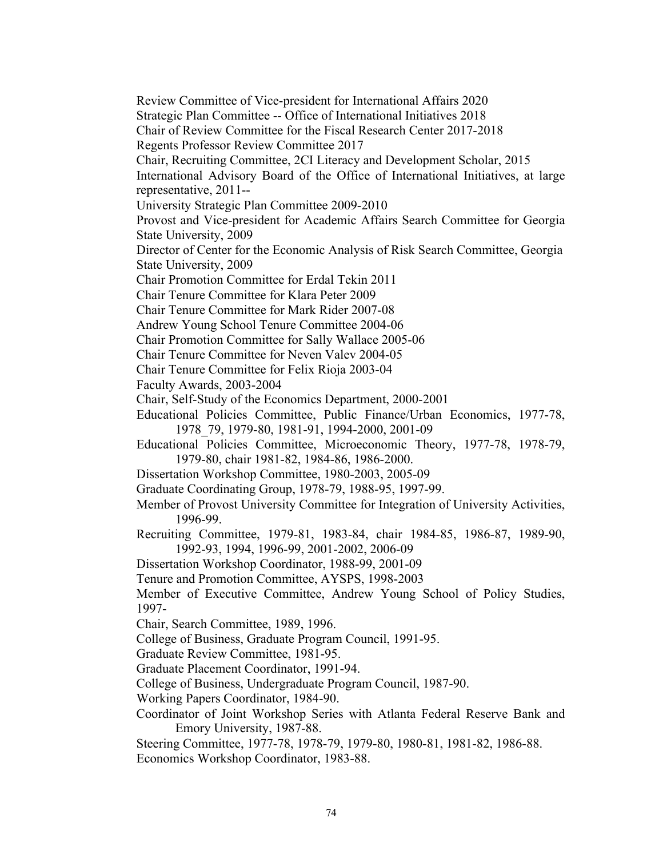Review Committee of Vice-president for International Affairs 2020 Strategic Plan Committee -- Office of International Initiatives 2018 Chair of Review Committee for the Fiscal Research Center 2017-2018 Regents Professor Review Committee 2017 Chair, Recruiting Committee, 2CI Literacy and Development Scholar, 2015 International Advisory Board of the Office of International Initiatives, at large representative, 2011-- University Strategic Plan Committee 2009-2010 Provost and Vice-president for Academic Affairs Search Committee for Georgia State University, 2009 Director of Center for the Economic Analysis of Risk Search Committee, Georgia State University, 2009 Chair Promotion Committee for Erdal Tekin 2011 Chair Tenure Committee for Klara Peter 2009 Chair Tenure Committee for Mark Rider 2007-08 Andrew Young School Tenure Committee 2004-06 Chair Promotion Committee for Sally Wallace 2005-06 Chair Tenure Committee for Neven Valev 2004-05 Chair Tenure Committee for Felix Rioja 2003-04 Faculty Awards, 2003-2004 Chair, Self-Study of the Economics Department, 2000-2001 Educational Policies Committee, Public Finance/Urban Economics, 1977-78, 1978\_79, 1979-80, 1981-91, 1994-2000, 2001-09 Educational Policies Committee, Microeconomic Theory, 1977-78, 1978-79, 1979-80, chair 1981-82, 1984-86, 1986-2000. Dissertation Workshop Committee, 1980-2003, 2005-09 Graduate Coordinating Group, 1978-79, 1988-95, 1997-99. Member of Provost University Committee for Integration of University Activities, 1996-99. Recruiting Committee, 1979-81, 1983-84, chair 1984-85, 1986-87, 1989-90, 1992-93, 1994, 1996-99, 2001-2002, 2006-09 Dissertation Workshop Coordinator, 1988-99, 2001-09 Tenure and Promotion Committee, AYSPS, 1998-2003 Member of Executive Committee, Andrew Young School of Policy Studies, 1997- Chair, Search Committee, 1989, 1996. College of Business, Graduate Program Council, 1991-95. Graduate Review Committee, 1981-95. Graduate Placement Coordinator, 1991-94. College of Business, Undergraduate Program Council, 1987-90. Working Papers Coordinator, 1984-90. Coordinator of Joint Workshop Series with Atlanta Federal Reserve Bank and Emory University, 1987-88. Steering Committee, 1977-78, 1978-79, 1979-80, 1980-81, 1981-82, 1986-88. Economics Workshop Coordinator, 1983-88.